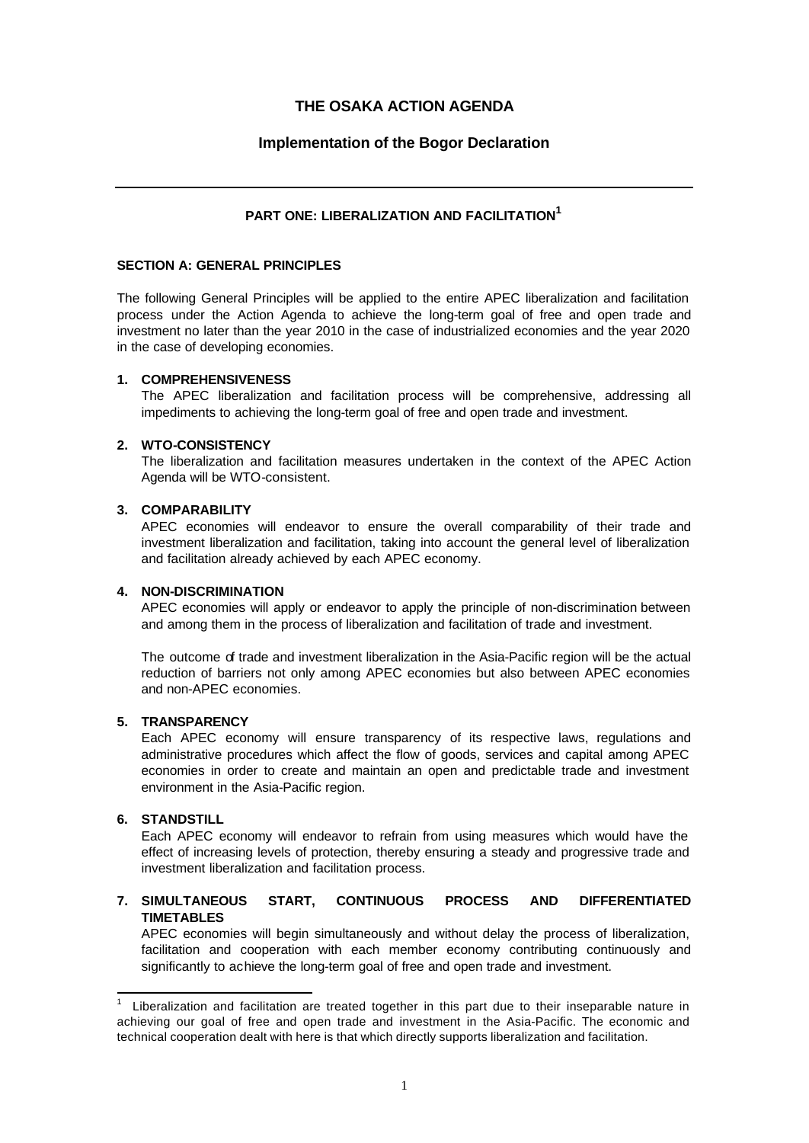# **THE OSAKA ACTION AGENDA**

# **Implementation of the Bogor Declaration**

# **PART ONE: LIBERALIZATION AND FACILITATION<sup>1</sup>**

### **SECTION A: GENERAL PRINCIPLES**

The following General Principles will be applied to the entire APEC liberalization and facilitation process under the Action Agenda to achieve the long-term goal of free and open trade and investment no later than the year 2010 in the case of industrialized economies and the year 2020 in the case of developing economies.

### **1. COMPREHENSIVENESS**

The APEC liberalization and facilitation process will be comprehensive, addressing all impediments to achieving the long-term goal of free and open trade and investment.

#### **2. WTO-CONSISTENCY**

The liberalization and facilitation measures undertaken in the context of the APEC Action Agenda will be WTO-consistent.

#### **3. COMPARABILITY**

APEC economies will endeavor to ensure the overall comparability of their trade and investment liberalization and facilitation, taking into account the general level of liberalization and facilitation already achieved by each APEC economy.

### **4. NON-DISCRIMINATION**

APEC economies will apply or endeavor to apply the principle of non-discrimination between and among them in the process of liberalization and facilitation of trade and investment.

The outcome of trade and investment liberalization in the Asia-Pacific region will be the actual reduction of barriers not only among APEC economies but also between APEC economies and non-APEC economies.

# **5. TRANSPARENCY**

Each APEC economy will ensure transparency of its respective laws, regulations and administrative procedures which affect the flow of goods, services and capital among APEC economies in order to create and maintain an open and predictable trade and investment environment in the Asia-Pacific region.

### **6. STANDSTILL**

l

Each APEC economy will endeavor to refrain from using measures which would have the effect of increasing levels of protection, thereby ensuring a steady and progressive trade and investment liberalization and facilitation process.

# **7. SIMULTANEOUS START, CONTINUOUS PROCESS AND DIFFERENTIATED TIMETABLES**

APEC economies will begin simultaneously and without delay the process of liberalization, facilitation and cooperation with each member economy contributing continuously and significantly to achieve the long-term goal of free and open trade and investment.

<sup>1</sup> Liberalization and facilitation are treated together in this part due to their inseparable nature in achieving our goal of free and open trade and investment in the Asia-Pacific. The economic and technical cooperation dealt with here is that which directly supports liberalization and facilitation.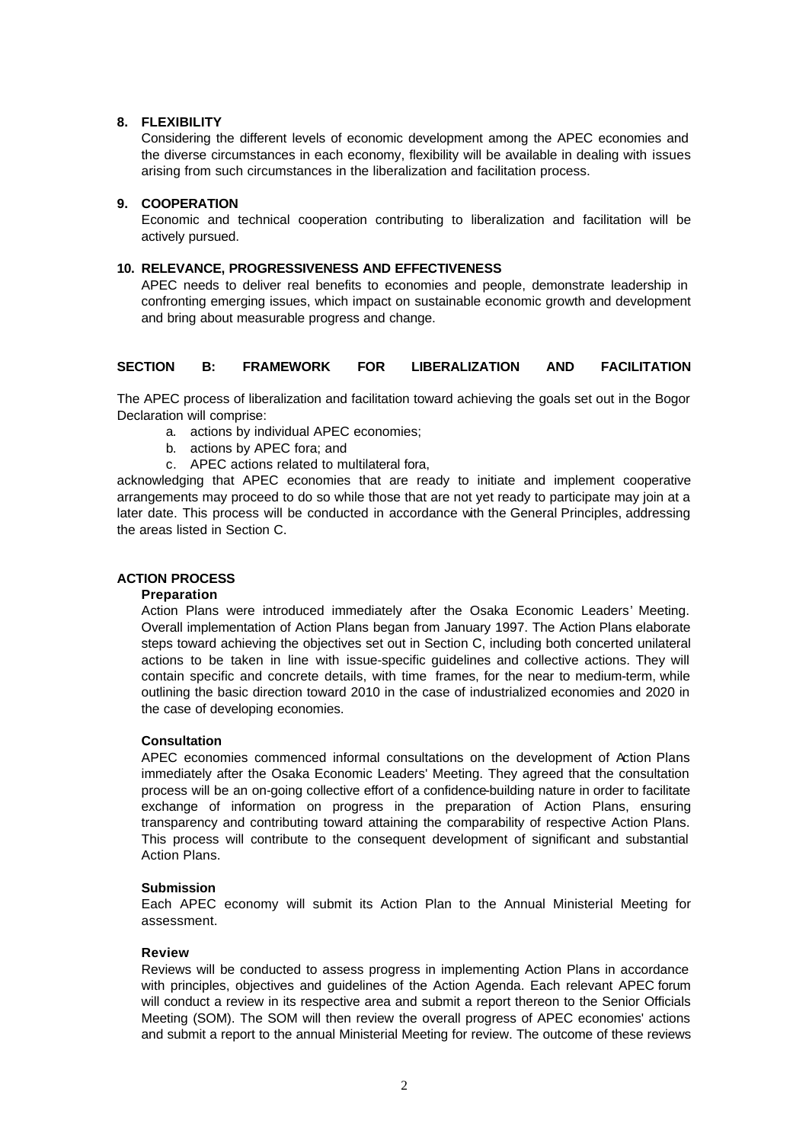### **8. FLEXIBILITY**

Considering the different levels of economic development among the APEC economies and the diverse circumstances in each economy, flexibility will be available in dealing with issues arising from such circumstances in the liberalization and facilitation process.

### **9. COOPERATION**

Economic and technical cooperation contributing to liberalization and facilitation will be actively pursued.

#### **10. RELEVANCE, PROGRESSIVENESS AND EFFECTIVENESS**

APEC needs to deliver real benefits to economies and people, demonstrate leadership in confronting emerging issues, which impact on sustainable economic growth and development and bring about measurable progress and change.

# **SECTION B: FRAMEWORK FOR LIBERALIZATION AND FACILITATION**

The APEC process of liberalization and facilitation toward achieving the goals set out in the Bogor Declaration will comprise:

- a. actions by individual APEC economies;
- b. actions by APEC fora; and
- c. APEC actions related to multilateral fora,

acknowledging that APEC economies that are ready to initiate and implement cooperative arrangements may proceed to do so while those that are not yet ready to participate may join at a later date. This process will be conducted in accordance with the General Principles, addressing the areas listed in Section C.

### **ACTION PROCESS**

#### **Preparation**

Action Plans were introduced immediately after the Osaka Economic Leaders' Meeting. Overall implementation of Action Plans began from January 1997. The Action Plans elaborate steps toward achieving the objectives set out in Section C, including both concerted unilateral actions to be taken in line with issue-specific guidelines and collective actions. They will contain specific and concrete details, with time frames, for the near to medium-term, while outlining the basic direction toward 2010 in the case of industrialized economies and 2020 in the case of developing economies.

### **Consultation**

APEC economies commenced informal consultations on the development of Action Plans immediately after the Osaka Economic Leaders' Meeting. They agreed that the consultation process will be an on-going collective effort of a confidence-building nature in order to facilitate exchange of information on progress in the preparation of Action Plans, ensuring transparency and contributing toward attaining the comparability of respective Action Plans. This process will contribute to the consequent development of significant and substantial Action Plans.

#### **Submission**

Each APEC economy will submit its Action Plan to the Annual Ministerial Meeting for assessment.

#### **Review**

Reviews will be conducted to assess progress in implementing Action Plans in accordance with principles, objectives and guidelines of the Action Agenda. Each relevant APEC forum will conduct a review in its respective area and submit a report thereon to the Senior Officials Meeting (SOM). The SOM will then review the overall progress of APEC economies' actions and submit a report to the annual Ministerial Meeting for review. The outcome of these reviews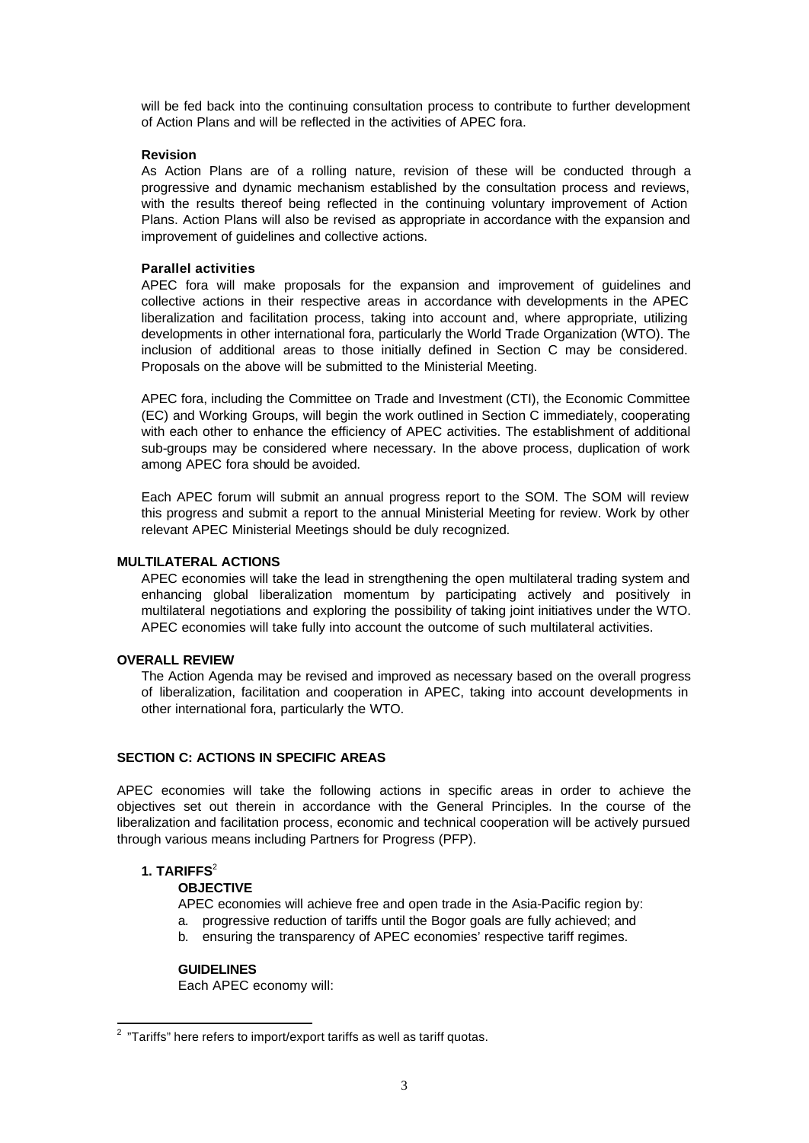will be fed back into the continuing consultation process to contribute to further development of Action Plans and will be reflected in the activities of APEC fora.

#### **Revision**

As Action Plans are of a rolling nature, revision of these will be conducted through a progressive and dynamic mechanism established by the consultation process and reviews, with the results thereof being reflected in the continuing voluntary improvement of Action Plans. Action Plans will also be revised as appropriate in accordance with the expansion and improvement of guidelines and collective actions.

#### **Parallel activities**

APEC fora will make proposals for the expansion and improvement of guidelines and collective actions in their respective areas in accordance with developments in the APEC liberalization and facilitation process, taking into account and, where appropriate, utilizing developments in other international fora, particularly the World Trade Organization (WTO). The inclusion of additional areas to those initially defined in Section C may be considered. Proposals on the above will be submitted to the Ministerial Meeting.

APEC fora, including the Committee on Trade and Investment (CTI), the Economic Committee (EC) and Working Groups, will begin the work outlined in Section C immediately, cooperating with each other to enhance the efficiency of APEC activities. The establishment of additional sub-groups may be considered where necessary. In the above process, duplication of work among APEC fora should be avoided.

Each APEC forum will submit an annual progress report to the SOM. The SOM will review this progress and submit a report to the annual Ministerial Meeting for review. Work by other relevant APEC Ministerial Meetings should be duly recognized.

### **MULTILATERAL ACTIONS**

APEC economies will take the lead in strengthening the open multilateral trading system and enhancing global liberalization momentum by participating actively and positively in multilateral negotiations and exploring the possibility of taking joint initiatives under the WTO. APEC economies will take fully into account the outcome of such multilateral activities.

### **OVERALL REVIEW**

The Action Agenda may be revised and improved as necessary based on the overall progress of liberalization, facilitation and cooperation in APEC, taking into account developments in other international fora, particularly the WTO.

# **SECTION C: ACTIONS IN SPECIFIC AREAS**

APEC economies will take the following actions in specific areas in order to achieve the objectives set out therein in accordance with the General Principles. In the course of the liberalization and facilitation process, economic and technical cooperation will be actively pursued through various means including Partners for Progress (PFP).

### **1. TARIFFS**<sup>2</sup>

#### **OBJECTIVE**

APEC economies will achieve free and open trade in the Asia-Pacific region by:

- a. progressive reduction of tariffs until the Bogor goals are fully achieved; and
- b. ensuring the transparency of APEC economies' respective tariff regimes.

#### **GUIDELINES**

Each APEC economy will:

 2 "Tariffs" here refers to import/export tariffs as well as tariff quotas.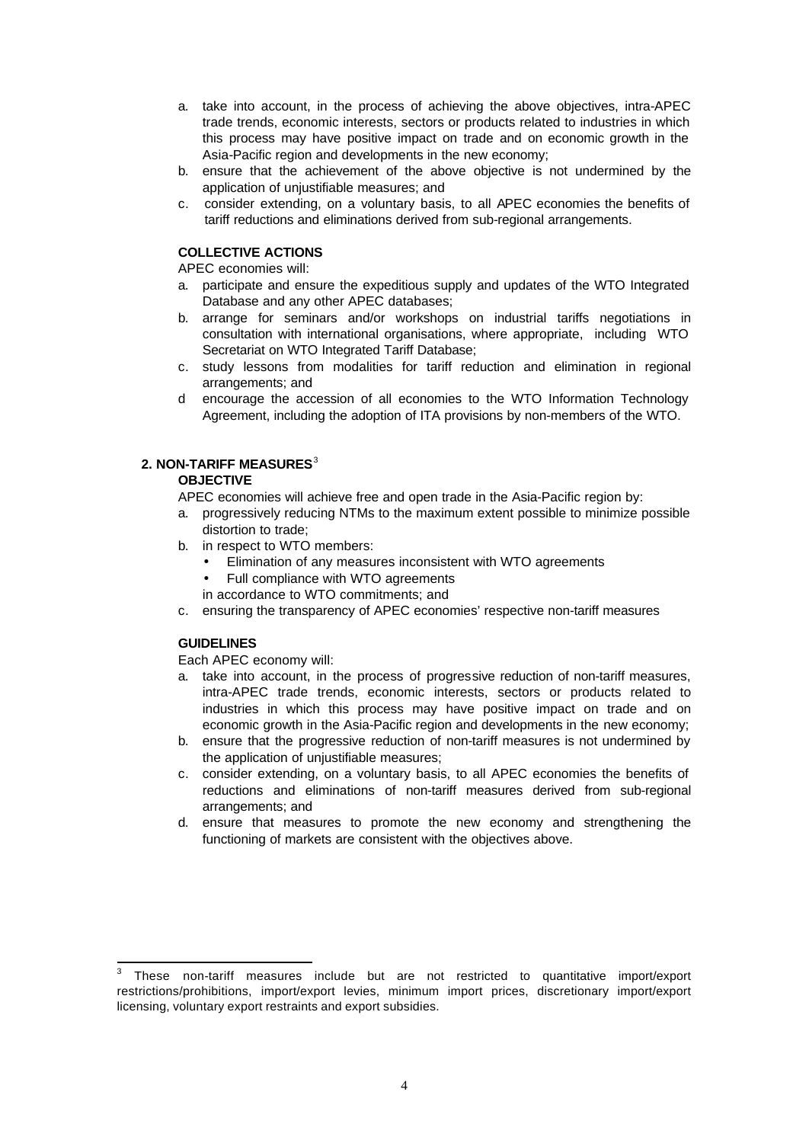- a. take into account, in the process of achieving the above objectives, intra-APEC trade trends, economic interests, sectors or products related to industries in which this process may have positive impact on trade and on economic growth in the Asia-Pacific region and developments in the new economy;
- b. ensure that the achievement of the above objective is not undermined by the application of unjustifiable measures; and
- c. consider extending, on a voluntary basis, to all APEC economies the benefits of tariff reductions and eliminations derived from sub-regional arrangements.

### **COLLECTIVE ACTIONS**

APEC economies will:

- a. participate and ensure the expeditious supply and updates of the WTO Integrated Database and any other APEC databases;
- b. arrange for seminars and/or workshops on industrial tariffs negotiations in consultation with international organisations, where appropriate, including WTO Secretariat on WTO Integrated Tariff Database;
- c. study lessons from modalities for tariff reduction and elimination in regional arrangements; and
- d encourage the accession of all economies to the WTO Information Technology Agreement, including the adoption of ITA provisions by non-members of the WTO.

### **2. NON-TARIFF MEASURES**<sup>3</sup>

### **OBJECTIVE**

APEC economies will achieve free and open trade in the Asia-Pacific region by:

- a. progressively reducing NTMs to the maximum extent possible to minimize possible distortion to trade;
- b. in respect to WTO members:
	- Elimination of any measures inconsistent with WTO agreements
	- Full compliance with WTO agreements
	- in accordance to WTO commitments; and
- c. ensuring the transparency of APEC economies' respective non-tariff measures

# **GUIDELINES**

l

Each APEC economy will:

- a. take into account, in the process of progressive reduction of non-tariff measures, intra-APEC trade trends, economic interests, sectors or products related to industries in which this process may have positive impact on trade and on economic growth in the Asia-Pacific region and developments in the new economy;
- b. ensure that the progressive reduction of non-tariff measures is not undermined by the application of unjustifiable measures;
- c. consider extending, on a voluntary basis, to all APEC economies the benefits of reductions and eliminations of non-tariff measures derived from sub-regional arrangements; and
- d. ensure that measures to promote the new economy and strengthening the functioning of markets are consistent with the objectives above.

<sup>3</sup> These non-tariff measures include but are not restricted to quantitative import/export restrictions/prohibitions, import/export levies, minimum import prices, discretionary import/export licensing, voluntary export restraints and export subsidies.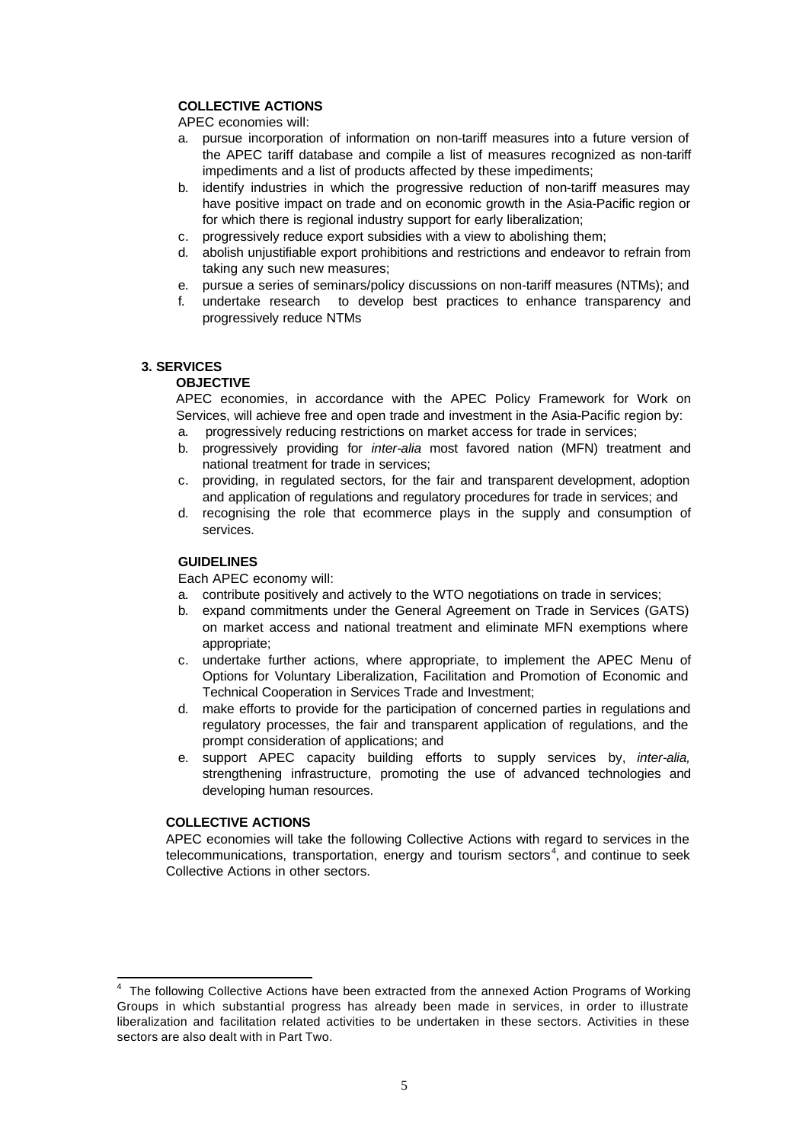# **COLLECTIVE ACTIONS**

APEC economies will:

- a. pursue incorporation of information on non-tariff measures into a future version of the APEC tariff database and compile a list of measures recognized as non-tariff impediments and a list of products affected by these impediments;
- b. identify industries in which the progressive reduction of non-tariff measures may have positive impact on trade and on economic growth in the Asia-Pacific region or for which there is regional industry support for early liberalization;
- c. progressively reduce export subsidies with a view to abolishing them;
- d. abolish unjustifiable export prohibitions and restrictions and endeavor to refrain from taking any such new measures;
- e. pursue a series of seminars/policy discussions on non-tariff measures (NTMs); and
- f. undertake research to develop best practices to enhance transparency and progressively reduce NTMs

### **3. SERVICES**

### **OBJECTIVE**

APEC economies, in accordance with the APEC Policy Framework for Work on Services, will achieve free and open trade and investment in the Asia-Pacific region by:

- a. progressively reducing restrictions on market access for trade in services;
- b. progressively providing for *inter-alia* most favored nation (MFN) treatment and national treatment for trade in services;
- c. providing, in regulated sectors, for the fair and transparent development, adoption and application of regulations and regulatory procedures for trade in services; and
- d. recognising the role that ecommerce plays in the supply and consumption of services.

### **GUIDELINES**

Each APEC economy will:

- a. contribute positively and actively to the WTO negotiations on trade in services;
- b. expand commitments under the General Agreement on Trade in Services (GATS) on market access and national treatment and eliminate MFN exemptions where appropriate;
- c. undertake further actions, where appropriate, to implement the APEC Menu of Options for Voluntary Liberalization, Facilitation and Promotion of Economic and Technical Cooperation in Services Trade and Investment;
- d. make efforts to provide for the participation of concerned parties in regulations and regulatory processes, the fair and transparent application of regulations, and the prompt consideration of applications; and
- e. support APEC capacity building efforts to supply services by, *inter-alia,* strengthening infrastructure, promoting the use of advanced technologies and developing human resources.

### **COLLECTIVE ACTIONS**

APEC economies will take the following Collective Actions with regard to services in the telecommunications, transportation, energy and tourism sectors<sup>4</sup>, and continue to seek Collective Actions in other sectors.

 4 The following Collective Actions have been extracted from the annexed Action Programs of Working Groups in which substantial progress has already been made in services, in order to illustrate liberalization and facilitation related activities to be undertaken in these sectors. Activities in these sectors are also dealt with in Part Two.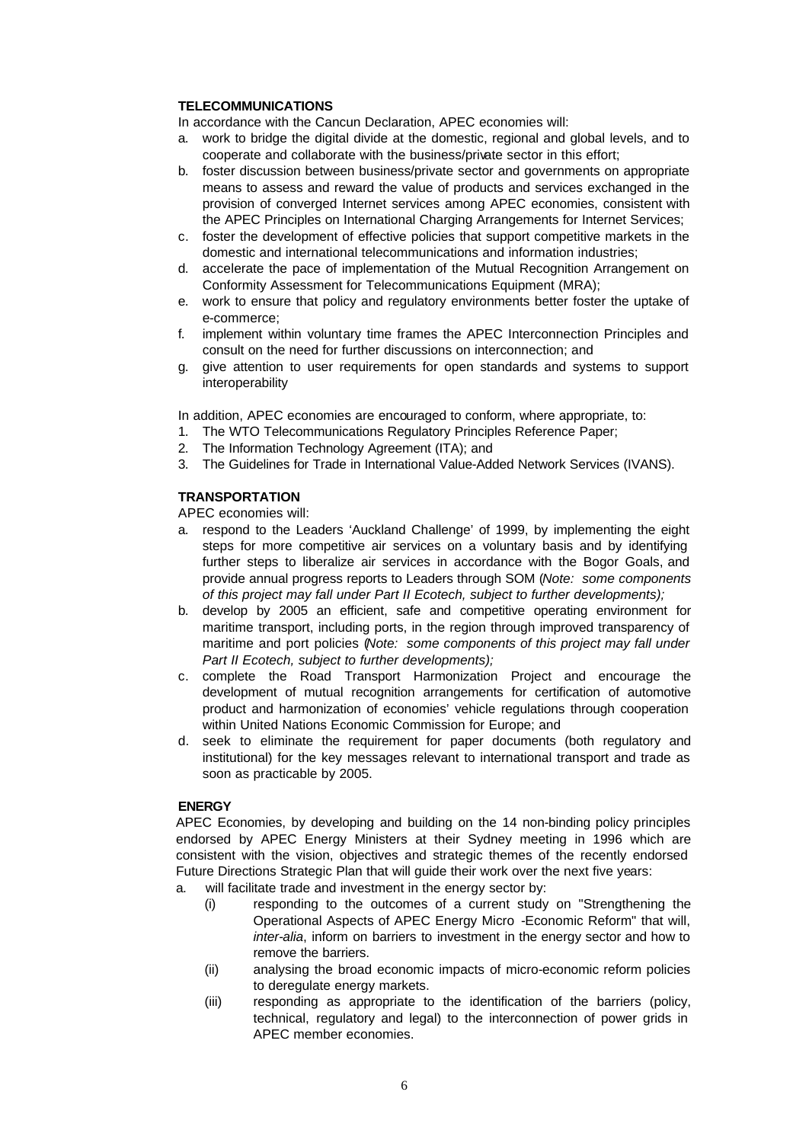### **TELECOMMUNICATIONS**

In accordance with the Cancun Declaration, APEC economies will:

- a. work to bridge the digital divide at the domestic, regional and global levels, and to cooperate and collaborate with the business/private sector in this effort;
- b. foster discussion between business/private sector and governments on appropriate means to assess and reward the value of products and services exchanged in the provision of converged Internet services among APEC economies, consistent with the APEC Principles on International Charging Arrangements for Internet Services;
- c. foster the development of effective policies that support competitive markets in the domestic and international telecommunications and information industries;
- d. accelerate the pace of implementation of the Mutual Recognition Arrangement on Conformity Assessment for Telecommunications Equipment (MRA);
- e. work to ensure that policy and regulatory environments better foster the uptake of e-commerce;
- f. implement within voluntary time frames the APEC Interconnection Principles and consult on the need for further discussions on interconnection; and
- g. give attention to user requirements for open standards and systems to support interoperability

In addition, APEC economies are encouraged to conform, where appropriate, to:

- 1. The WTO Telecommunications Regulatory Principles Reference Paper;
- 2. The Information Technology Agreement (ITA); and
- 3. The Guidelines for Trade in International Value-Added Network Services (IVANS).

### **TRANSPORTATION**

APEC economies will:

- a. respond to the Leaders 'Auckland Challenge' of 1999, by implementing the eight steps for more competitive air services on a voluntary basis and by identifying further steps to liberalize air services in accordance with the Bogor Goals, and provide annual progress reports to Leaders through SOM (*Note: some components of this project may fall under Part II Ecotech, subject to further developments);*
- b. develop by 2005 an efficient, safe and competitive operating environment for maritime transport, including ports, in the region through improved transparency of maritime and port policies (*Note: some components of this project may fall under Part II Ecotech, subject to further developments);*
- c. complete the Road Transport Harmonization Project and encourage the development of mutual recognition arrangements for certification of automotive product and harmonization of economies' vehicle regulations through cooperation within United Nations Economic Commission for Europe; and
- d. seek to eliminate the requirement for paper documents (both regulatory and institutional) for the key messages relevant to international transport and trade as soon as practicable by 2005.

### **ENERGY**

APEC Economies, by developing and building on the 14 non-binding policy principles endorsed by APEC Energy Ministers at their Sydney meeting in 1996 which are consistent with the vision, objectives and strategic themes of the recently endorsed Future Directions Strategic Plan that will guide their work over the next five years:

- a. will facilitate trade and investment in the energy sector by:
	- (i) responding to the outcomes of a current study on "Strengthening the Operational Aspects of APEC Energy Micro -Economic Reform" that will, *inter-alia*, inform on barriers to investment in the energy sector and how to remove the barriers.
	- (ii) analysing the broad economic impacts of micro-economic reform policies to deregulate energy markets.
	- (iii) responding as appropriate to the identification of the barriers (policy, technical, regulatory and legal) to the interconnection of power grids in APEC member economies.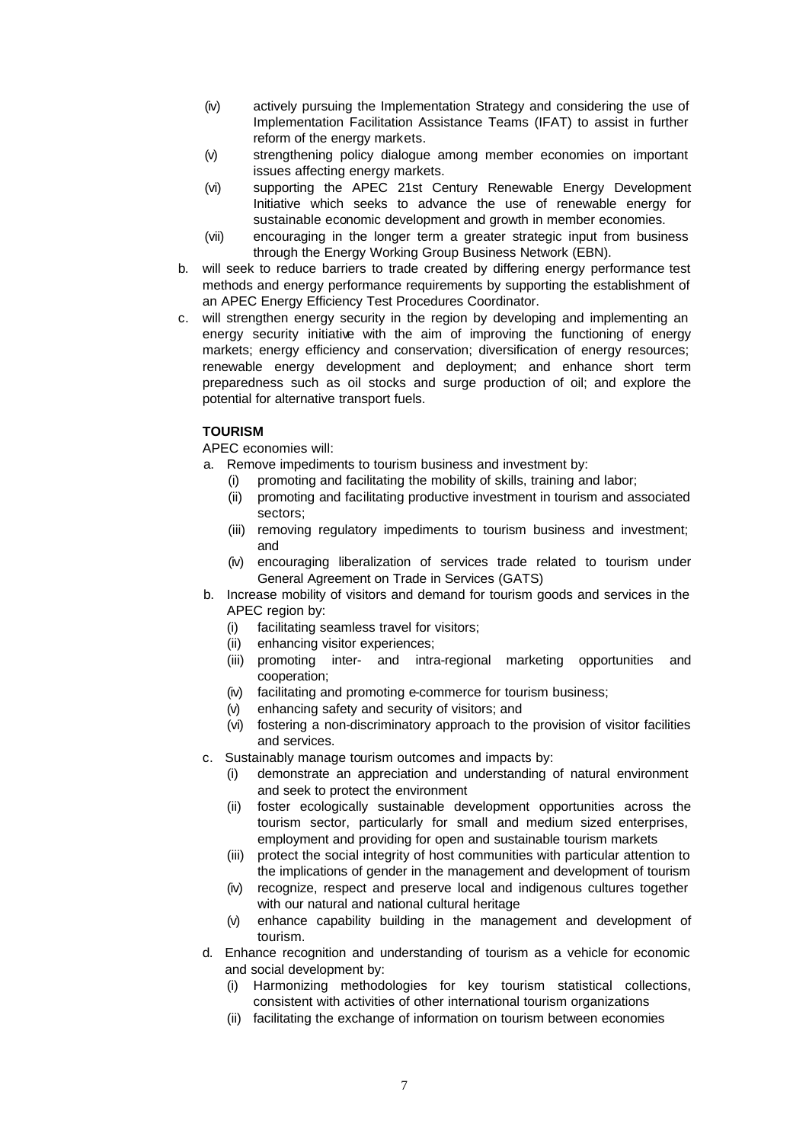- (iv) actively pursuing the Implementation Strategy and considering the use of Implementation Facilitation Assistance Teams (IFAT) to assist in further reform of the energy markets.
- (v) strengthening policy dialogue among member economies on important issues affecting energy markets.
- (vi) supporting the APEC 21st Century Renewable Energy Development Initiative which seeks to advance the use of renewable energy for sustainable economic development and growth in member economies.
- (vii) encouraging in the longer term a greater strategic input from business through the Energy Working Group Business Network (EBN).
- b. will seek to reduce barriers to trade created by differing energy performance test methods and energy performance requirements by supporting the establishment of an APEC Energy Efficiency Test Procedures Coordinator.
- c. will strengthen energy security in the region by developing and implementing an energy security initiative with the aim of improving the functioning of energy markets; energy efficiency and conservation; diversification of energy resources; renewable energy development and deployment; and enhance short term preparedness such as oil stocks and surge production of oil; and explore the potential for alternative transport fuels.

# **TOURISM**

- a. Remove impediments to tourism business and investment by:
	- (i) promoting and facilitating the mobility of skills, training and labor;
	- (ii) promoting and facilitating productive investment in tourism and associated sectors;
	- (iii) removing regulatory impediments to tourism business and investment; and
	- (iv) encouraging liberalization of services trade related to tourism under General Agreement on Trade in Services (GATS)
- b. Increase mobility of visitors and demand for tourism goods and services in the APEC region by:
	- (i) facilitating seamless travel for visitors;
	- (ii) enhancing visitor experiences;
	- (iii) promoting inter- and intra-regional marketing opportunities and cooperation;
	- (iv) facilitating and promoting e-commerce for tourism business;
	- (v) enhancing safety and security of visitors; and
	- (vi) fostering a non-discriminatory approach to the provision of visitor facilities and services.
- c. Sustainably manage tourism outcomes and impacts by:
	- (i) demonstrate an appreciation and understanding of natural environment and seek to protect the environment
	- (ii) foster ecologically sustainable development opportunities across the tourism sector, particularly for small and medium sized enterprises, employment and providing for open and sustainable tourism markets
	- (iii) protect the social integrity of host communities with particular attention to the implications of gender in the management and development of tourism
	- (iv) recognize, respect and preserve local and indigenous cultures together with our natural and national cultural heritage
	- (v) enhance capability building in the management and development of tourism.
- d. Enhance recognition and understanding of tourism as a vehicle for economic and social development by:
	- (i) Harmonizing methodologies for key tourism statistical collections, consistent with activities of other international tourism organizations
	- (ii) facilitating the exchange of information on tourism between economies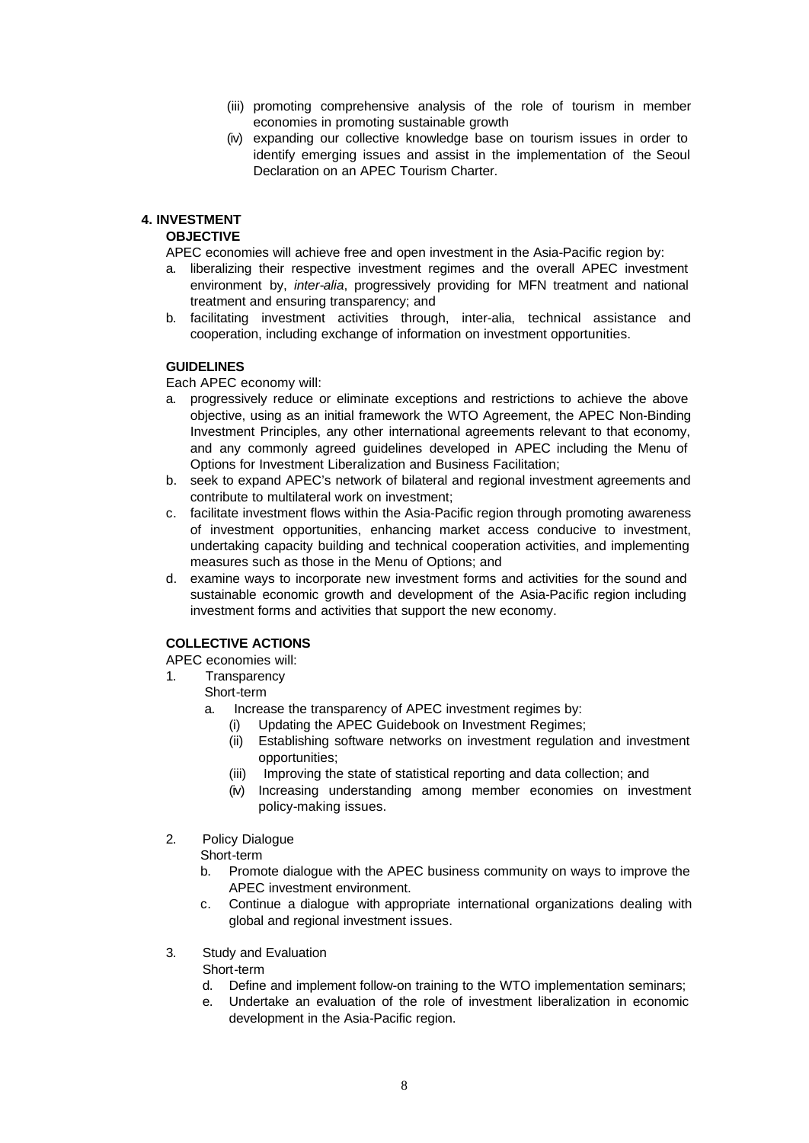- (iii) promoting comprehensive analysis of the role of tourism in member economies in promoting sustainable growth
- (iv) expanding our collective knowledge base on tourism issues in order to identify emerging issues and assist in the implementation of the Seoul Declaration on an APEC Tourism Charter.

# **4. INVESTMENT**

### **OBJECTIVE**

APEC economies will achieve free and open investment in the Asia-Pacific region by:

- a. liberalizing their respective investment regimes and the overall APEC investment environment by, *inter-alia*, progressively providing for MFN treatment and national treatment and ensuring transparency; and
- b. facilitating investment activities through, inter-alia, technical assistance and cooperation, including exchange of information on investment opportunities.

### **GUIDELINES**

Each APEC economy will:

- a. progressively reduce or eliminate exceptions and restrictions to achieve the above objective, using as an initial framework the WTO Agreement, the APEC Non-Binding Investment Principles, any other international agreements relevant to that economy, and any commonly agreed guidelines developed in APEC including the Menu of Options for Investment Liberalization and Business Facilitation;
- b. seek to expand APEC's network of bilateral and regional investment agreements and contribute to multilateral work on investment;
- c. facilitate investment flows within the Asia-Pacific region through promoting awareness of investment opportunities, enhancing market access conducive to investment, undertaking capacity building and technical cooperation activities, and implementing measures such as those in the Menu of Options; and
- d. examine ways to incorporate new investment forms and activities for the sound and sustainable economic growth and development of the Asia-Pacific region including investment forms and activities that support the new economy.

# **COLLECTIVE ACTIONS**

APEC economies will:

- 1. Transparency
	- Short-term
	- a. Increase the transparency of APEC investment regimes by:
		- (i) Updating the APEC Guidebook on Investment Regimes;
		- (ii) Establishing software networks on investment regulation and investment opportunities;
		- (iii) Improving the state of statistical reporting and data collection; and
		- (iv) Increasing understanding among member economies on investment policy-making issues.
- 2. Policy Dialogue

Short-term

- b. Promote dialogue with the APEC business community on ways to improve the APEC investment environment.
- c. Continue a dialogue with appropriate international organizations dealing with global and regional investment issues.
- 3. Study and Evaluation
	- Short-term
	- d. Define and implement follow-on training to the WTO implementation seminars;
	- e. Undertake an evaluation of the role of investment liberalization in economic development in the Asia-Pacific region.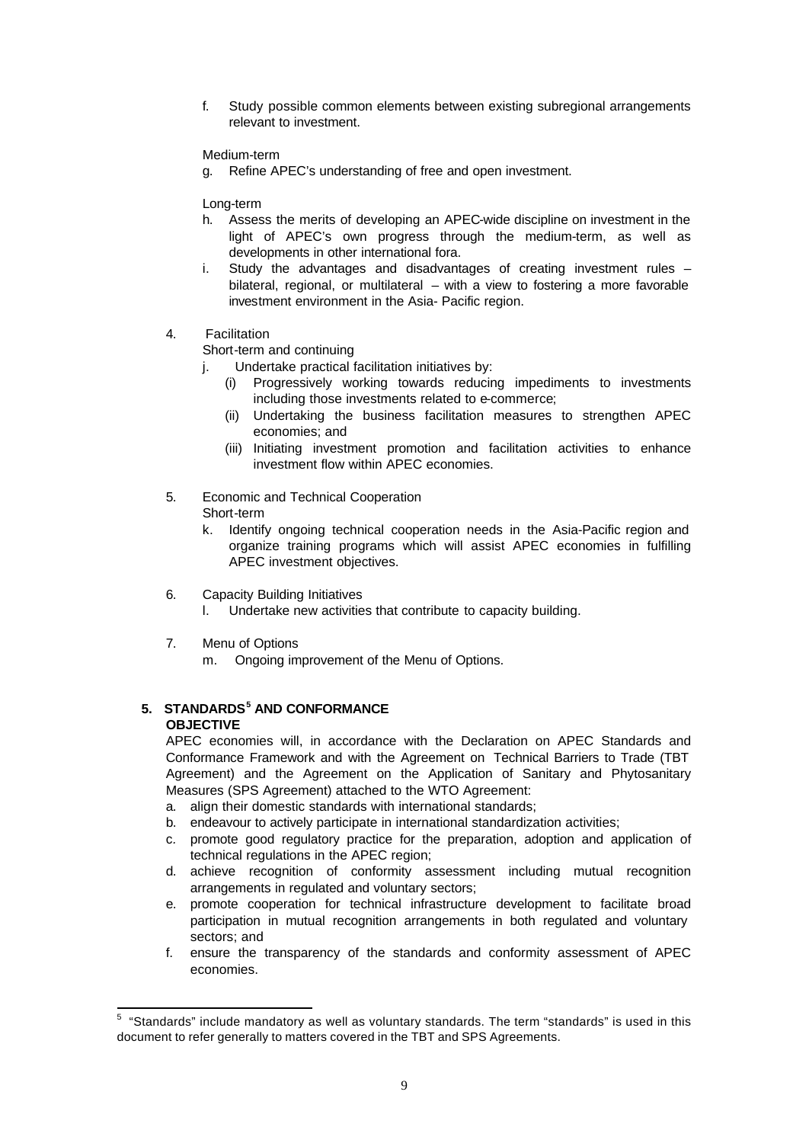f. Study possible common elements between existing subregional arrangements relevant to investment.

Medium-term

g. Refine APEC's understanding of free and open investment.

Long-term

- h. Assess the merits of developing an APEC-wide discipline on investment in the light of APEC's own progress through the medium-term, as well as developments in other international fora.
- i. Study the advantages and disadvantages of creating investment rules bilateral, regional, or multilateral – with a view to fostering a more favorable investment environment in the Asia- Pacific region.
- 4. Facilitation

Short-term and continuing

- j. Undertake practical facilitation initiatives by:
	- (i) Progressively working towards reducing impediments to investments including those investments related to e-commerce;
	- (ii) Undertaking the business facilitation measures to strengthen APEC economies; and
	- (iii) Initiating investment promotion and facilitation activities to enhance investment flow within APEC economies.

### 5. Economic and Technical Cooperation Short-term

- k. Identify ongoing technical cooperation needs in the Asia-Pacific region and organize training programs which will assist APEC economies in fulfilling APEC investment objectives.
- 6. Capacity Building Initiatives
	- l. Undertake new activities that contribute to capacity building.
- 7. Menu of Options

m. Ongoing improvement of the Menu of Options.

# **5. STANDARDS<sup>5</sup> AND CONFORMANCE OBJECTIVE**

APEC economies will, in accordance with the Declaration on APEC Standards and Conformance Framework and with the Agreement on Technical Barriers to Trade (TBT Agreement) and the Agreement on the Application of Sanitary and Phytosanitary Measures (SPS Agreement) attached to the WTO Agreement:

- a. align their domestic standards with international standards;
- b. endeavour to actively participate in international standardization activities;
- c*.* promote good regulatory practice for the preparation, adoption and application of technical regulations in the APEC region;
- d. achieve recognition of conformity assessment including mutual recognition arrangements in regulated and voluntary sectors;
- e. promote cooperation for technical infrastructure development to facilitate broad participation in mutual recognition arrangements in both regulated and voluntary sectors; and
- f. ensure the transparency of the standards and conformity assessment of APEC economies.

 5 "Standards" include mandatory as well as voluntary standards. The term "standards" is used in this document to refer generally to matters covered in the TBT and SPS Agreements.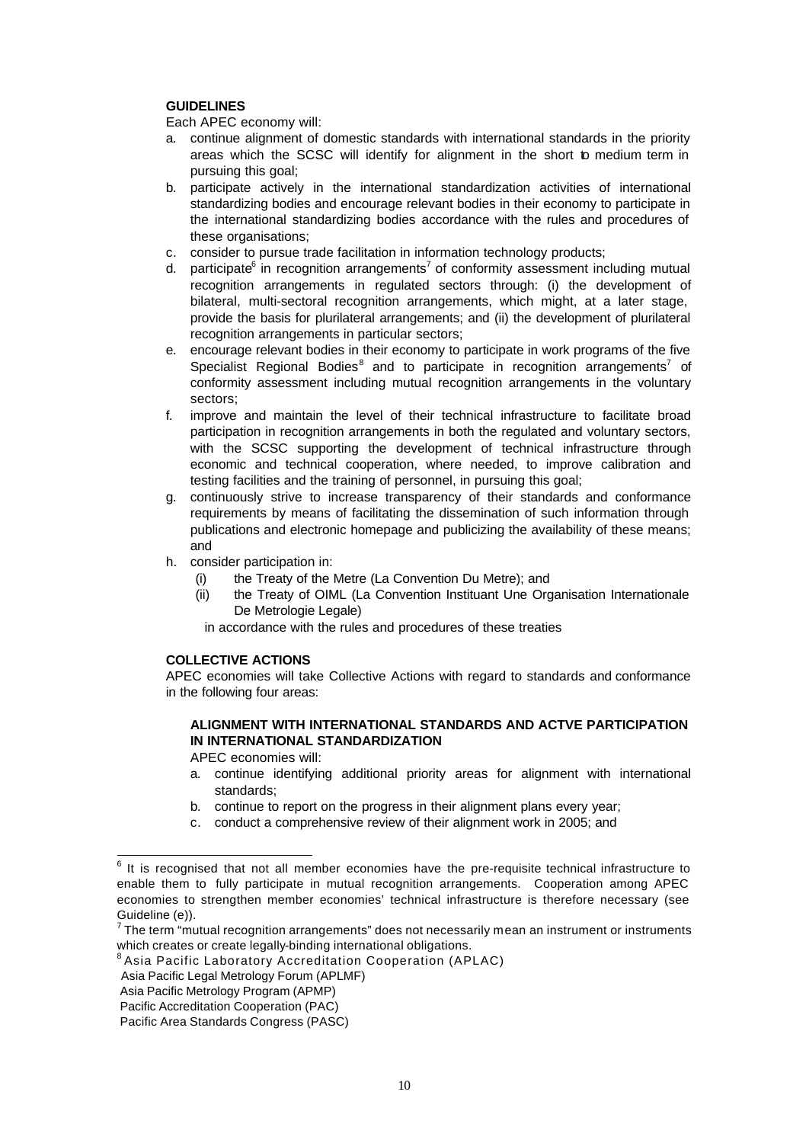### **GUIDELINES**

Each APEC economy will:

- a. continue alignment of domestic standards with international standards in the priority areas which the SCSC will identify for alignment in the short to medium term in pursuing this goal;
- b. participate actively in the international standardization activities of international standardizing bodies and encourage relevant bodies in their economy to participate in the international standardizing bodies accordance with the rules and procedures of these organisations;
- c. consider to pursue trade facilitation in information technology products;
- d. participate<sup>6</sup> in recognition arrangements<sup>7</sup> of conformity assessment including mutual recognition arrangements in regulated sectors through: (i) the development of bilateral, multi-sectoral recognition arrangements, which might, at a later stage, provide the basis for plurilateral arrangements; and (ii) the development of plurilateral recognition arrangements in particular sectors;
- e. encourage relevant bodies in their economy to participate in work programs of the five Specialist Regional Bodies<sup>8</sup> and to participate in recognition arrangements<sup>7</sup> of conformity assessment including mutual recognition arrangements in the voluntary sectors;
- f. improve and maintain the level of their technical infrastructure to facilitate broad participation in recognition arrangements in both the regulated and voluntary sectors, with the SCSC supporting the development of technical infrastructure through economic and technical cooperation, where needed, to improve calibration and testing facilities and the training of personnel, in pursuing this goal;
- g. continuously strive to increase transparency of their standards and conformance requirements by means of facilitating the dissemination of such information through publications and electronic homepage and publicizing the availability of these means; and
- h. consider participation in:
	- (i) the Treaty of the Metre (La Convention Du Metre); and
	- (ii) the Treaty of OIML (La Convention Instituant Une Organisation Internationale De Metrologie Legale)

in accordance with the rules and procedures of these treaties

# **COLLECTIVE ACTIONS**

APEC economies will take Collective Actions with regard to standards and conformance in the following four areas:

# **ALIGNMENT WITH INTERNATIONAL STANDARDS AND ACTVE PARTICIPATION IN INTERNATIONAL STANDARDIZATION**

- a. continue identifying additional priority areas for alignment with international standards;
- b. continue to report on the progress in their alignment plans every year;
- c. conduct a comprehensive review of their alignment work in 2005; and

 6 It is recognised that not all member economies have the pre-requisite technical infrastructure to enable them to fully participate in mutual recognition arrangements. Cooperation among APEC economies to strengthen member economies' technical infrastructure is therefore necessary (see Guideline (e)).

 $7$ The term "mutual recognition arrangements" does not necessarily mean an instrument or instruments which creates or create legally-binding international obligations.

<sup>8</sup> Asia Pacific Laboratory Accreditation Cooperation (APLAC)

Asia Pacific Legal Metrology Forum (APLMF)

Asia Pacific Metrology Program (APMP)

Pacific Accreditation Cooperation (PAC)

Pacific Area Standards Congress (PASC)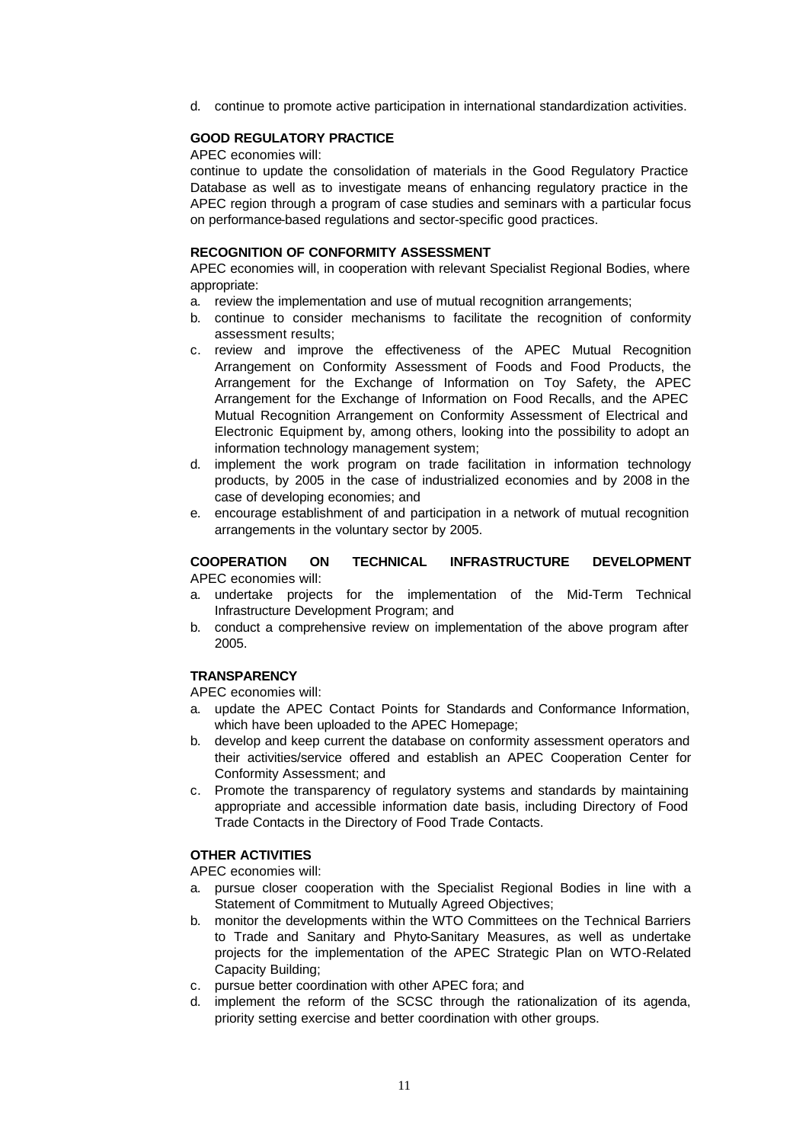d. continue to promote active participation in international standardization activities.

### **GOOD REGULATORY PRACTICE**

APEC economies will:

continue to update the consolidation of materials in the Good Regulatory Practice Database as well as to investigate means of enhancing regulatory practice in the APEC region through a program of case studies and seminars with a particular focus on performance-based regulations and sector-specific good practices.

#### **RECOGNITION OF CONFORMITY ASSESSMENT**

APEC economies will, in cooperation with relevant Specialist Regional Bodies, where appropriate:

- a. review the implementation and use of mutual recognition arrangements;
- b. continue to consider mechanisms to facilitate the recognition of conformity assessment results;
- c. review and improve the effectiveness of the APEC Mutual Recognition Arrangement on Conformity Assessment of Foods and Food Products, the Arrangement for the Exchange of Information on Toy Safety, the APEC Arrangement for the Exchange of Information on Food Recalls, and the APEC Mutual Recognition Arrangement on Conformity Assessment of Electrical and Electronic Equipment by, among others, looking into the possibility to adopt an information technology management system;
- d. implement the work program on trade facilitation in information technology products, by 2005 in the case of industrialized economies and by 2008 in the case of developing economies; and
- e. encourage establishment of and participation in a network of mutual recognition arrangements in the voluntary sector by 2005.

### **COOPERATION ON TECHNICAL INFRASTRUCTURE DEVELOPMENT** APEC economies will:

- a. undertake projects for the implementation of the Mid-Term Technical Infrastructure Development Program; and
- b. conduct a comprehensive review on implementation of the above program after 2005.

# **TRANSPARENCY**

APEC economies will:

- a. update the APEC Contact Points for Standards and Conformance Information, which have been uploaded to the APEC Homepage;
- b. develop and keep current the database on conformity assessment operators and their activities/service offered and establish an APEC Cooperation Center for Conformity Assessment; and
- c. Promote the transparency of regulatory systems and standards by maintaining appropriate and accessible information date basis, including Directory of Food Trade Contacts in the Directory of Food Trade Contacts.

#### **OTHER ACTIVITIES**

- a. pursue closer cooperation with the Specialist Regional Bodies in line with a Statement of Commitment to Mutually Agreed Objectives;
- b. monitor the developments within the WTO Committees on the Technical Barriers to Trade and Sanitary and Phyto-Sanitary Measures, as well as undertake projects for the implementation of the APEC Strategic Plan on WTO-Related Capacity Building;
- c. pursue better coordination with other APEC fora; and
- d. implement the reform of the SCSC through the rationalization of its agenda, priority setting exercise and better coordination with other groups.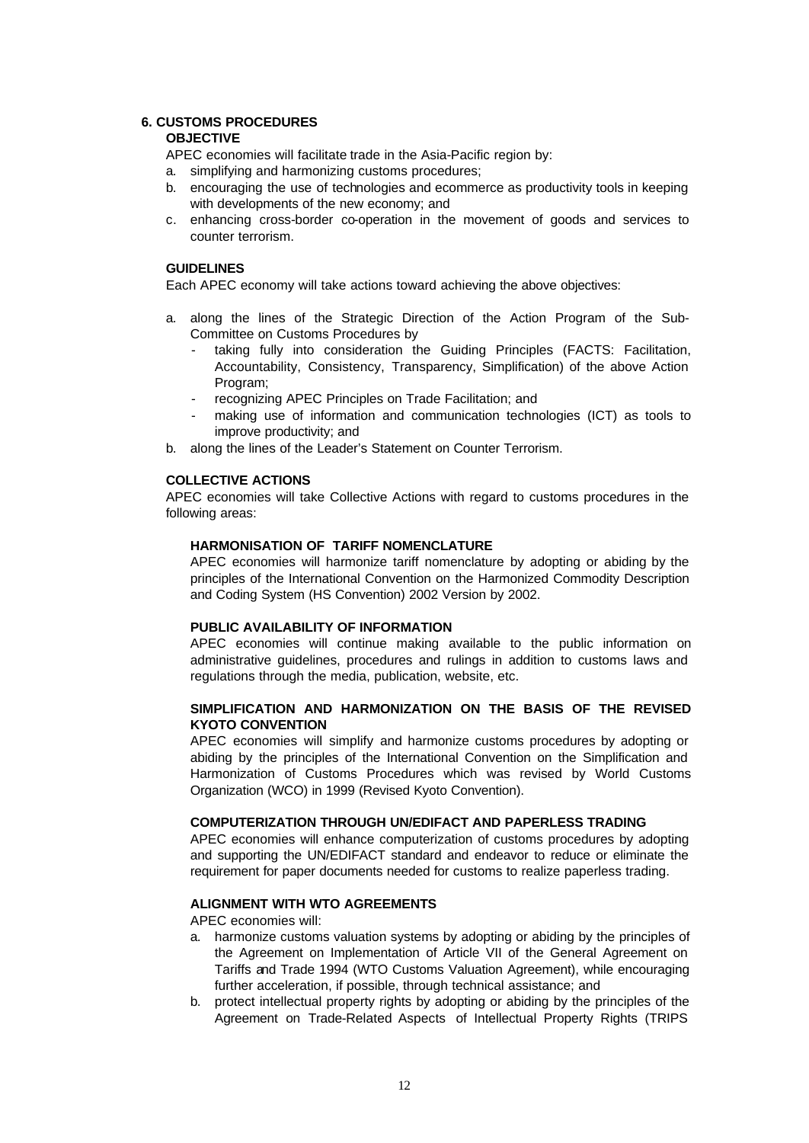### **6. CUSTOMS PROCEDURES**

### **OBJECTIVE**

APEC economies will facilitate trade in the Asia-Pacific region by:

- a. simplifying and harmonizing customs procedures;
- b. encouraging the use of technologies and ecommerce as productivity tools in keeping with developments of the new economy; and
- c. enhancing cross-border co-operation in the movement of goods and services to counter terrorism.

### **GUIDELINES**

Each APEC economy will take actions toward achieving the above objectives:

- a. along the lines of the Strategic Direction of the Action Program of the Sub-Committee on Customs Procedures by
	- taking fully into consideration the Guiding Principles (FACTS: Facilitation, Accountability, Consistency, Transparency, Simplification) of the above Action Program;
	- recognizing APEC Principles on Trade Facilitation; and
	- making use of information and communication technologies (ICT) as tools to improve productivity; and
- b. along the lines of the Leader's Statement on Counter Terrorism.

#### **COLLECTIVE ACTIONS**

APEC economies will take Collective Actions with regard to customs procedures in the following areas:

### **HARMONISATION OF TARIFF NOMENCLATURE**

APEC economies will harmonize tariff nomenclature by adopting or abiding by the principles of the International Convention on the Harmonized Commodity Description and Coding System (HS Convention) 2002 Version by 2002.

#### **PUBLIC AVAILABILITY OF INFORMATION**

APEC economies will continue making available to the public information on administrative guidelines, procedures and rulings in addition to customs laws and regulations through the media, publication, website, etc.

### **SIMPLIFICATION AND HARMONIZATION ON THE BASIS OF THE REVISED KYOTO CONVENTION**

APEC economies will simplify and harmonize customs procedures by adopting or abiding by the principles of the International Convention on the Simplification and Harmonization of Customs Procedures which was revised by World Customs Organization (WCO) in 1999 (Revised Kyoto Convention).

#### **COMPUTERIZATION THROUGH UN/EDIFACT AND PAPERLESS TRADING**

APEC economies will enhance computerization of customs procedures by adopting and supporting the UN/EDIFACT standard and endeavor to reduce or eliminate the requirement for paper documents needed for customs to realize paperless trading.

# **ALIGNMENT WITH WTO AGREEMENTS**

- a. harmonize customs valuation systems by adopting or abiding by the principles of the Agreement on Implementation of Article VII of the General Agreement on Tariffs and Trade 1994 (WTO Customs Valuation Agreement), while encouraging further acceleration, if possible, through technical assistance; and
- b. protect intellectual property rights by adopting or abiding by the principles of the Agreement on Trade-Related Aspects of Intellectual Property Rights (TRIPS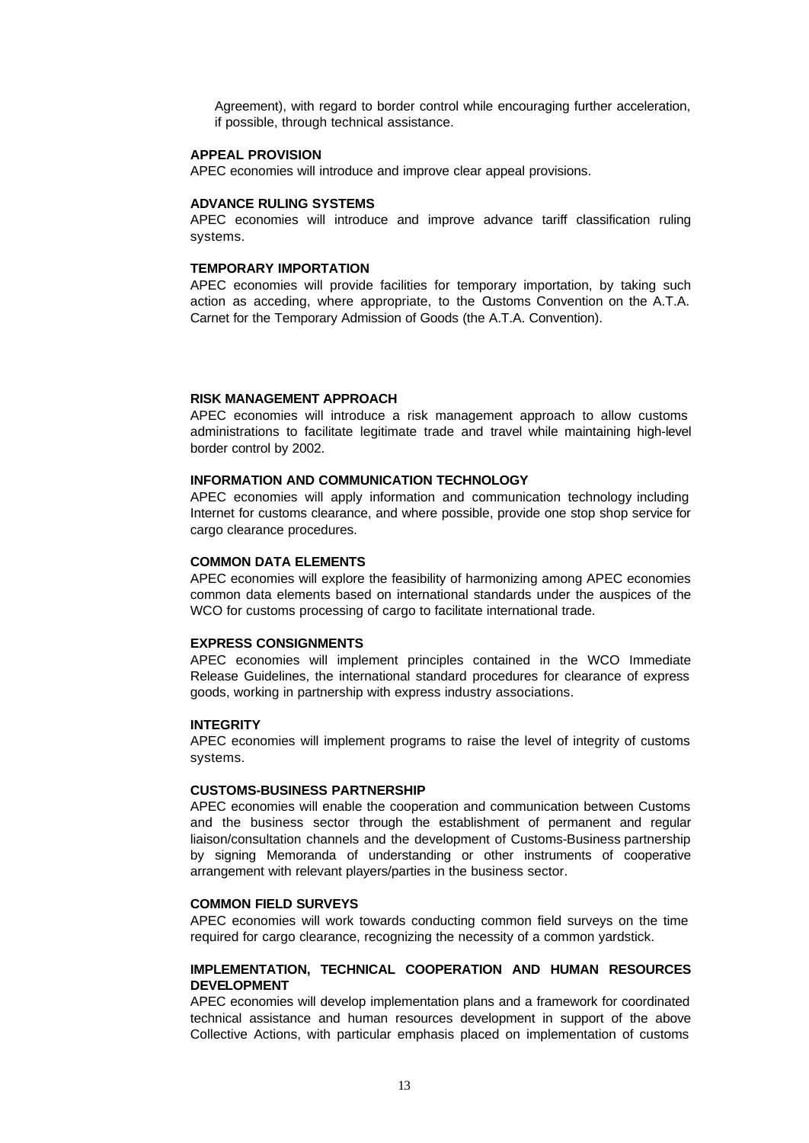Agreement), with regard to border control while encouraging further acceleration, if possible, through technical assistance.

#### **APPEAL PROVISION**

APEC economies will introduce and improve clear appeal provisions.

#### **ADVANCE RULING SYSTEMS**

APEC economies will introduce and improve advance tariff classification ruling systems.

#### **TEMPORARY IMPORTATION**

APEC economies will provide facilities for temporary importation, by taking such action as acceding, where appropriate, to the Customs Convention on the A.T.A. Carnet for the Temporary Admission of Goods (the A.T.A. Convention).

#### **RISK MANAGEMENT APPROACH**

APEC economies will introduce a risk management approach to allow customs administrations to facilitate legitimate trade and travel while maintaining high-level border control by 2002.

#### **INFORMATION AND COMMUNICATION TECHNOLOGY**

APEC economies will apply information and communication technology including Internet for customs clearance, and where possible, provide one stop shop service for cargo clearance procedures.

#### **COMMON DATA ELEMENTS**

APEC economies will explore the feasibility of harmonizing among APEC economies common data elements based on international standards under the auspices of the WCO for customs processing of cargo to facilitate international trade.

#### **EXPRESS CONSIGNMENTS**

APEC economies will implement principles contained in the WCO Immediate Release Guidelines, the international standard procedures for clearance of express goods, working in partnership with express industry associations.

#### **INTEGRITY**

APEC economies will implement programs to raise the level of integrity of customs systems.

#### **CUSTOMS-BUSINESS PARTNERSHIP**

APEC economies will enable the cooperation and communication between Customs and the business sector through the establishment of permanent and regular liaison/consultation channels and the development of Customs-Business partnership by signing Memoranda of understanding or other instruments of cooperative arrangement with relevant players/parties in the business sector.

#### **COMMON FIELD SURVEYS**

APEC economies will work towards conducting common field surveys on the time required for cargo clearance, recognizing the necessity of a common yardstick.

#### **IMPLEMENTATION, TECHNICAL COOPERATION AND HUMAN RESOURCES DEVELOPMENT**

APEC economies will develop implementation plans and a framework for coordinated technical assistance and human resources development in support of the above Collective Actions, with particular emphasis placed on implementation of customs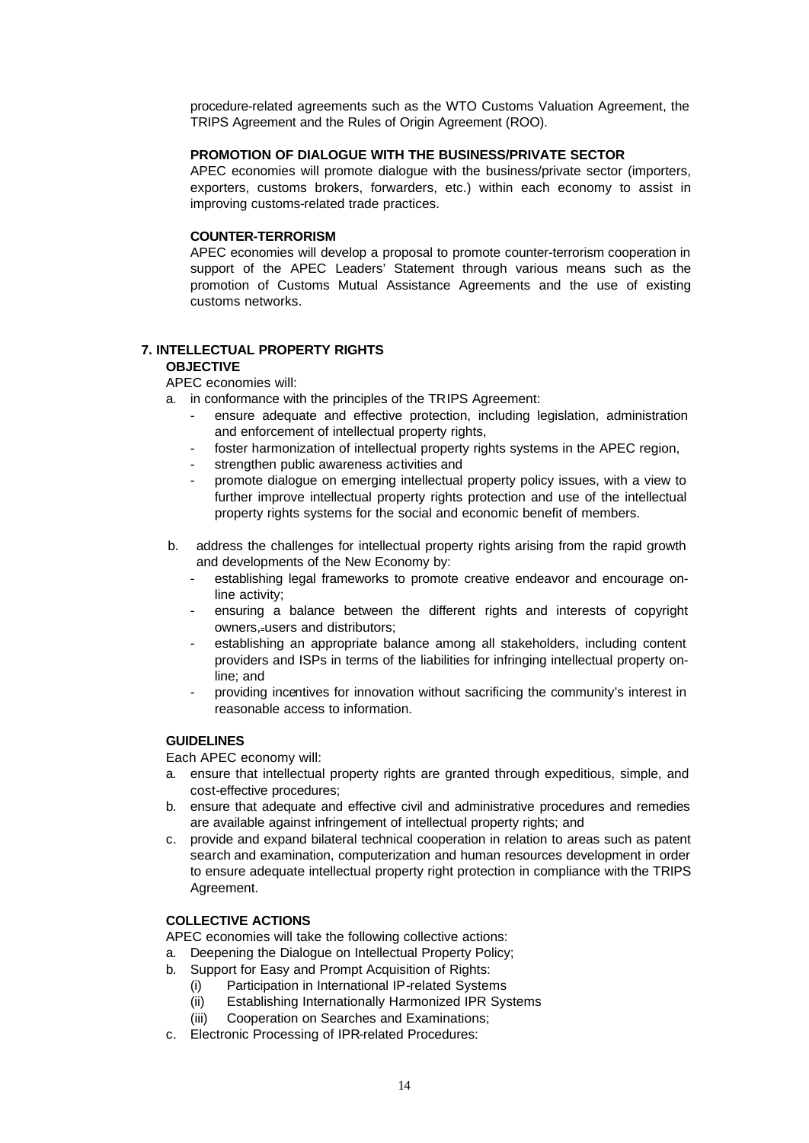procedure-related agreements such as the WTO Customs Valuation Agreement, the TRIPS Agreement and the Rules of Origin Agreement (ROO).

# **PROMOTION OF DIALOGUE WITH THE BUSINESS/PRIVATE SECTOR**

APEC economies will promote dialogue with the business/private sector (importers, exporters, customs brokers, forwarders, etc.) within each economy to assist in improving customs-related trade practices.

### **COUNTER-TERRORISM**

APEC economies will develop a proposal to promote counter-terrorism cooperation in support of the APEC Leaders' Statement through various means such as the promotion of Customs Mutual Assistance Agreements and the use of existing customs networks.

# **7. INTELLECTUAL PROPERTY RIGHTS OBJECTIVE**

APEC economies will:

a. in conformance with the principles of the TRIPS Agreement:

- ensure adequate and effective protection, including legislation, administration and enforcement of intellectual property rights,
- foster harmonization of intellectual property rights systems in the APEC region,
- strengthen public awareness activities and
- promote dialogue on emerging intellectual property policy issues, with a view to further improve intellectual property rights protection and use of the intellectual property rights systems for the social and economic benefit of members.
- b. address the challenges for intellectual property rights arising from the rapid growth and developments of the New Economy by:
	- establishing legal frameworks to promote creative endeavor and encourage online activity;
	- ensuring a balance between the different rights and interests of copyright owners, users and distributors;
	- establishing an appropriate balance among all stakeholders, including content providers and ISPs in terms of the liabilities for infringing intellectual property online; and
	- providing incentives for innovation without sacrificing the community's interest in reasonable access to information.

# **GUIDELINES**

Each APEC economy will:

- a. ensure that intellectual property rights are granted through expeditious, simple, and cost-effective procedures;
- b. ensure that adequate and effective civil and administrative procedures and remedies are available against infringement of intellectual property rights; and
- c. provide and expand bilateral technical cooperation in relation to areas such as patent search and examination, computerization and human resources development in order to ensure adequate intellectual property right protection in compliance with the TRIPS Agreement.

# **COLLECTIVE ACTIONS**

APEC economies will take the following collective actions:

- a. Deepening the Dialogue on Intellectual Property Policy;
- b. Support for Easy and Prompt Acquisition of Rights:
	- (i) Participation in International IP-related Systems
	- (ii) Establishing Internationally Harmonized IPR Systems
	- (iii) Cooperation on Searches and Examinations;
- c. Electronic Processing of IPR-related Procedures: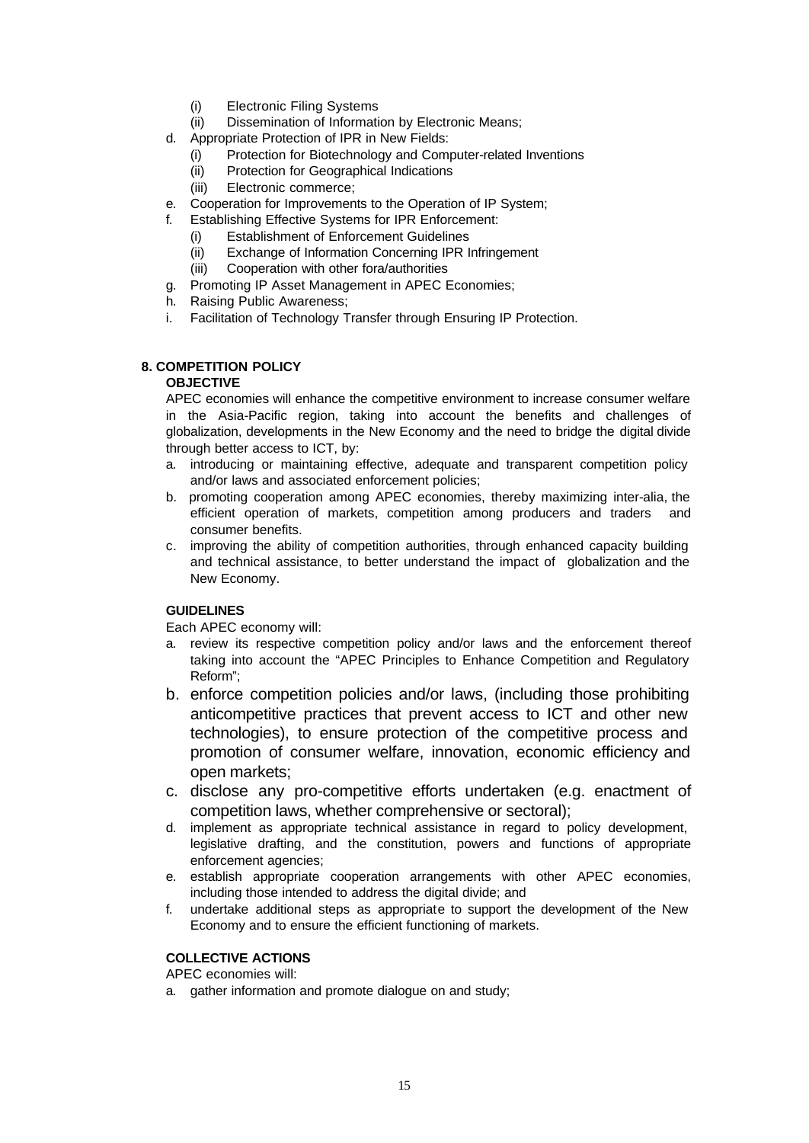- (i) Electronic Filing Systems
- (ii) Dissemination of Information by Electronic Means;
- d. Appropriate Protection of IPR in New Fields:
	- (i) Protection for Biotechnology and Computer-related Inventions
	- (ii) Protection for Geographical Indications
	- (iii) Electronic commerce;
- e. Cooperation for Improvements to the Operation of IP System;
- f. Establishing Effective Systems for IPR Enforcement:
	- (i) Establishment of Enforcement Guidelines
	- (ii) Exchange of Information Concerning IPR Infringement
	- (iii) Cooperation with other fora/authorities
- g. Promoting IP Asset Management in APEC Economies;
- h. Raising Public Awareness;
- i. Facilitation of Technology Transfer through Ensuring IP Protection.

### **8. COMPETITION POLICY**

# **OBJECTIVE**

APEC economies will enhance the competitive environment to increase consumer welfare in the Asia-Pacific region, taking into account the benefits and challenges of globalization, developments in the New Economy and the need to bridge the digital divide through better access to ICT, by:

- a. introducing or maintaining effective, adequate and transparent competition policy and/or laws and associated enforcement policies;
- b. promoting cooperation among APEC economies, thereby maximizing inter-alia, the efficient operation of markets, competition among producers and traders and consumer benefits.
- c. improving the ability of competition authorities, through enhanced capacity building and technical assistance, to better understand the impact of globalization and the New Economy.

# **GUIDELINES**

Each APEC economy will:

- a. review its respective competition policy and/or laws and the enforcement thereof taking into account the "APEC Principles to Enhance Competition and Regulatory Reform";
- b. enforce competition policies and/or laws, (including those prohibiting anticompetitive practices that prevent access to ICT and other new technologies), to ensure protection of the competitive process and promotion of consumer welfare, innovation, economic efficiency and open markets;
- c. disclose any pro-competitive efforts undertaken (e.g. enactment of competition laws, whether comprehensive or sectoral);
- d. implement as appropriate technical assistance in regard to policy development, legislative drafting, and the constitution, powers and functions of appropriate enforcement agencies;
- e. establish appropriate cooperation arrangements with other APEC economies, including those intended to address the digital divide; and
- f. undertake additional steps as appropriate to support the development of the New Economy and to ensure the efficient functioning of markets.

# **COLLECTIVE ACTIONS**

APEC economies will:

a. gather information and promote dialogue on and study;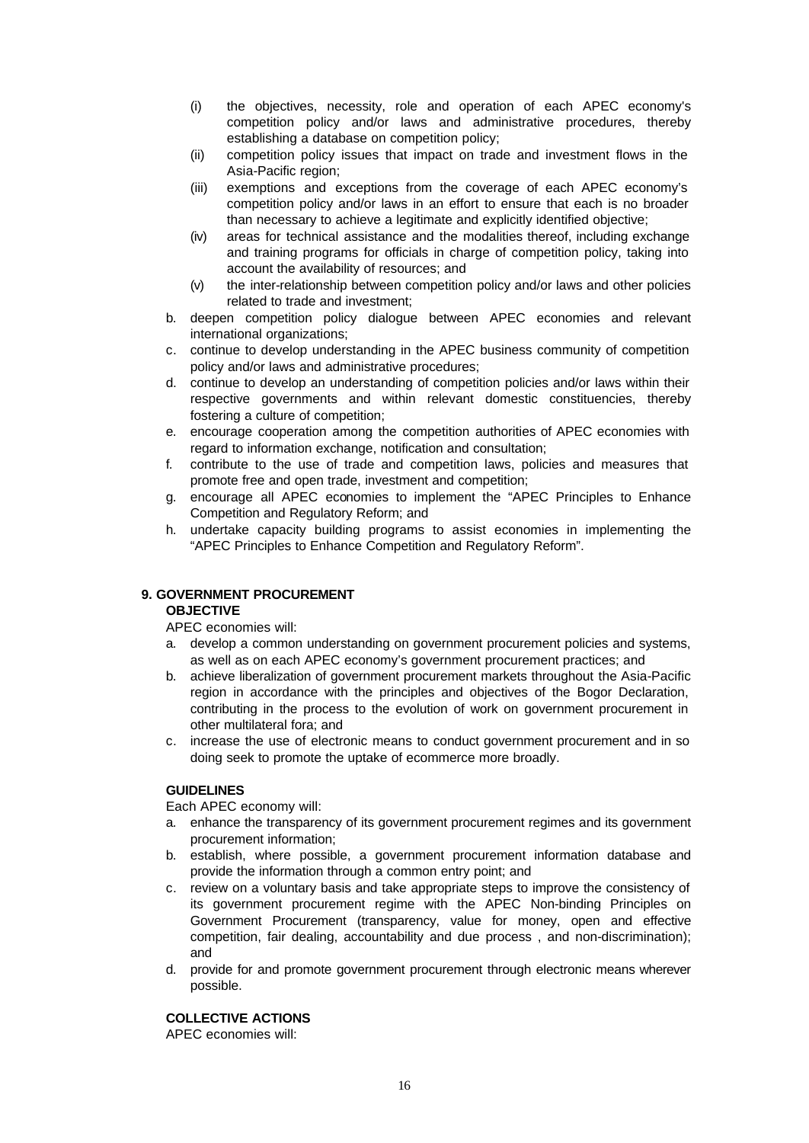- (i) the objectives, necessity, role and operation of each APEC economy's competition policy and/or laws and administrative procedures, thereby establishing a database on competition policy;
- (ii) competition policy issues that impact on trade and investment flows in the Asia-Pacific region;
- (iii) exemptions and exceptions from the coverage of each APEC economy's competition policy and/or laws in an effort to ensure that each is no broader than necessary to achieve a legitimate and explicitly identified objective;
- (iv) areas for technical assistance and the modalities thereof, including exchange and training programs for officials in charge of competition policy, taking into account the availability of resources; and
- (v) the inter-relationship between competition policy and/or laws and other policies related to trade and investment;
- b. deepen competition policy dialogue between APEC economies and relevant international organizations;
- c. continue to develop understanding in the APEC business community of competition policy and/or laws and administrative procedures;
- d. continue to develop an understanding of competition policies and/or laws within their respective governments and within relevant domestic constituencies, thereby fostering a culture of competition;
- e. encourage cooperation among the competition authorities of APEC economies with regard to information exchange, notification and consultation;
- f. contribute to the use of trade and competition laws, policies and measures that promote free and open trade, investment and competition;
- g. encourage all APEC economies to implement the "APEC Principles to Enhance Competition and Regulatory Reform; and
- h. undertake capacity building programs to assist economies in implementing the "APEC Principles to Enhance Competition and Regulatory Reform".

# **9. GOVERNMENT PROCUREMENT**

### **OBJECTIVE**

APEC economies will:

- a. develop a common understanding on government procurement policies and systems, as well as on each APEC economy's government procurement practices; and
- b. achieve liberalization of government procurement markets throughout the Asia-Pacific region in accordance with the principles and objectives of the Bogor Declaration, contributing in the process to the evolution of work on government procurement in other multilateral fora; and
- c. increase the use of electronic means to conduct government procurement and in so doing seek to promote the uptake of ecommerce more broadly.

# **GUIDELINES**

Each APEC economy will:

- a. enhance the transparency of its government procurement regimes and its government procurement information;
- b. establish, where possible, a government procurement information database and provide the information through a common entry point; and
- c. review on a voluntary basis and take appropriate steps to improve the consistency of its government procurement regime with the APEC Non-binding Principles on Government Procurement (transparency, value for money, open and effective competition, fair dealing, accountability and due process , and non-discrimination); and
- d. provide for and promote government procurement through electronic means wherever possible.

### **COLLECTIVE ACTIONS**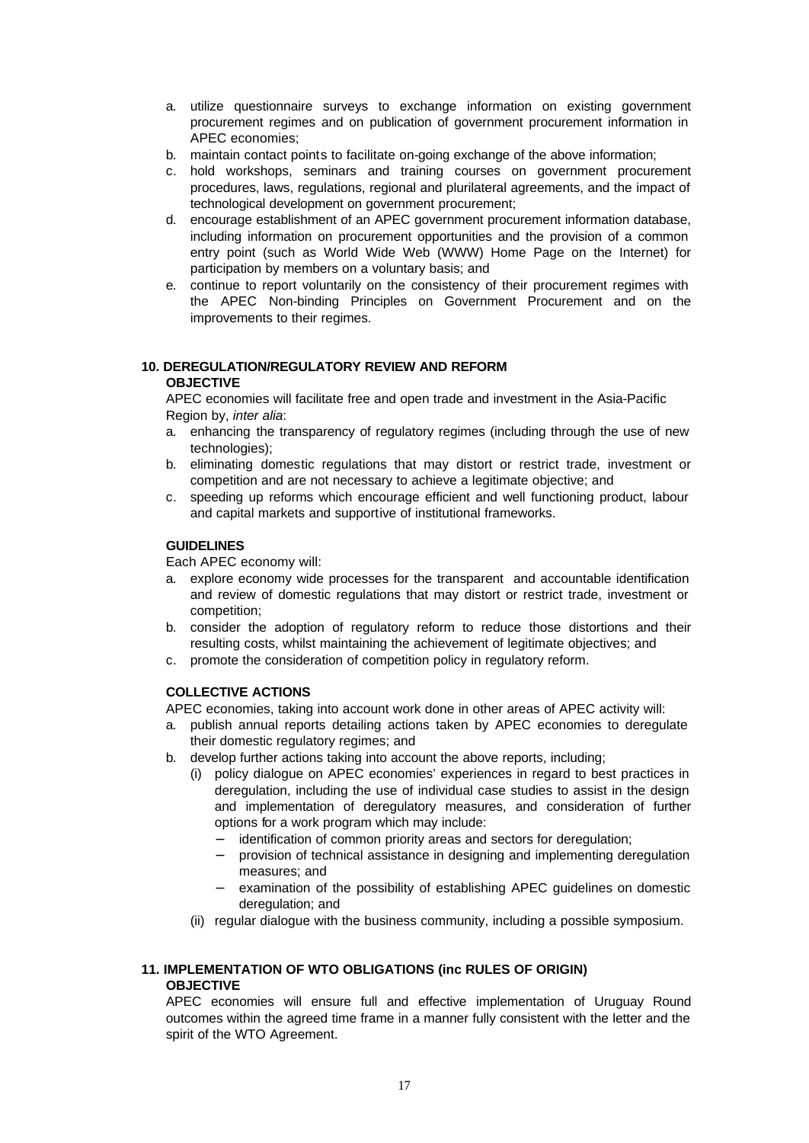- a. utilize questionnaire surveys to exchange information on existing government procurement regimes and on publication of government procurement information in APEC economies;
- b. maintain contact points to facilitate on-going exchange of the above information;
- c. hold workshops, seminars and training courses on government procurement procedures, laws, regulations, regional and plurilateral agreements, and the impact of technological development on government procurement;
- d. encourage establishment of an APEC government procurement information database, including information on procurement opportunities and the provision of a common entry point (such as World Wide Web (WWW) Home Page on the Internet) for participation by members on a voluntary basis; and
- e. continue to report voluntarily on the consistency of their procurement regimes with the APEC Non-binding Principles on Government Procurement and on the improvements to their regimes.

# **10. DEREGULATION/REGULATORY REVIEW AND REFORM**

# **OBJECTIVE**

APEC economies will facilitate free and open trade and investment in the Asia-Pacific Region by, *inter alia*:

- a. enhancing the transparency of regulatory regimes (including through the use of new technologies);
- b. eliminating domestic regulations that may distort or restrict trade, investment or competition and are not necessary to achieve a legitimate objective; and
- c. speeding up reforms which encourage efficient and well functioning product, labour and capital markets and supportive of institutional frameworks.

# **GUIDELINES**

Each APEC economy will:

- a. explore economy wide processes for the transparent and accountable identification and review of domestic regulations that may distort or restrict trade, investment or competition;
- b. consider the adoption of regulatory reform to reduce those distortions and their resulting costs, whilst maintaining the achievement of legitimate objectives; and
- c. promote the consideration of competition policy in regulatory reform.

# **COLLECTIVE ACTIONS**

APEC economies, taking into account work done in other areas of APEC activity will:

- a. publish annual reports detailing actions taken by APEC economies to deregulate their domestic regulatory regimes; and
- b. develop further actions taking into account the above reports, including;
	- (i) policy dialogue on APEC economies' experiences in regard to best practices in deregulation, including the use of individual case studies to assist in the design and implementation of deregulatory measures, and consideration of further options for a work program which may include:
		- − identification of common priority areas and sectors for deregulation;
		- − provision of technical assistance in designing and implementing deregulation measures; and
		- − examination of the possibility of establishing APEC guidelines on domestic deregulation; and
	- (ii) regular dialogue with the business community, including a possible symposium.

# **11. IMPLEMENTATION OF WTO OBLIGATIONS (inc RULES OF ORIGIN) OBJECTIVE**

APEC economies will ensure full and effective implementation of Uruguay Round outcomes within the agreed time frame in a manner fully consistent with the letter and the spirit of the WTO Agreement.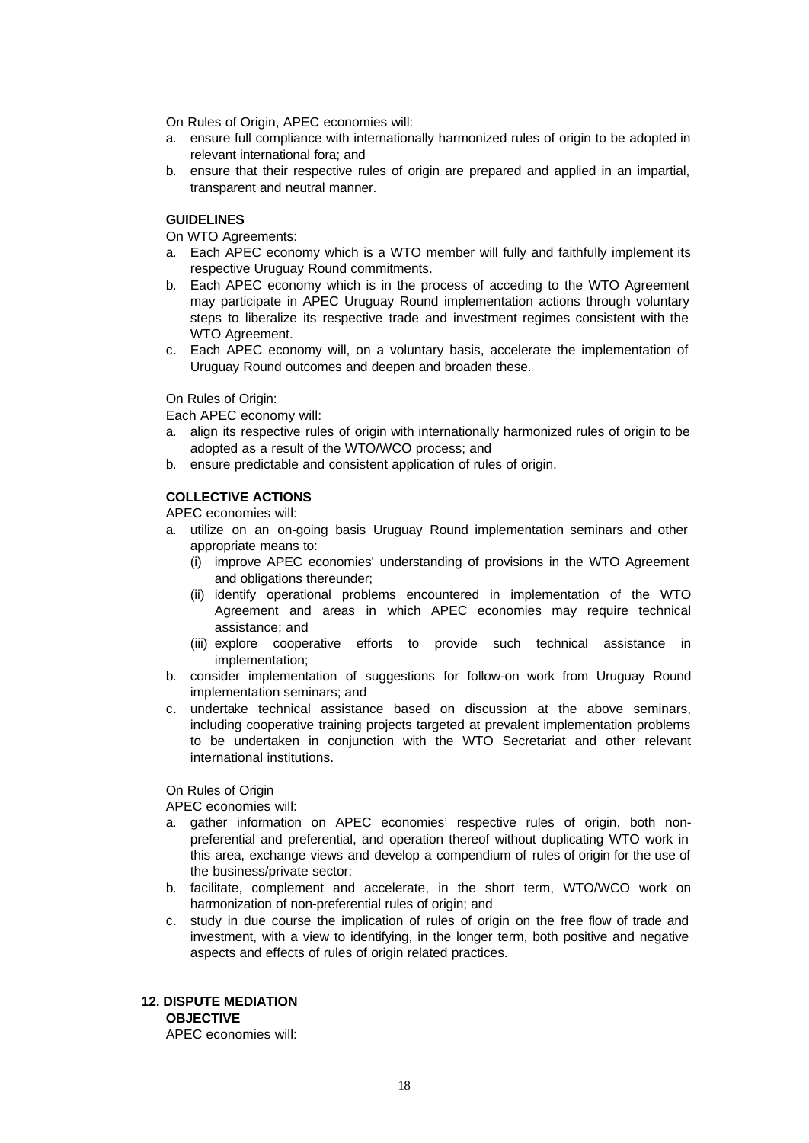On Rules of Origin, APEC economies will:

- a. ensure full compliance with internationally harmonized rules of origin to be adopted in relevant international fora; and
- b. ensure that their respective rules of origin are prepared and applied in an impartial, transparent and neutral manner.

#### **GUIDELINES**

On WTO Agreements:

- a. Each APEC economy which is a WTO member will fully and faithfully implement its respective Uruguay Round commitments.
- b. Each APEC economy which is in the process of acceding to the WTO Agreement may participate in APEC Uruguay Round implementation actions through voluntary steps to liberalize its respective trade and investment regimes consistent with the WTO Agreement.
- c. Each APEC economy will, on a voluntary basis, accelerate the implementation of Uruguay Round outcomes and deepen and broaden these.

On Rules of Origin:

Each APEC economy will:

- a. align its respective rules of origin with internationally harmonized rules of origin to be adopted as a result of the WTO/WCO process; and
- b. ensure predictable and consistent application of rules of origin.

### **COLLECTIVE ACTIONS**

APEC economies will:

- a. utilize on an on-going basis Uruguay Round implementation seminars and other appropriate means to:
	- (i) improve APEC economies' understanding of provisions in the WTO Agreement and obligations thereunder;
	- (ii) identify operational problems encountered in implementation of the WTO Agreement and areas in which APEC economies may require technical assistance; and
	- (iii) explore cooperative efforts to provide such technical assistance in implementation;
- b. consider implementation of suggestions for follow-on work from Uruguay Round implementation seminars; and
- c. undertake technical assistance based on discussion at the above seminars, including cooperative training projects targeted at prevalent implementation problems to be undertaken in conjunction with the WTO Secretariat and other relevant international institutions.

On Rules of Origin

APEC economies will:

- a. gather information on APEC economies' respective rules of origin, both nonpreferential and preferential, and operation thereof without duplicating WTO work in this area, exchange views and develop a compendium of rules of origin for the use of the business/private sector;
- b. facilitate, complement and accelerate, in the short term, WTO/WCO work on harmonization of non-preferential rules of origin; and
- c. study in due course the implication of rules of origin on the free flow of trade and investment, with a view to identifying, in the longer term, both positive and negative aspects and effects of rules of origin related practices.

# **12. DISPUTE MEDIATION**

**OBJECTIVE**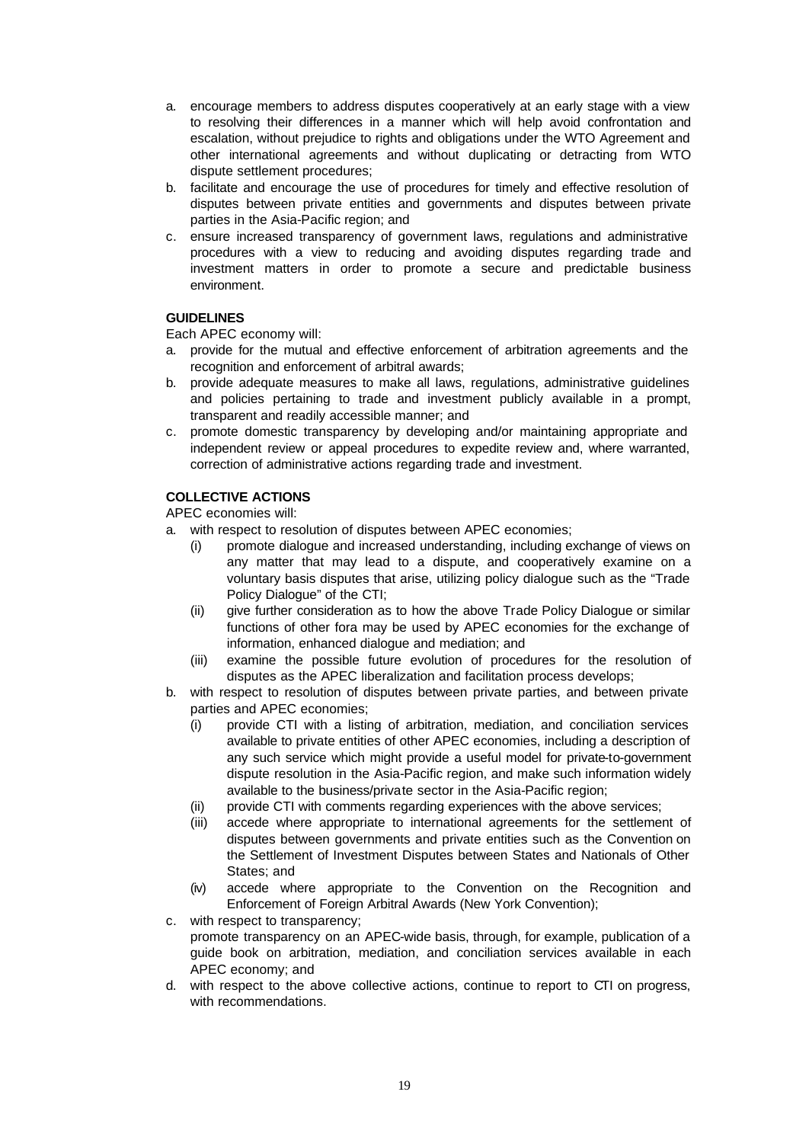- a. encourage members to address disputes cooperatively at an early stage with a view to resolving their differences in a manner which will help avoid confrontation and escalation, without prejudice to rights and obligations under the WTO Agreement and other international agreements and without duplicating or detracting from WTO dispute settlement procedures;
- b. facilitate and encourage the use of procedures for timely and effective resolution of disputes between private entities and governments and disputes between private parties in the Asia-Pacific region; and
- c. ensure increased transparency of government laws, regulations and administrative procedures with a view to reducing and avoiding disputes regarding trade and investment matters in order to promote a secure and predictable business environment.

# **GUIDELINES**

Each APEC economy will:

- a. provide for the mutual and effective enforcement of arbitration agreements and the recognition and enforcement of arbitral awards;
- b. provide adequate measures to make all laws, regulations, administrative guidelines and policies pertaining to trade and investment publicly available in a prompt, transparent and readily accessible manner; and
- c. promote domestic transparency by developing and/or maintaining appropriate and independent review or appeal procedures to expedite review and, where warranted, correction of administrative actions regarding trade and investment.

### **COLLECTIVE ACTIONS**

- a. with respect to resolution of disputes between APEC economies;
	- (i) promote dialogue and increased understanding, including exchange of views on any matter that may lead to a dispute, and cooperatively examine on a voluntary basis disputes that arise, utilizing policy dialogue such as the "Trade Policy Dialogue" of the CTI;
	- (ii) give further consideration as to how the above Trade Policy Dialogue or similar functions of other fora may be used by APEC economies for the exchange of information, enhanced dialogue and mediation; and
	- (iii) examine the possible future evolution of procedures for the resolution of disputes as the APEC liberalization and facilitation process develops;
- b. with respect to resolution of disputes between private parties, and between private parties and APEC economies;
	- (i) provide CTI with a listing of arbitration, mediation, and conciliation services available to private entities of other APEC economies, including a description of any such service which might provide a useful model for private-to-government dispute resolution in the Asia-Pacific region, and make such information widely available to the business/private sector in the Asia-Pacific region;
	- (ii) provide CTI with comments regarding experiences with the above services;
	- (iii) accede where appropriate to international agreements for the settlement of disputes between governments and private entities such as the Convention on the Settlement of Investment Disputes between States and Nationals of Other States; and
	- (iv) accede where appropriate to the Convention on the Recognition and Enforcement of Foreign Arbitral Awards (New York Convention);
- c. with respect to transparency; promote transparency on an APEC-wide basis, through, for example, publication of a guide book on arbitration, mediation, and conciliation services available in each APEC economy; and
- d. with respect to the above collective actions, continue to report to CTI on progress, with recommendations.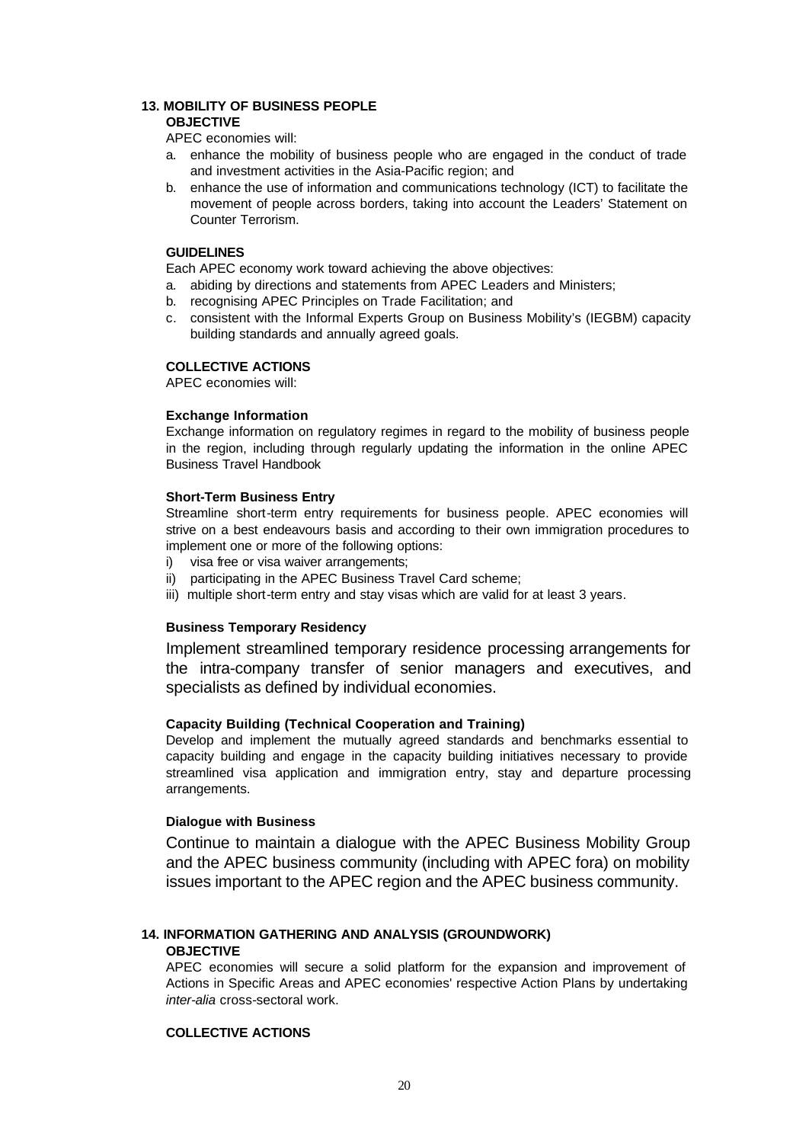#### **13. MOBILITY OF BUSINESS PEOPLE OBJECTIVE**

APEC economies will:

- a. enhance the mobility of business people who are engaged in the conduct of trade and investment activities in the Asia-Pacific region; and
- b. enhance the use of information and communications technology (ICT) to facilitate the movement of people across borders, taking into account the Leaders' Statement on Counter Terrorism.

### **GUIDELINES**

Each APEC economy work toward achieving the above objectives:

- a. abiding by directions and statements from APEC Leaders and Ministers;
- b. recognising APEC Principles on Trade Facilitation; and
- c. consistent with the Informal Experts Group on Business Mobility's (IEGBM) capacity building standards and annually agreed goals.

# **COLLECTIVE ACTIONS**

APEC economies will:

### **Exchange Information**

Exchange information on regulatory regimes in regard to the mobility of business people in the region, including through regularly updating the information in the online APEC Business Travel Handbook

#### **Short-Term Business Entry**

Streamline short-term entry requirements for business people. APEC economies will strive on a best endeavours basis and according to their own immigration procedures to implement one or more of the following options:

- i) visa free or visa waiver arrangements;
- ii) participating in the APEC Business Travel Card scheme;
- iii) multiple short-term entry and stay visas which are valid for at least 3 years.

# **Business Temporary Residency**

Implement streamlined temporary residence processing arrangements for the intra-company transfer of senior managers and executives, and specialists as defined by individual economies.

### **Capacity Building (Technical Cooperation and Training)**

Develop and implement the mutually agreed standards and benchmarks essential to capacity building and engage in the capacity building initiatives necessary to provide streamlined visa application and immigration entry, stay and departure processing arrangements.

### **Dialogue with Business**

Continue to maintain a dialogue with the APEC Business Mobility Group and the APEC business community (including with APEC fora) on mobility issues important to the APEC region and the APEC business community.

# **14. INFORMATION GATHERING AND ANALYSIS (GROUNDWORK)**

#### **OBJECTIVE**

APEC economies will secure a solid platform for the expansion and improvement of Actions in Specific Areas and APEC economies' respective Action Plans by undertaking *inter-alia* cross-sectoral work.

# **COLLECTIVE ACTIONS**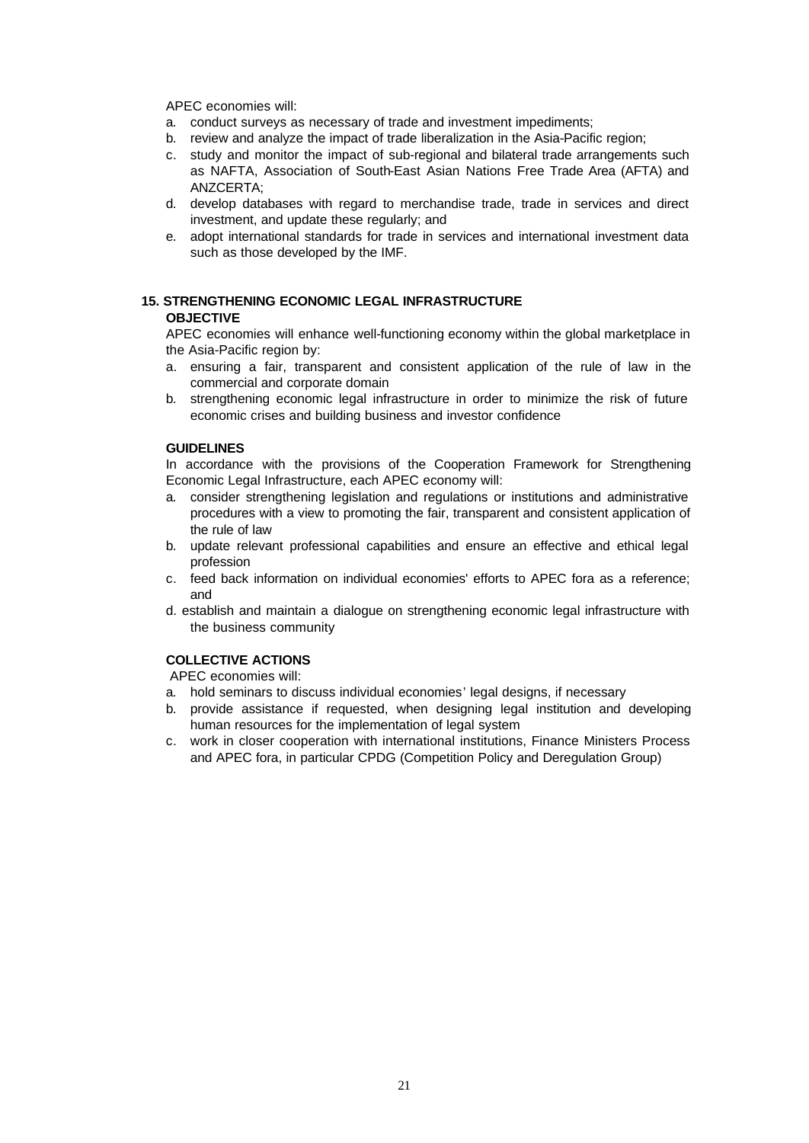APEC economies will:

- a. conduct surveys as necessary of trade and investment impediments;
- b. review and analyze the impact of trade liberalization in the Asia-Pacific region;
- c. study and monitor the impact of sub-regional and bilateral trade arrangements such as NAFTA, Association of South-East Asian Nations Free Trade Area (AFTA) and ANZCERTA;
- d. develop databases with regard to merchandise trade, trade in services and direct investment, and update these regularly; and
- e. adopt international standards for trade in services and international investment data such as those developed by the IMF.

# **15. STRENGTHENING ECONOMIC LEGAL INFRASTRUCTURE OBJECTIVE**

APEC economies will enhance well-functioning economy within the global marketplace in the Asia-Pacific region by:

- a. ensuring a fair, transparent and consistent application of the rule of law in the commercial and corporate domain
- b. strengthening economic legal infrastructure in order to minimize the risk of future economic crises and building business and investor confidence

### **GUIDELINES**

In accordance with the provisions of the Cooperation Framework for Strengthening Economic Legal Infrastructure, each APEC economy will:

- a. consider strengthening legislation and regulations or institutions and administrative procedures with a view to promoting the fair, transparent and consistent application of the rule of law
- b. update relevant professional capabilities and ensure an effective and ethical legal profession
- c. feed back information on individual economies' efforts to APEC fora as a reference; and
- d. establish and maintain a dialogue on strengthening economic legal infrastructure with the business community

# **COLLECTIVE ACTIONS**

- a. hold seminars to discuss individual economies' legal designs, if necessary
- b. provide assistance if requested, when designing legal institution and developing human resources for the implementation of legal system
- c. work in closer cooperation with international institutions, Finance Ministers Process and APEC fora, in particular CPDG (Competition Policy and Deregulation Group)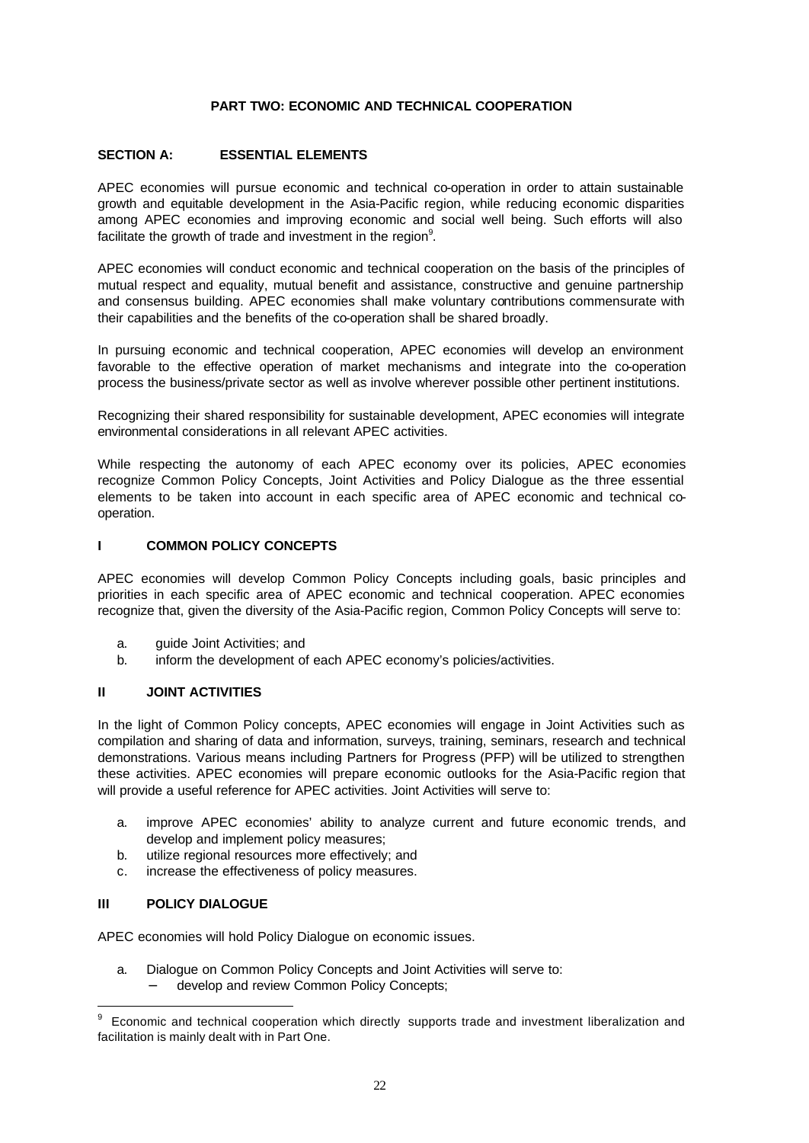### **PART TWO: ECONOMIC AND TECHNICAL COOPERATION**

### **SECTION A: ESSENTIAL ELEMENTS**

APEC economies will pursue economic and technical co-operation in order to attain sustainable growth and equitable development in the Asia-Pacific region, while reducing economic disparities among APEC economies and improving economic and social well being. Such efforts will also facilitate the growth of trade and investment in the region $9$ .

APEC economies will conduct economic and technical cooperation on the basis of the principles of mutual respect and equality, mutual benefit and assistance, constructive and genuine partnership and consensus building. APEC economies shall make voluntary contributions commensurate with their capabilities and the benefits of the co-operation shall be shared broadly.

In pursuing economic and technical cooperation, APEC economies will develop an environment favorable to the effective operation of market mechanisms and integrate into the co-operation process the business/private sector as well as involve wherever possible other pertinent institutions.

Recognizing their shared responsibility for sustainable development, APEC economies will integrate environmental considerations in all relevant APEC activities.

While respecting the autonomy of each APEC economy over its policies, APEC economies recognize Common Policy Concepts, Joint Activities and Policy Dialogue as the three essential elements to be taken into account in each specific area of APEC economic and technical cooperation.

### **I COMMON POLICY CONCEPTS**

APEC economies will develop Common Policy Concepts including goals, basic principles and priorities in each specific area of APEC economic and technical cooperation. APEC economies recognize that, given the diversity of the Asia-Pacific region, Common Policy Concepts will serve to:

- a. guide Joint Activities; and
- b. inform the development of each APEC economy's policies/activities.

### **II JOINT ACTIVITIES**

In the light of Common Policy concepts, APEC economies will engage in Joint Activities such as compilation and sharing of data and information, surveys, training, seminars, research and technical demonstrations. Various means including Partners for Progress (PFP) will be utilized to strengthen these activities. APEC economies will prepare economic outlooks for the Asia-Pacific region that will provide a useful reference for APEC activities. Joint Activities will serve to:

- a. improve APEC economies' ability to analyze current and future economic trends, and develop and implement policy measures;
- b. utilize regional resources more effectively; and
- c. increase the effectiveness of policy measures.

### **III POLICY DIALOGUE**

l

APEC economies will hold Policy Dialogue on economic issues.

- a. Dialogue on Common Policy Concepts and Joint Activities will serve to:
	- develop and review Common Policy Concepts;

<sup>9</sup> Economic and technical cooperation which directly supports trade and investment liberalization and facilitation is mainly dealt with in Part One.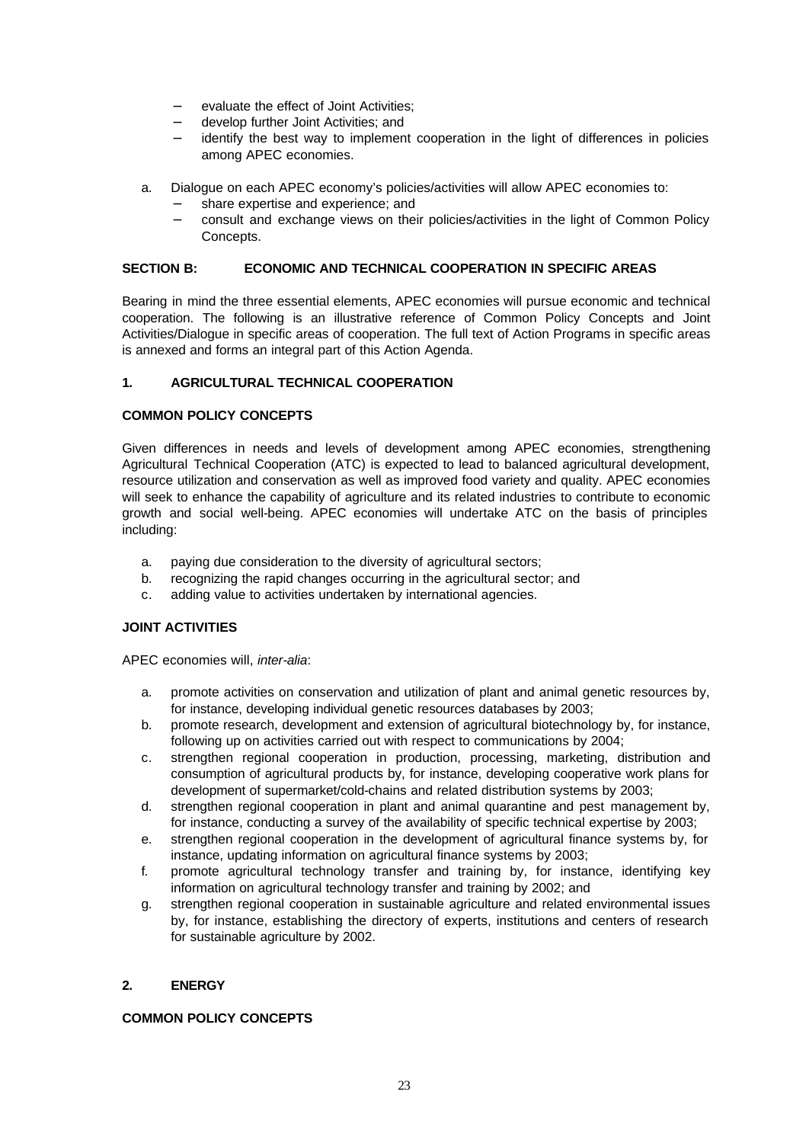- − evaluate the effect of Joint Activities;
- − develop further Joint Activities; and
- identify the best way to implement cooperation in the light of differences in policies among APEC economies.
- a. Dialogue on each APEC economy's policies/activities will allow APEC economies to:
	- share expertise and experience; and
	- consult and exchange views on their policies/activities in the light of Common Policy Concepts.

### **SECTION B: ECONOMIC AND TECHNICAL COOPERATION IN SPECIFIC AREAS**

Bearing in mind the three essential elements, APEC economies will pursue economic and technical cooperation. The following is an illustrative reference of Common Policy Concepts and Joint Activities/Dialogue in specific areas of cooperation. The full text of Action Programs in specific areas is annexed and forms an integral part of this Action Agenda.

# **1. AGRICULTURAL TECHNICAL COOPERATION**

# **COMMON POLICY CONCEPTS**

Given differences in needs and levels of development among APEC economies, strengthening Agricultural Technical Cooperation (ATC) is expected to lead to balanced agricultural development, resource utilization and conservation as well as improved food variety and quality. APEC economies will seek to enhance the capability of agriculture and its related industries to contribute to economic growth and social well-being. APEC economies will undertake ATC on the basis of principles including:

- a. paying due consideration to the diversity of agricultural sectors;
- b. recognizing the rapid changes occurring in the agricultural sector; and
- c. adding value to activities undertaken by international agencies.

# **JOINT ACTIVITIES**

APEC economies will, *inter-alia*:

- a. promote activities on conservation and utilization of plant and animal genetic resources by, for instance, developing individual genetic resources databases by 2003;
- b. promote research, development and extension of agricultural biotechnology by, for instance, following up on activities carried out with respect to communications by 2004;
- c. strengthen regional cooperation in production, processing, marketing, distribution and consumption of agricultural products by, for instance, developing cooperative work plans for development of supermarket/cold-chains and related distribution systems by 2003;
- d. strengthen regional cooperation in plant and animal quarantine and pest management by, for instance, conducting a survey of the availability of specific technical expertise by 2003;
- e. strengthen regional cooperation in the development of agricultural finance systems by, for instance, updating information on agricultural finance systems by 2003;
- f. promote agricultural technology transfer and training by, for instance, identifying key information on agricultural technology transfer and training by 2002; and
- g. strengthen regional cooperation in sustainable agriculture and related environmental issues by, for instance, establishing the directory of experts, institutions and centers of research for sustainable agriculture by 2002.

# **2. ENERGY**

# **COMMON POLICY CONCEPTS**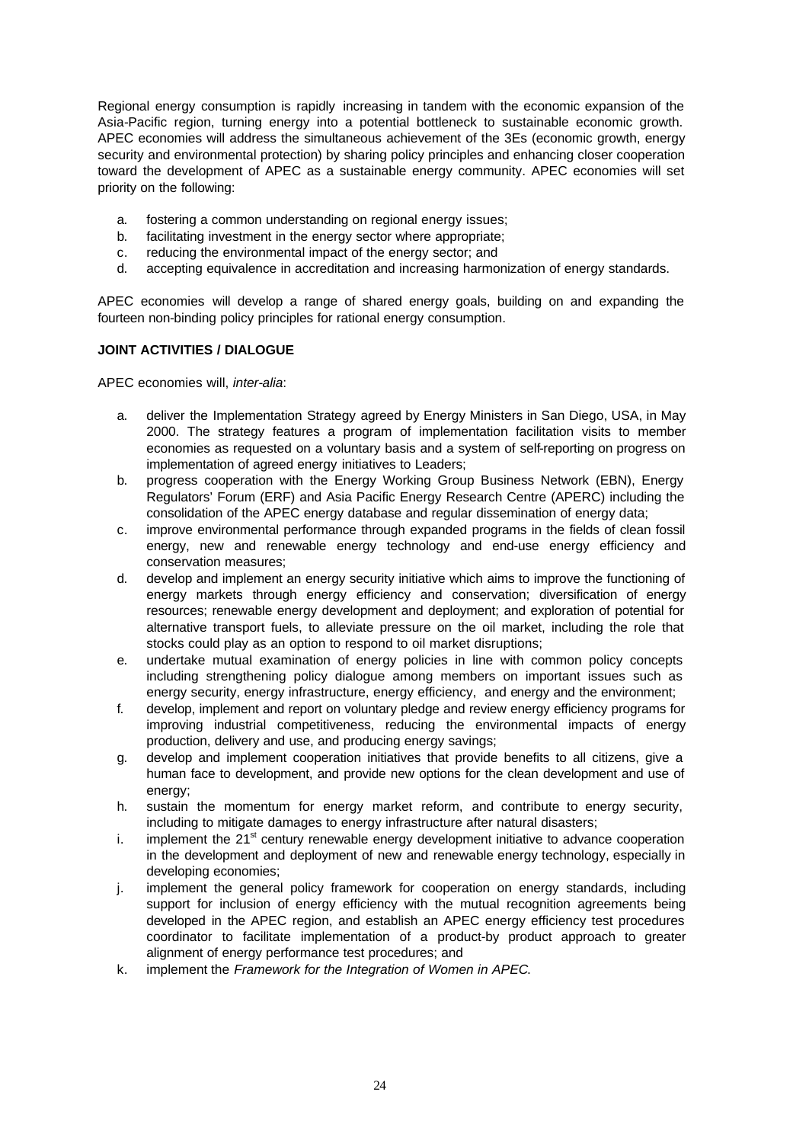Regional energy consumption is rapidly increasing in tandem with the economic expansion of the Asia-Pacific region, turning energy into a potential bottleneck to sustainable economic growth. APEC economies will address the simultaneous achievement of the 3Es (economic growth, energy security and environmental protection) by sharing policy principles and enhancing closer cooperation toward the development of APEC as a sustainable energy community. APEC economies will set priority on the following:

- a. fostering a common understanding on regional energy issues;
- b. facilitating investment in the energy sector where appropriate;
- c. reducing the environmental impact of the energy sector; and
- d. accepting equivalence in accreditation and increasing harmonization of energy standards.

APEC economies will develop a range of shared energy goals, building on and expanding the fourteen non-binding policy principles for rational energy consumption.

# **JOINT ACTIVITIES / DIALOGUE**

APEC economies will, *inter-alia*:

- a. deliver the Implementation Strategy agreed by Energy Ministers in San Diego, USA, in May 2000. The strategy features a program of implementation facilitation visits to member economies as requested on a voluntary basis and a system of self-reporting on progress on implementation of agreed energy initiatives to Leaders;
- b. progress cooperation with the Energy Working Group Business Network (EBN), Energy Regulators' Forum (ERF) and Asia Pacific Energy Research Centre (APERC) including the consolidation of the APEC energy database and regular dissemination of energy data;
- c. improve environmental performance through expanded programs in the fields of clean fossil energy, new and renewable energy technology and end-use energy efficiency and conservation measures;
- d. develop and implement an energy security initiative which aims to improve the functioning of energy markets through energy efficiency and conservation; diversification of energy resources; renewable energy development and deployment; and exploration of potential for alternative transport fuels, to alleviate pressure on the oil market, including the role that stocks could play as an option to respond to oil market disruptions;
- e. undertake mutual examination of energy policies in line with common policy concepts including strengthening policy dialogue among members on important issues such as energy security, energy infrastructure, energy efficiency, and energy and the environment;
- f. develop, implement and report on voluntary pledge and review energy efficiency programs for improving industrial competitiveness, reducing the environmental impacts of energy production, delivery and use, and producing energy savings;
- g. develop and implement cooperation initiatives that provide benefits to all citizens, give a human face to development, and provide new options for the clean development and use of energy;
- h. sustain the momentum for energy market reform, and contribute to energy security, including to mitigate damages to energy infrastructure after natural disasters;
- i. implement the  $21<sup>st</sup>$  century renewable energy development initiative to advance cooperation in the development and deployment of new and renewable energy technology, especially in developing economies;
- j. implement the general policy framework for cooperation on energy standards, including support for inclusion of energy efficiency with the mutual recognition agreements being developed in the APEC region, and establish an APEC energy efficiency test procedures coordinator to facilitate implementation of a product-by product approach to greater alignment of energy performance test procedures; and
- k. implement the *Framework for the Integration of Women in APEC*.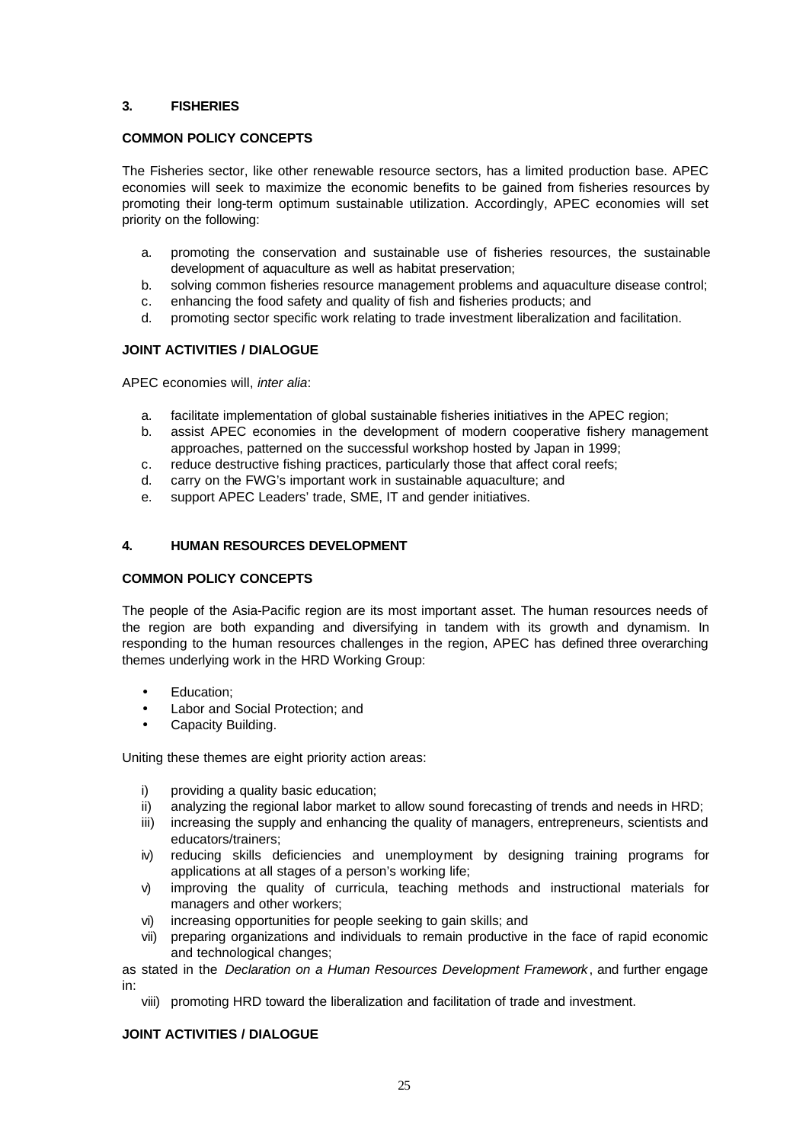### **3. FISHERIES**

### **COMMON POLICY CONCEPTS**

The Fisheries sector, like other renewable resource sectors, has a limited production base. APEC economies will seek to maximize the economic benefits to be gained from fisheries resources by promoting their long-term optimum sustainable utilization. Accordingly, APEC economies will set priority on the following:

- a. promoting the conservation and sustainable use of fisheries resources, the sustainable development of aquaculture as well as habitat preservation;
- b. solving common fisheries resource management problems and aquaculture disease control;
- c. enhancing the food safety and quality of fish and fisheries products; and
- d. promoting sector specific work relating to trade investment liberalization and facilitation.

### **JOINT ACTIVITIES / DIALOGUE**

APEC economies will, *inter alia*:

- a. facilitate implementation of global sustainable fisheries initiatives in the APEC region;
- b. assist APEC economies in the development of modern cooperative fishery management approaches, patterned on the successful workshop hosted by Japan in 1999;
- c. reduce destructive fishing practices, particularly those that affect coral reefs;
- d. carry on the FWG's important work in sustainable aquaculture; and
- e. support APEC Leaders' trade, SME, IT and gender initiatives.

### **4. HUMAN RESOURCES DEVELOPMENT**

### **COMMON POLICY CONCEPTS**

The people of the Asia-Pacific region are its most important asset. The human resources needs of the region are both expanding and diversifying in tandem with its growth and dynamism. In responding to the human resources challenges in the region, APEC has defined three overarching themes underlying work in the HRD Working Group:

- Education:
- Labor and Social Protection; and
- Capacity Building.

Uniting these themes are eight priority action areas:

- i) providing a quality basic education;
- ii) analyzing the regional labor market to allow sound forecasting of trends and needs in HRD;
- iii) increasing the supply and enhancing the quality of managers, entrepreneurs, scientists and educators/trainers;
- iv) reducing skills deficiencies and unemployment by designing training programs for applications at all stages of a person's working life;
- v) improving the quality of curricula, teaching methods and instructional materials for managers and other workers;
- vi) increasing opportunities for people seeking to gain skills; and
- vii) preparing organizations and individuals to remain productive in the face of rapid economic and technological changes;

as stated in the *Declaration on a Human Resources Development Framework*, and further engage in:

viii) promoting HRD toward the liberalization and facilitation of trade and investment.

### **JOINT ACTIVITIES / DIALOGUE**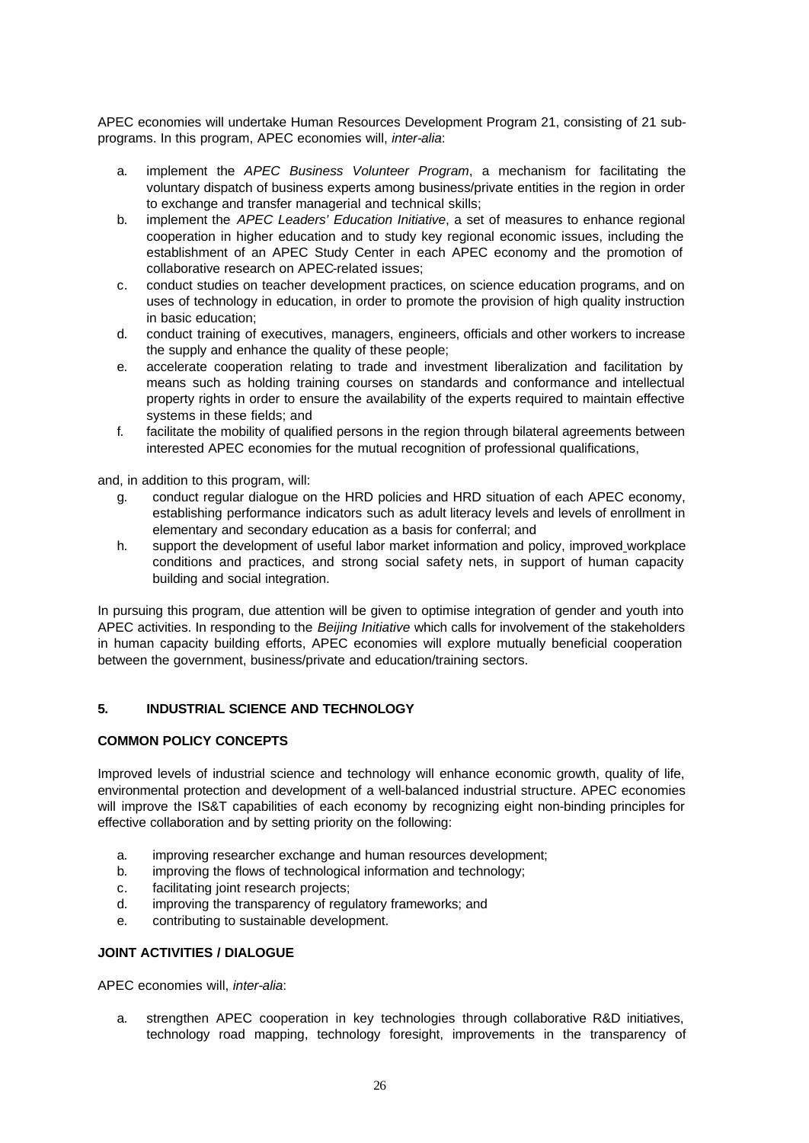APEC economies will undertake Human Resources Development Program 21, consisting of 21 subprograms. In this program, APEC economies will, *inter-alia*:

- a. implement the *APEC Business Volunteer Program*, a mechanism for facilitating the voluntary dispatch of business experts among business/private entities in the region in order to exchange and transfer managerial and technical skills;
- b. implement the *APEC Leaders' Education Initiative*, a set of measures to enhance regional cooperation in higher education and to study key regional economic issues, including the establishment of an APEC Study Center in each APEC economy and the promotion of collaborative research on APEC-related issues;
- c. conduct studies on teacher development practices, on science education programs, and on uses of technology in education, in order to promote the provision of high quality instruction in basic education;
- d. conduct training of executives, managers, engineers, officials and other workers to increase the supply and enhance the quality of these people;
- e. accelerate cooperation relating to trade and investment liberalization and facilitation by means such as holding training courses on standards and conformance and intellectual property rights in order to ensure the availability of the experts required to maintain effective systems in these fields; and
- f. facilitate the mobility of qualified persons in the region through bilateral agreements between interested APEC economies for the mutual recognition of professional qualifications,

and, in addition to this program, will:

- g. conduct regular dialogue on the HRD policies and HRD situation of each APEC economy, establishing performance indicators such as adult literacy levels and levels of enrollment in elementary and secondary education as a basis for conferral; and
- h. support the development of useful labor market information and policy, improved workplace conditions and practices, and strong social safety nets, in support of human capacity building and social integration.

In pursuing this program, due attention will be given to optimise integration of gender and youth into APEC activities. In responding to the *Beijing Initiative* which calls for involvement of the stakeholders in human capacity building efforts, APEC economies will explore mutually beneficial cooperation between the government, business/private and education/training sectors.

# **5. INDUSTRIAL SCIENCE AND TECHNOLOGY**

# **COMMON POLICY CONCEPTS**

Improved levels of industrial science and technology will enhance economic growth, quality of life, environmental protection and development of a well-balanced industrial structure. APEC economies will improve the IS&T capabilities of each economy by recognizing eight non-binding principles for effective collaboration and by setting priority on the following:

- a. improving researcher exchange and human resources development;
- b. improving the flows of technological information and technology;
- c. facilitating joint research projects;
- d. improving the transparency of regulatory frameworks; and
- e. contributing to sustainable development.

### **JOINT ACTIVITIES / DIALOGUE**

APEC economies will, *inter-alia*:

a. strengthen APEC cooperation in key technologies through collaborative R&D initiatives, technology road mapping, technology foresight, improvements in the transparency of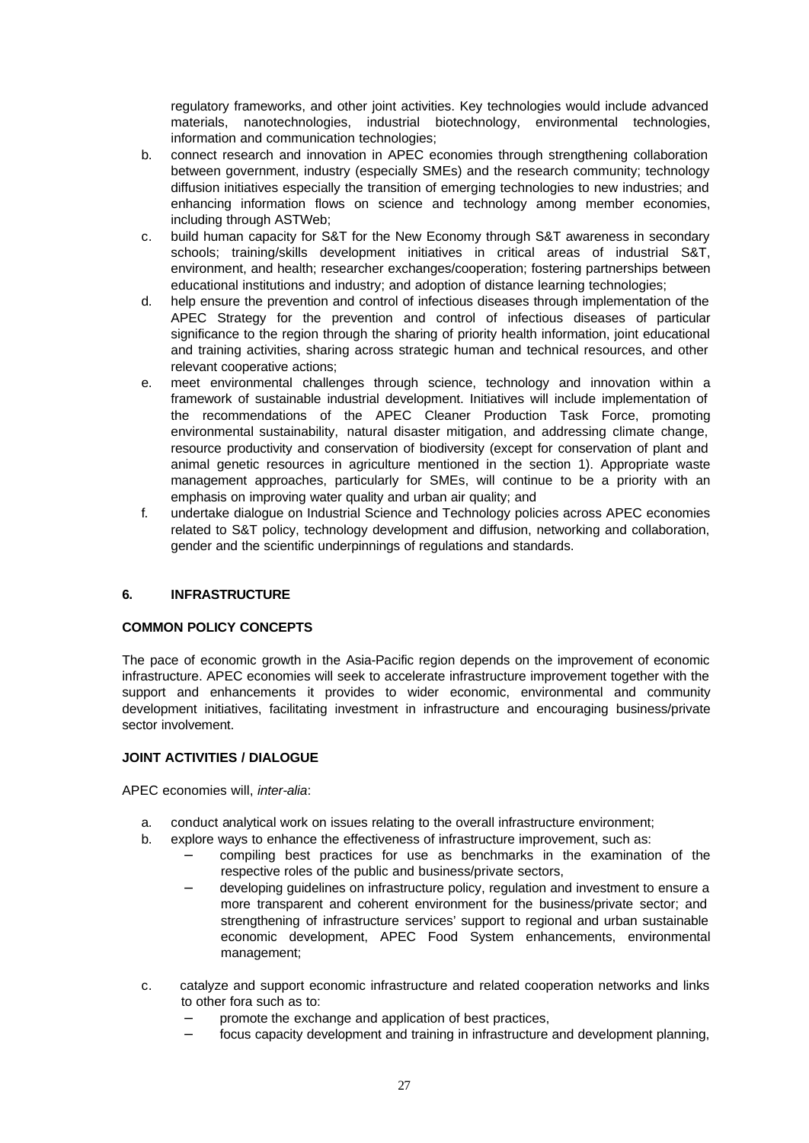regulatory frameworks, and other joint activities. Key technologies would include advanced materials, nanotechnologies, industrial biotechnology, environmental technologies, information and communication technologies;

- b. connect research and innovation in APEC economies through strengthening collaboration between government, industry (especially SMEs) and the research community; technology diffusion initiatives especially the transition of emerging technologies to new industries; and enhancing information flows on science and technology among member economies, including through ASTWeb;
- c. build human capacity for S&T for the New Economy through S&T awareness in secondary schools; training/skills development initiatives in critical areas of industrial S&T, environment, and health; researcher exchanges/cooperation; fostering partnerships between educational institutions and industry; and adoption of distance learning technologies;
- d. help ensure the prevention and control of infectious diseases through implementation of the APEC Strategy for the prevention and control of infectious diseases of particular significance to the region through the sharing of priority health information, joint educational and training activities, sharing across strategic human and technical resources, and other relevant cooperative actions;
- e. meet environmental challenges through science, technology and innovation within a framework of sustainable industrial development. Initiatives will include implementation of the recommendations of the APEC Cleaner Production Task Force, promoting environmental sustainability, natural disaster mitigation, and addressing climate change, resource productivity and conservation of biodiversity (except for conservation of plant and animal genetic resources in agriculture mentioned in the section 1). Appropriate waste management approaches, particularly for SMEs, will continue to be a priority with an emphasis on improving water quality and urban air quality; and
- f. undertake dialogue on Industrial Science and Technology policies across APEC economies related to S&T policy, technology development and diffusion, networking and collaboration, gender and the scientific underpinnings of regulations and standards.

# **6. INFRASTRUCTURE**

### **COMMON POLICY CONCEPTS**

The pace of economic growth in the Asia-Pacific region depends on the improvement of economic infrastructure. APEC economies will seek to accelerate infrastructure improvement together with the support and enhancements it provides to wider economic, environmental and community development initiatives, facilitating investment in infrastructure and encouraging business/private sector involvement.

### **JOINT ACTIVITIES / DIALOGUE**

APEC economies will, *inter-alia*:

- a. conduct analytical work on issues relating to the overall infrastructure environment;
- b. explore ways to enhance the effectiveness of infrastructure improvement, such as:
	- − compiling best practices for use as benchmarks in the examination of the respective roles of the public and business/private sectors,
	- − developing guidelines on infrastructure policy, regulation and investment to ensure a more transparent and coherent environment for the business/private sector; and strengthening of infrastructure services' support to regional and urban sustainable economic development, APEC Food System enhancements, environmental management;
- c. catalyze and support economic infrastructure and related cooperation networks and links to other fora such as to:
	- promote the exchange and application of best practices,
	- − focus capacity development and training in infrastructure and development planning,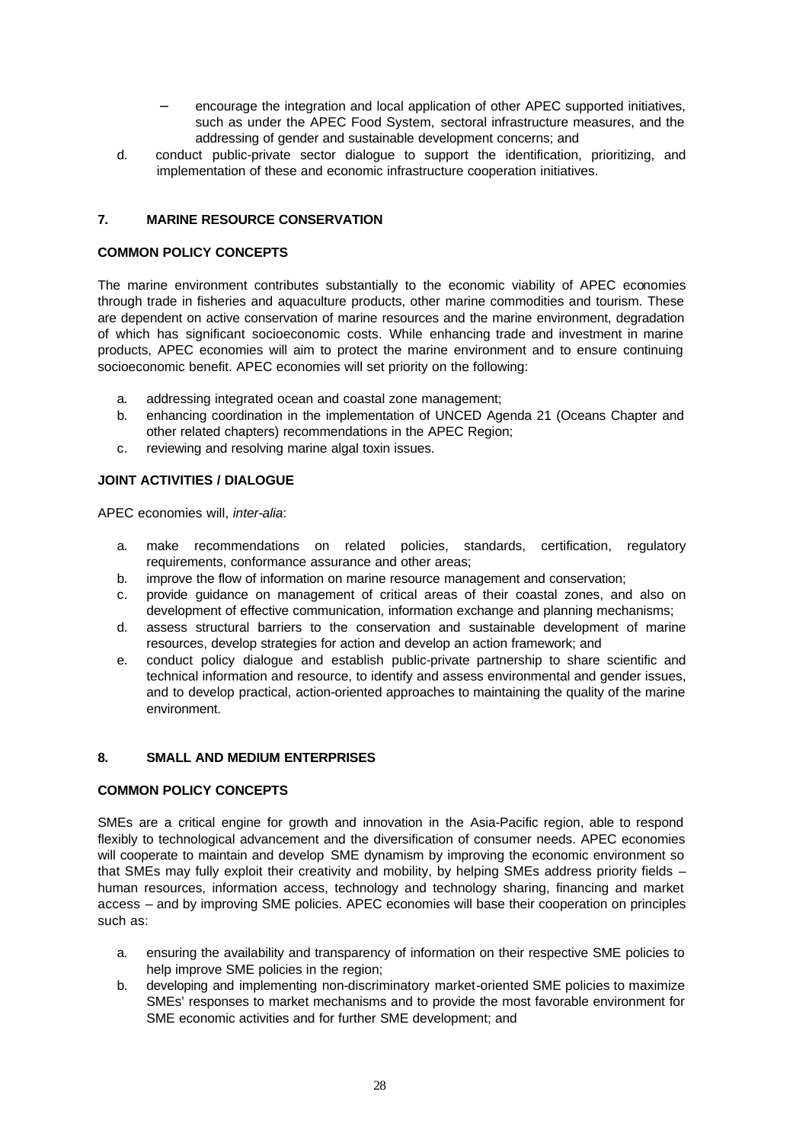- encourage the integration and local application of other APEC supported initiatives, such as under the APEC Food System, sectoral infrastructure measures, and the addressing of gender and sustainable development concerns; and
- d. conduct public-private sector dialogue to support the identification, prioritizing, and implementation of these and economic infrastructure cooperation initiatives.

# **7. MARINE RESOURCE CONSERVATION**

### **COMMON POLICY CONCEPTS**

The marine environment contributes substantially to the economic viability of APEC economies through trade in fisheries and aquaculture products, other marine commodities and tourism. These are dependent on active conservation of marine resources and the marine environment, degradation of which has significant socioeconomic costs. While enhancing trade and investment in marine products, APEC economies will aim to protect the marine environment and to ensure continuing socioeconomic benefit. APEC economies will set priority on the following:

- a. addressing integrated ocean and coastal zone management;
- b. enhancing coordination in the implementation of UNCED Agenda 21 (Oceans Chapter and other related chapters) recommendations in the APEC Region;
- c. reviewing and resolving marine algal toxin issues.

### **JOINT ACTIVITIES / DIALOGUE**

APEC economies will, *inter-alia*:

- a. make recommendations on related policies, standards, certification, regulatory requirements, conformance assurance and other areas;
- b. improve the flow of information on marine resource management and conservation;
- c. provide guidance on management of critical areas of their coastal zones, and also on development of effective communication, information exchange and planning mechanisms;
- d. assess structural barriers to the conservation and sustainable development of marine resources, develop strategies for action and develop an action framework; and
- e. conduct policy dialogue and establish public-private partnership to share scientific and technical information and resource, to identify and assess environmental and gender issues, and to develop practical, action-oriented approaches to maintaining the quality of the marine environment.

#### **8. SMALL AND MEDIUM ENTERPRISES**

#### **COMMON POLICY CONCEPTS**

SMEs are a critical engine for growth and innovation in the Asia-Pacific region, able to respond flexibly to technological advancement and the diversification of consumer needs. APEC economies will cooperate to maintain and develop SME dynamism by improving the economic environment so that SMEs may fully exploit their creativity and mobility, by helping SMEs address priority fields – human resources, information access, technology and technology sharing, financing and market access – and by improving SME policies. APEC economies will base their cooperation on principles such as:

- a. ensuring the availability and transparency of information on their respective SME policies to help improve SME policies in the region;
- b. developing and implementing non-discriminatory market-oriented SME policies to maximize SMEs' responses to market mechanisms and to provide the most favorable environment for SME economic activities and for further SME development; and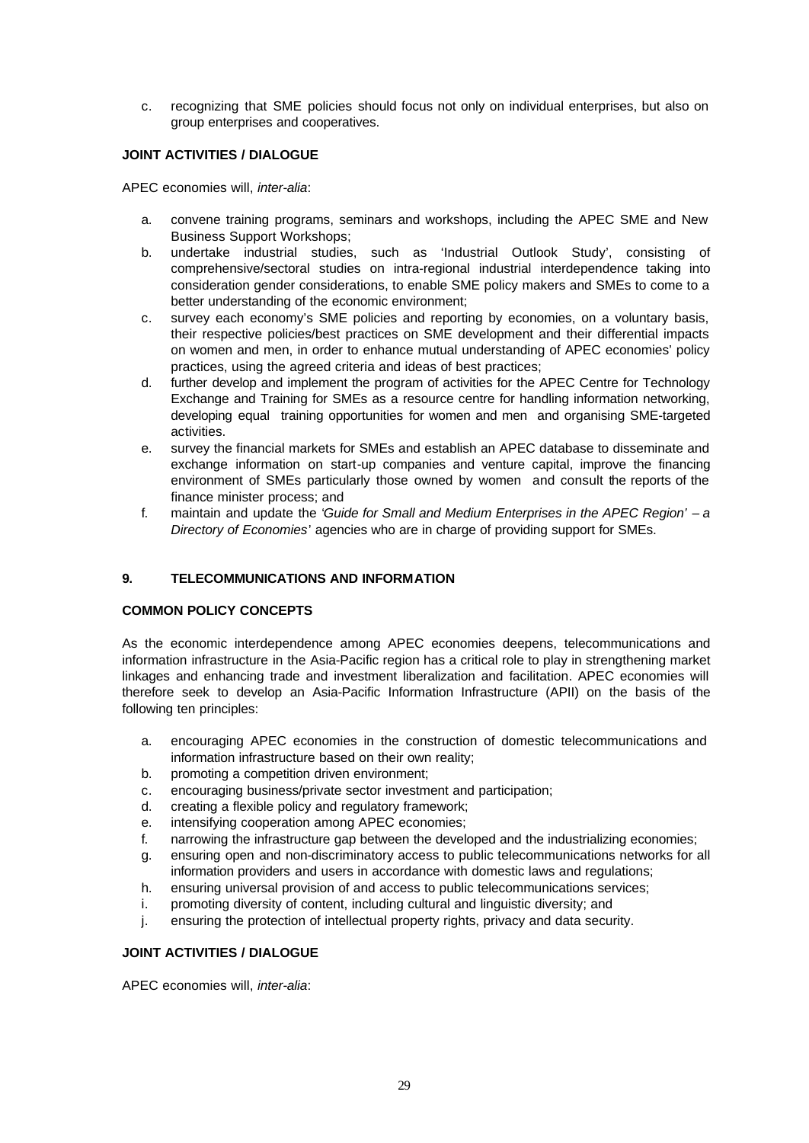c. recognizing that SME policies should focus not only on individual enterprises, but also on group enterprises and cooperatives.

# **JOINT ACTIVITIES / DIALOGUE**

APEC economies will, *inter-alia*:

- a. convene training programs, seminars and workshops, including the APEC SME and New Business Support Workshops;
- b. undertake industrial studies, such as 'Industrial Outlook Study', consisting of comprehensive/sectoral studies on intra-regional industrial interdependence taking into consideration gender considerations, to enable SME policy makers and SMEs to come to a better understanding of the economic environment;
- c. survey each economy's SME policies and reporting by economies, on a voluntary basis, their respective policies/best practices on SME development and their differential impacts on women and men, in order to enhance mutual understanding of APEC economies' policy practices, using the agreed criteria and ideas of best practices;
- d. further develop and implement the program of activities for the APEC Centre for Technology Exchange and Training for SMEs as a resource centre for handling information networking, developing equal training opportunities for women and men and organising SME-targeted activities.
- e. survey the financial markets for SMEs and establish an APEC database to disseminate and exchange information on start-up companies and venture capital, improve the financing environment of SMEs particularly those owned by women and consult the reports of the finance minister process; and
- f. maintain and update the '*Guide for Small and Medium Enterprises in the APEC Region' a Directory of Economies*' agencies who are in charge of providing support for SMEs.

### **9. TELECOMMUNICATIONS AND INFORMATION**

# **COMMON POLICY CONCEPTS**

As the economic interdependence among APEC economies deepens, telecommunications and information infrastructure in the Asia-Pacific region has a critical role to play in strengthening market linkages and enhancing trade and investment liberalization and facilitation. APEC economies will therefore seek to develop an Asia-Pacific Information Infrastructure (APII) on the basis of the following ten principles:

- a. encouraging APEC economies in the construction of domestic telecommunications and information infrastructure based on their own reality;
- b. promoting a competition driven environment;
- c. encouraging business/private sector investment and participation;
- d. creating a flexible policy and regulatory framework;
- e. intensifying cooperation among APEC economies;
- f. narrowing the infrastructure gap between the developed and the industrializing economies;
- g. ensuring open and non-discriminatory access to public telecommunications networks for all information providers and users in accordance with domestic laws and regulations;
- h. ensuring universal provision of and access to public telecommunications services;
- i. promoting diversity of content, including cultural and linguistic diversity; and
- j. ensuring the protection of intellectual property rights, privacy and data security.

### **JOINT ACTIVITIES / DIALOGUE**

APEC economies will, *inter-alia*: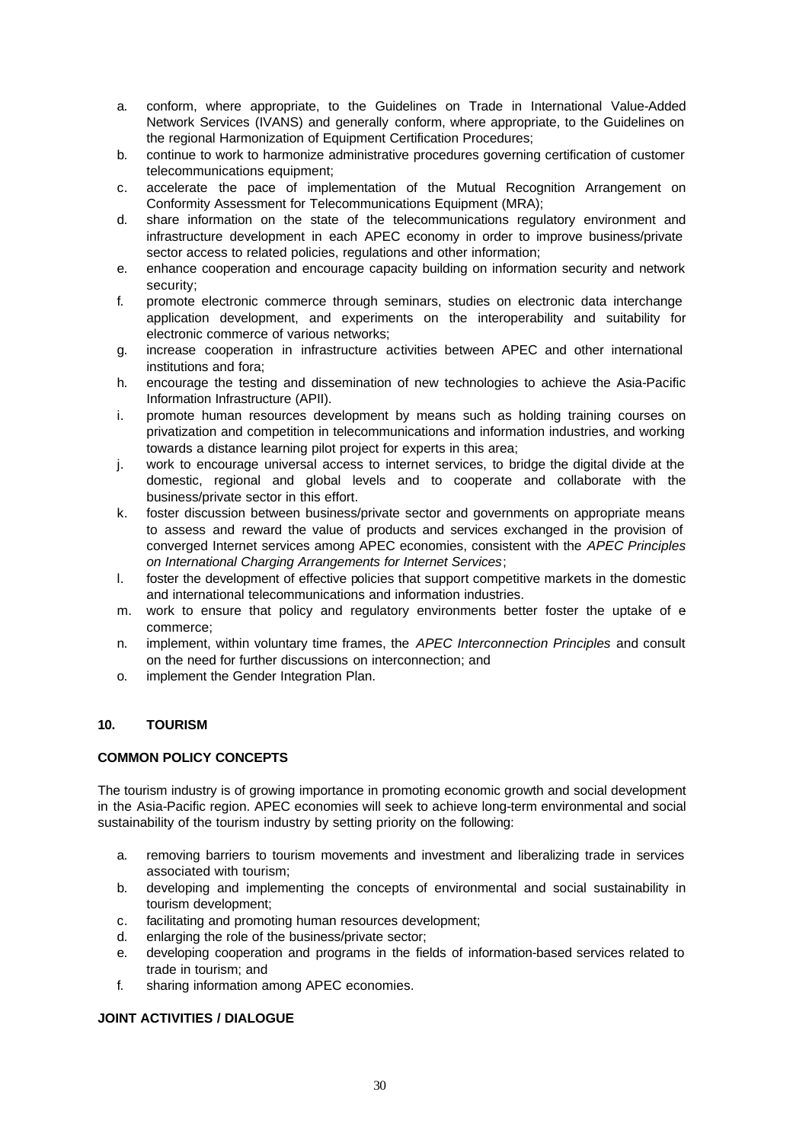- a. conform, where appropriate, to the Guidelines on Trade in International Value-Added Network Services (IVANS) and generally conform, where appropriate, to the Guidelines on the regional Harmonization of Equipment Certification Procedures;
- b. continue to work to harmonize administrative procedures governing certification of customer telecommunications equipment;
- c. accelerate the pace of implementation of the Mutual Recognition Arrangement on Conformity Assessment for Telecommunications Equipment (MRA);
- d. share information on the state of the telecommunications regulatory environment and infrastructure development in each APEC economy in order to improve business/private sector access to related policies, regulations and other information;
- e. enhance cooperation and encourage capacity building on information security and network security;
- f. promote electronic commerce through seminars, studies on electronic data interchange application development, and experiments on the interoperability and suitability for electronic commerce of various networks;
- g. increase cooperation in infrastructure activities between APEC and other international institutions and fora;
- h. encourage the testing and dissemination of new technologies to achieve the Asia-Pacific Information Infrastructure (APII).
- i. promote human resources development by means such as holding training courses on privatization and competition in telecommunications and information industries, and working towards a distance learning pilot project for experts in this area;
- j. work to encourage universal access to internet services, to bridge the digital divide at the domestic, regional and global levels and to cooperate and collaborate with the business/private sector in this effort.
- k. foster discussion between business/private sector and governments on appropriate means to assess and reward the value of products and services exchanged in the provision of converged Internet services among APEC economies, consistent with the *APEC Principles on International Charging Arrangements for Internet Services*;
- l. foster the development of effective policies that support competitive markets in the domestic and international telecommunications and information industries.
- m. work to ensure that policy and regulatory environments better foster the uptake of ecommerce;
- n. implement, within voluntary time frames, the *APEC Interconnection Principles* and consult on the need for further discussions on interconnection; and
- o. implement the Gender Integration Plan.

# **10. TOURISM**

### **COMMON POLICY CONCEPTS**

The tourism industry is of growing importance in promoting economic growth and social development in the Asia-Pacific region. APEC economies will seek to achieve long-term environmental and social sustainability of the tourism industry by setting priority on the following:

- a. removing barriers to tourism movements and investment and liberalizing trade in services associated with tourism;
- b. developing and implementing the concepts of environmental and social sustainability in tourism development;
- c. facilitating and promoting human resources development;
- d. enlarging the role of the business/private sector;
- e. developing cooperation and programs in the fields of information-based services related to trade in tourism; and
- f. sharing information among APEC economies.

### **JOINT ACTIVITIES / DIALOGUE**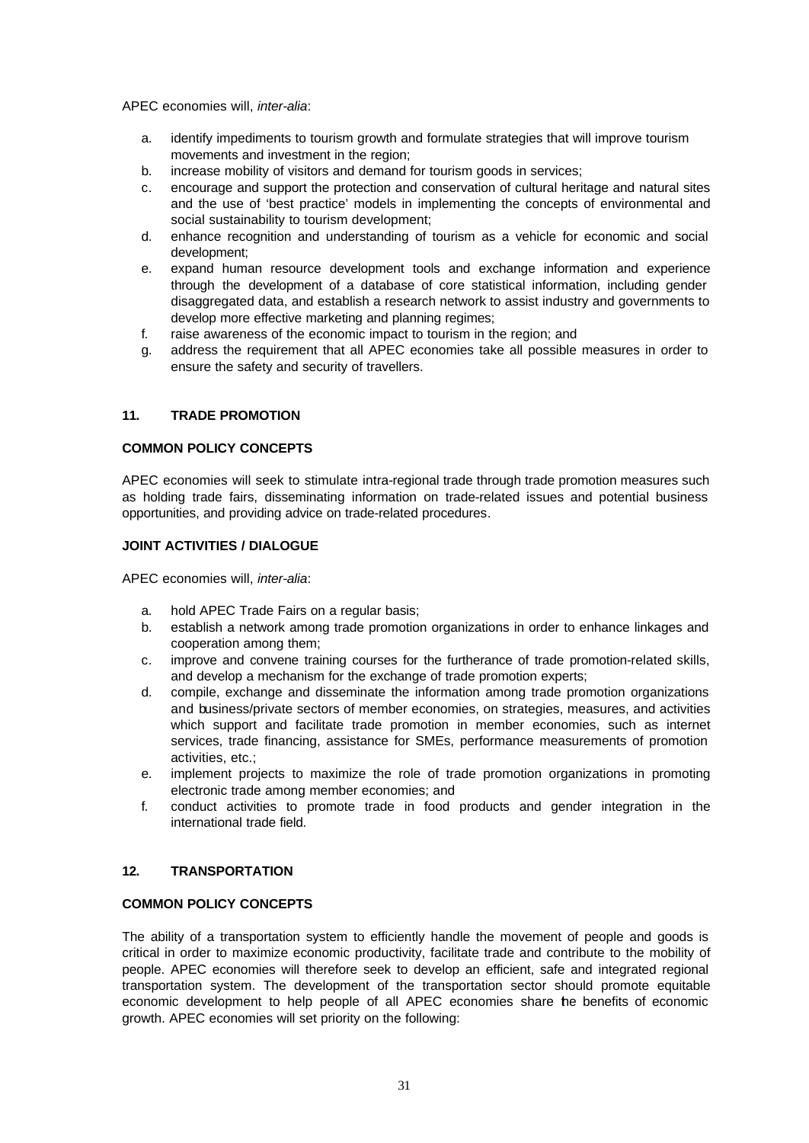APEC economies will, *inter-alia*:

- a. identify impediments to tourism growth and formulate strategies that will improve tourism movements and investment in the region;
- b. increase mobility of visitors and demand for tourism goods in services;
- c. encourage and support the protection and conservation of cultural heritage and natural sites and the use of 'best practice' models in implementing the concepts of environmental and social sustainability to tourism development;
- d. enhance recognition and understanding of tourism as a vehicle for economic and social development;
- e. expand human resource development tools and exchange information and experience through the development of a database of core statistical information, including gender disaggregated data, and establish a research network to assist industry and governments to develop more effective marketing and planning regimes;
- f. raise awareness of the economic impact to tourism in the region; and
- g. address the requirement that all APEC economies take all possible measures in order to ensure the safety and security of travellers.

# **11. TRADE PROMOTION**

### **COMMON POLICY CONCEPTS**

APEC economies will seek to stimulate intra-regional trade through trade promotion measures such as holding trade fairs, disseminating information on trade-related issues and potential business opportunities, and providing advice on trade-related procedures.

### **JOINT ACTIVITIES / DIALOGUE**

APEC economies will, *inter-alia*:

- a. hold APEC Trade Fairs on a regular basis;
- b. establish a network among trade promotion organizations in order to enhance linkages and cooperation among them;
- c. improve and convene training courses for the furtherance of trade promotion-related skills, and develop a mechanism for the exchange of trade promotion experts;
- d. compile, exchange and disseminate the information among trade promotion organizations and business/private sectors of member economies, on strategies, measures, and activities which support and facilitate trade promotion in member economies, such as internet services, trade financing, assistance for SMEs, performance measurements of promotion activities, etc.;
- e. implement projects to maximize the role of trade promotion organizations in promoting electronic trade among member economies; and
- f. conduct activities to promote trade in food products and gender integration in the international trade field.

# **12. TRANSPORTATION**

# **COMMON POLICY CONCEPTS**

The ability of a transportation system to efficiently handle the movement of people and goods is critical in order to maximize economic productivity, facilitate trade and contribute to the mobility of people. APEC economies will therefore seek to develop an efficient, safe and integrated regional transportation system. The development of the transportation sector should promote equitable economic development to help people of all APEC economies share the benefits of economic growth. APEC economies will set priority on the following: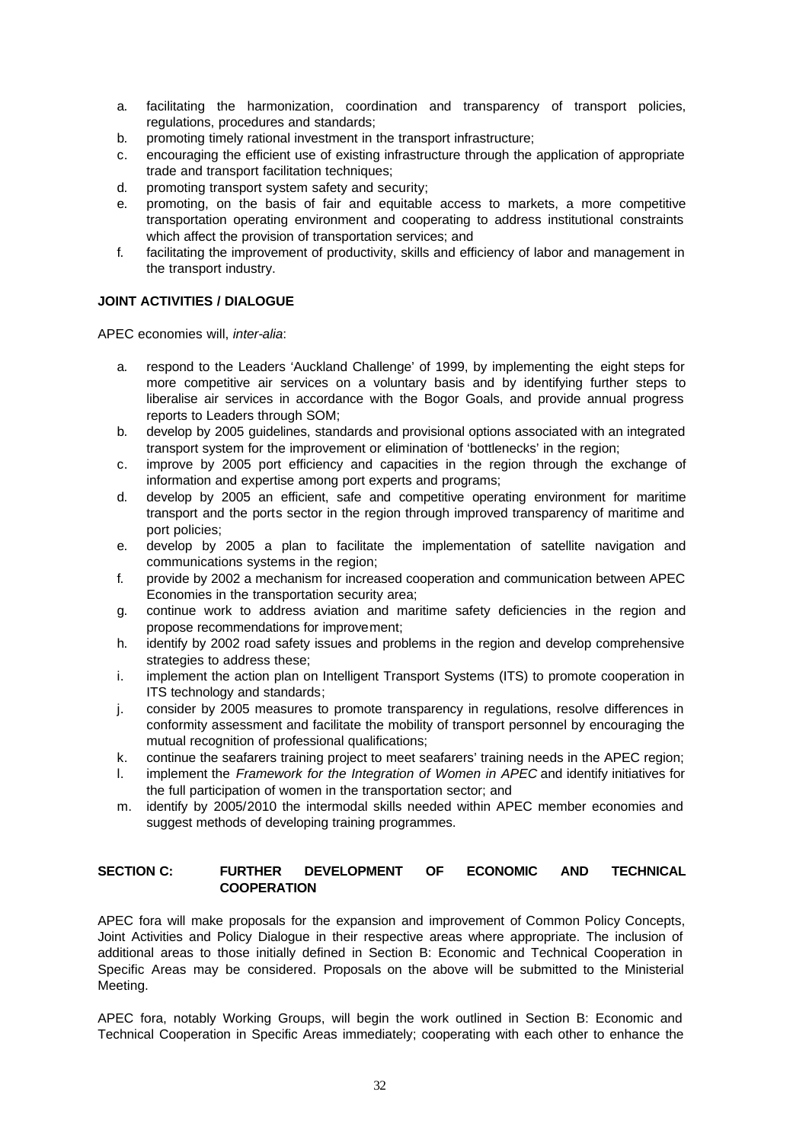- a. facilitating the harmonization, coordination and transparency of transport policies, regulations, procedures and standards;
- b. promoting timely rational investment in the transport infrastructure;
- c. encouraging the efficient use of existing infrastructure through the application of appropriate trade and transport facilitation techniques;
- d. promoting transport system safety and security;
- e. promoting, on the basis of fair and equitable access to markets, a more competitive transportation operating environment and cooperating to address institutional constraints which affect the provision of transportation services; and
- f. facilitating the improvement of productivity, skills and efficiency of labor and management in the transport industry.

# **JOINT ACTIVITIES / DIALOGUE**

APEC economies will, *inter-alia*:

- a. respond to the Leaders 'Auckland Challenge' of 1999, by implementing the eight steps for more competitive air services on a voluntary basis and by identifying further steps to liberalise air services in accordance with the Bogor Goals, and provide annual progress reports to Leaders through SOM;
- b. develop by 2005 guidelines, standards and provisional options associated with an integrated transport system for the improvement or elimination of 'bottlenecks' in the region;
- c. improve by 2005 port efficiency and capacities in the region through the exchange of information and expertise among port experts and programs;
- d. develop by 2005 an efficient, safe and competitive operating environment for maritime transport and the ports sector in the region through improved transparency of maritime and port policies;
- e. develop by 2005 a plan to facilitate the implementation of satellite navigation and communications systems in the region;
- f. provide by 2002 a mechanism for increased cooperation and communication between APEC Economies in the transportation security area;
- g. continue work to address aviation and maritime safety deficiencies in the region and propose recommendations for improvement;
- h. identify by 2002 road safety issues and problems in the region and develop comprehensive strategies to address these;
- i. implement the action plan on Intelligent Transport Systems (ITS) to promote cooperation in ITS technology and standards;
- j. consider by 2005 measures to promote transparency in regulations, resolve differences in conformity assessment and facilitate the mobility of transport personnel by encouraging the mutual recognition of professional qualifications;
- k. continue the seafarers training project to meet seafarers' training needs in the APEC region;
- l. implement the *Framework for the Integration of Women in APEC* and identify initiatives for the full participation of women in the transportation sector; and
- m. identify by 2005/2010 the intermodal skills needed within APEC member economies and suggest methods of developing training programmes.

# **SECTION C: FURTHER DEVELOPMENT OF ECONOMIC AND TECHNICAL COOPERATION**

APEC fora will make proposals for the expansion and improvement of Common Policy Concepts, Joint Activities and Policy Dialogue in their respective areas where appropriate. The inclusion of additional areas to those initially defined in Section B: Economic and Technical Cooperation in Specific Areas may be considered. Proposals on the above will be submitted to the Ministerial Meeting.

APEC fora, notably Working Groups, will begin the work outlined in Section B: Economic and Technical Cooperation in Specific Areas immediately; cooperating with each other to enhance the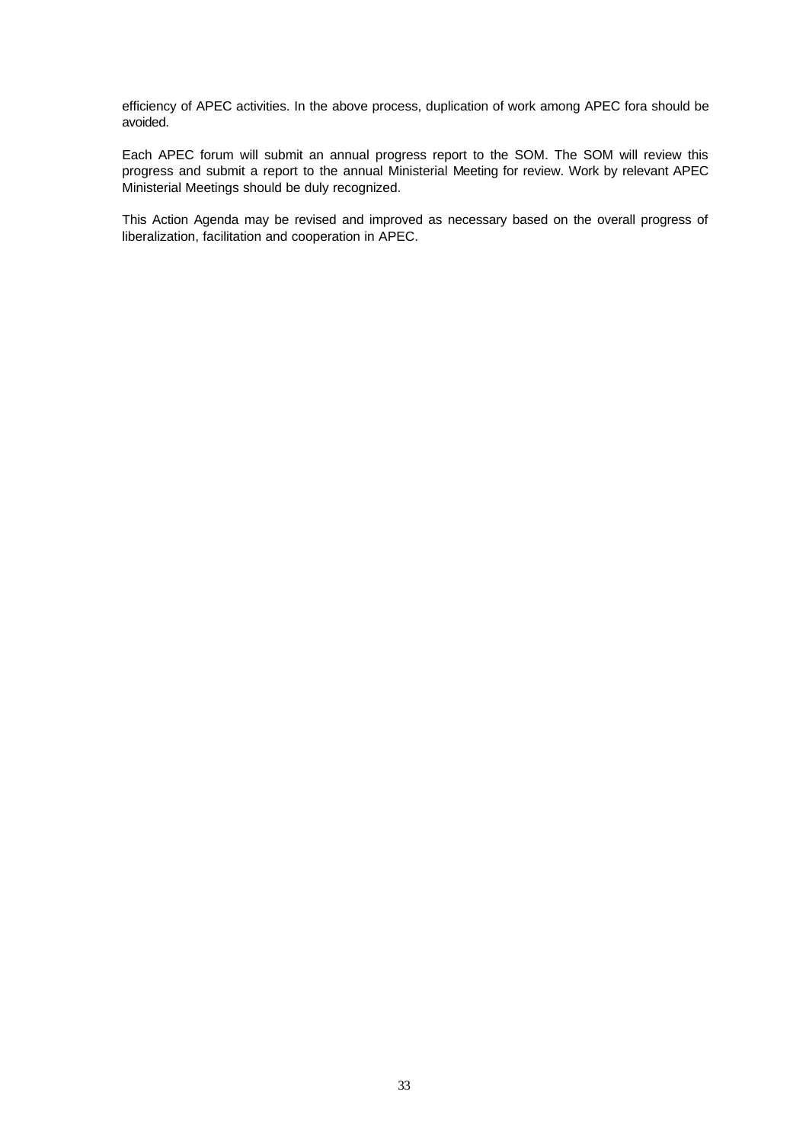efficiency of APEC activities. In the above process, duplication of work among APEC fora should be avoided.

Each APEC forum will submit an annual progress report to the SOM. The SOM will review this progress and submit a report to the annual Ministerial Meeting for review. Work by relevant APEC Ministerial Meetings should be duly recognized.

This Action Agenda may be revised and improved as necessary based on the overall progress of liberalization, facilitation and cooperation in APEC.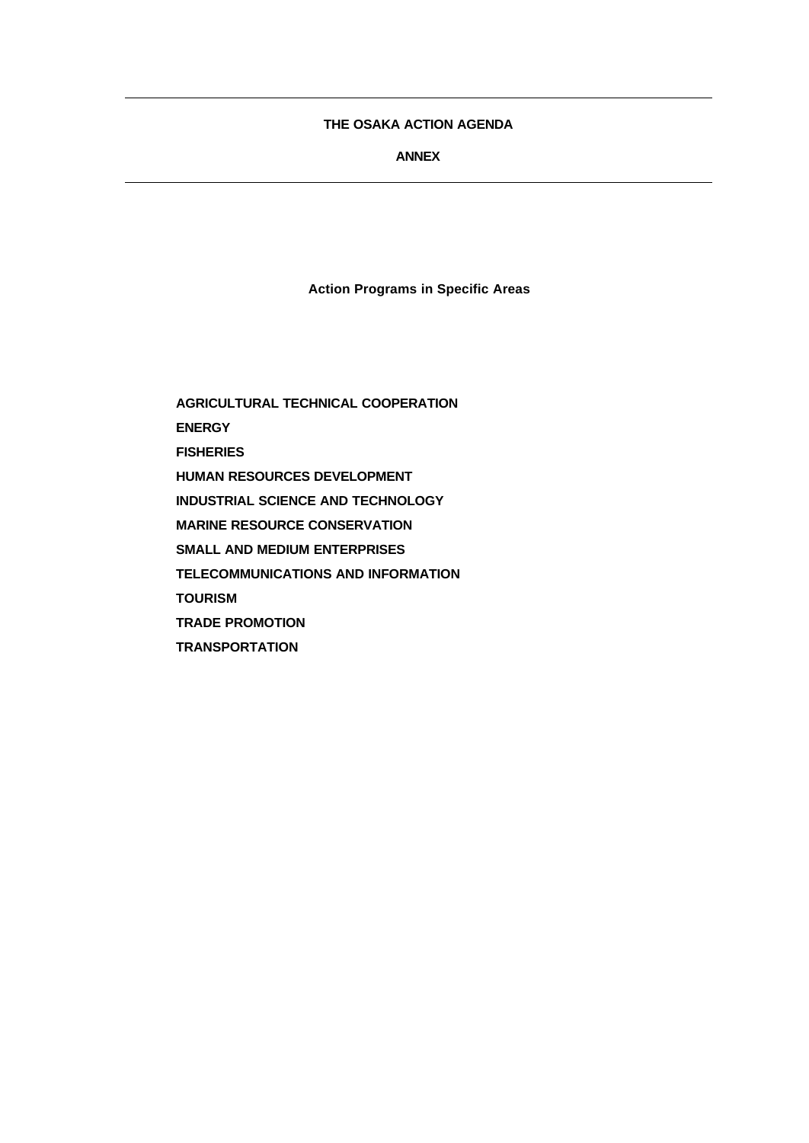# **THE OSAKA ACTION AGENDA**

# **ANNEX**

**Action Programs in Specific Areas**

**AGRICULTURAL TECHNICAL COOPERATION ENERGY FISHERIES HUMAN RESOURCES DEVELOPMENT INDUSTRIAL SCIENCE AND TECHNOLOGY MARINE RESOURCE CONSERVATION SMALL AND MEDIUM ENTERPRISES TELECOMMUNICATIONS AND INFORMATION TOURISM TRADE PROMOTION TRANSPORTATION**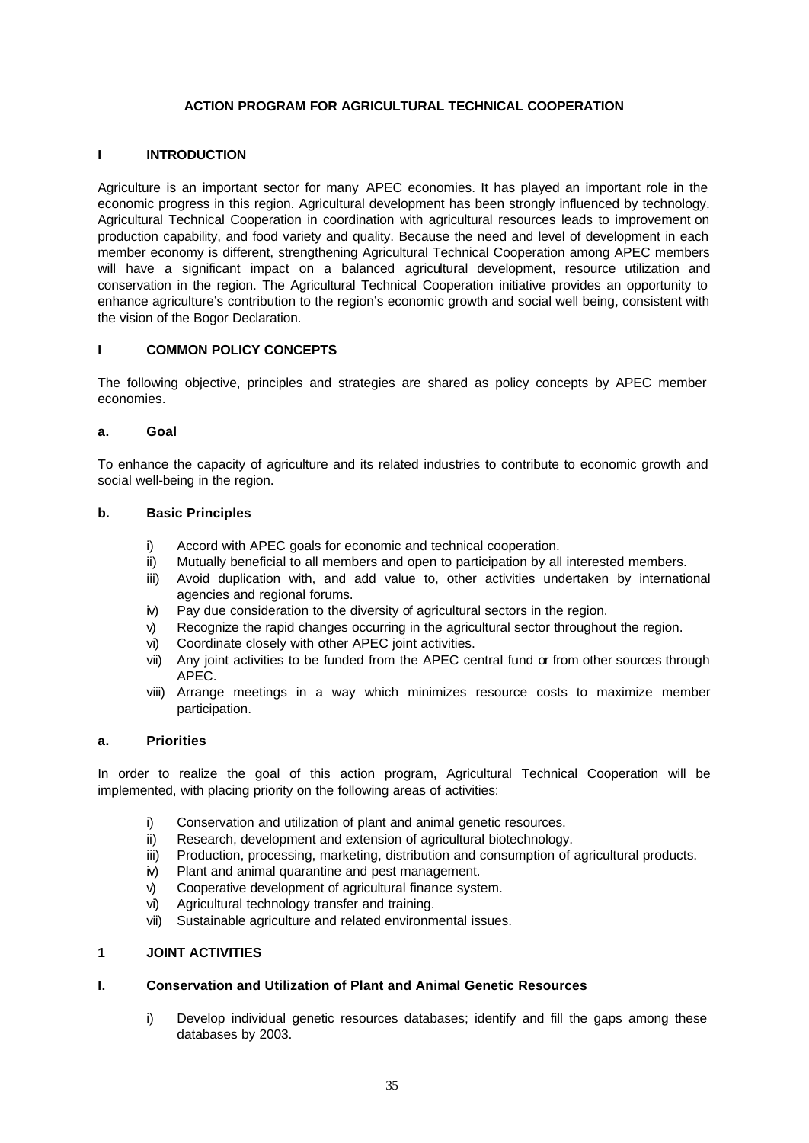## **ACTION PROGRAM FOR AGRICULTURAL TECHNICAL COOPERATION**

### **I INTRODUCTION**

Agriculture is an important sector for many APEC economies. It has played an important role in the economic progress in this region. Agricultural development has been strongly influenced by technology. Agricultural Technical Cooperation in coordination with agricultural resources leads to improvement on production capability, and food variety and quality. Because the need and level of development in each member economy is different, strengthening Agricultural Technical Cooperation among APEC members will have a significant impact on a balanced agricultural development, resource utilization and conservation in the region. The Agricultural Technical Cooperation initiative provides an opportunity to enhance agriculture's contribution to the region's economic growth and social well being, consistent with the vision of the Bogor Declaration.

# **I COMMON POLICY CONCEPTS**

The following objective, principles and strategies are shared as policy concepts by APEC member economies.

#### **a. Goal**

To enhance the capacity of agriculture and its related industries to contribute to economic growth and social well-being in the region.

#### **b. Basic Principles**

- i) Accord with APEC goals for economic and technical cooperation.
- ii) Mutually beneficial to all members and open to participation by all interested members.
- iii) Avoid duplication with, and add value to, other activities undertaken by international agencies and regional forums.
- iv) Pay due consideration to the diversity of agricultural sectors in the region.
- v) Recognize the rapid changes occurring in the agricultural sector throughout the region.
- vi) Coordinate closely with other APEC joint activities.
- vii) Any joint activities to be funded from the APEC central fund or from other sources through APEC.
- viii) Arrange meetings in a way which minimizes resource costs to maximize member participation.

## **a. Priorities**

In order to realize the goal of this action program, Agricultural Technical Cooperation will be implemented, with placing priority on the following areas of activities:

- i) Conservation and utilization of plant and animal genetic resources.
- ii) Research, development and extension of agricultural biotechnology.
- iii) Production, processing, marketing, distribution and consumption of agricultural products.
- iv) Plant and animal quarantine and pest management.
- v) Cooperative development of agricultural finance system.
- vi) Agricultural technology transfer and training.
- vii) Sustainable agriculture and related environmental issues.

#### **1 JOINT ACTIVITIES**

## **I. Conservation and Utilization of Plant and Animal Genetic Resources**

i) Develop individual genetic resources databases; identify and fill the gaps among these databases by 2003.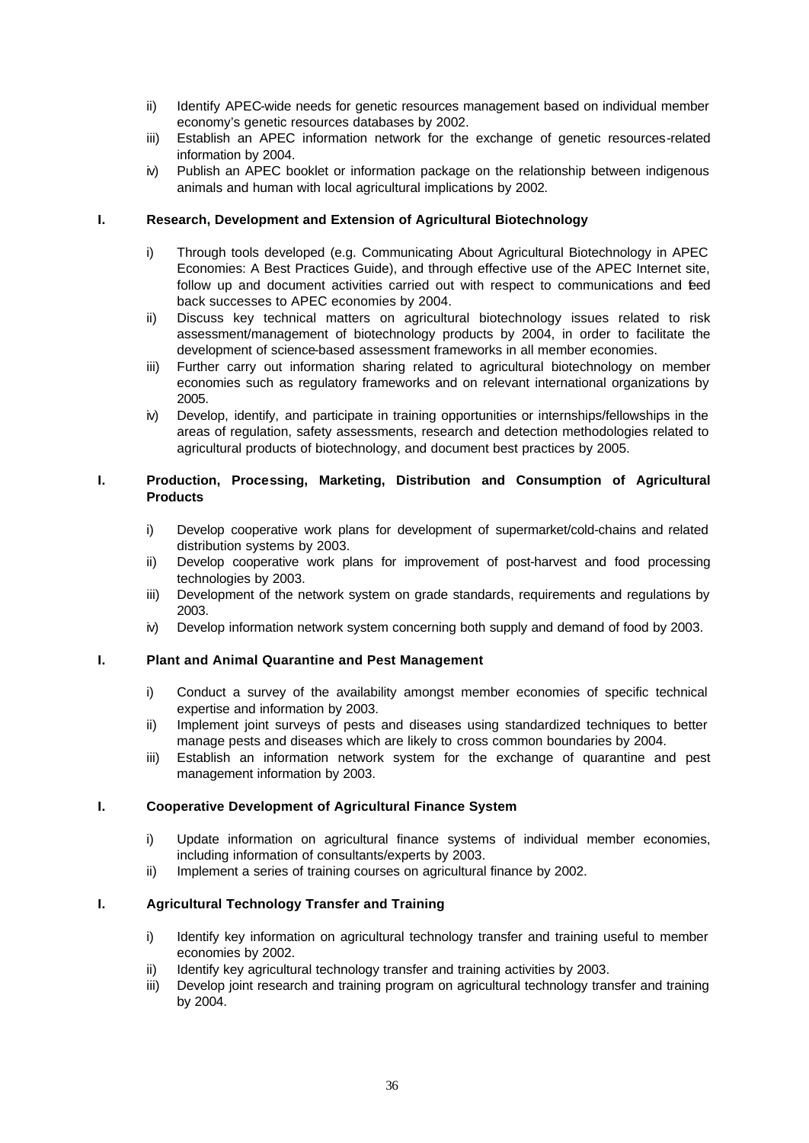- ii) Identify APEC-wide needs for genetic resources management based on individual member economy's genetic resources databases by 2002.
- iii) Establish an APEC information network for the exchange of genetic resources-related information by 2004.
- iv) Publish an APEC booklet or information package on the relationship between indigenous animals and human with local agricultural implications by 2002.

### **I. Research, Development and Extension of Agricultural Biotechnology**

- i) Through tools developed (e.g. Communicating About Agricultural Biotechnology in APEC Economies: A Best Practices Guide), and through effective use of the APEC Internet site, follow up and document activities carried out with respect to communications and feed back successes to APEC economies by 2004.
- ii) Discuss key technical matters on agricultural biotechnology issues related to risk assessment/management of biotechnology products by 2004, in order to facilitate the development of science-based assessment frameworks in all member economies.
- iii) Further carry out information sharing related to agricultural biotechnology on member economies such as regulatory frameworks and on relevant international organizations by 2005.
- iv) Develop, identify, and participate in training opportunities or internships/fellowships in the areas of regulation, safety assessments, research and detection methodologies related to agricultural products of biotechnology, and document best practices by 2005.

### **I. Production, Processing, Marketing, Distribution and Consumption of Agricultural Products**

- i) Develop cooperative work plans for development of supermarket/cold-chains and related distribution systems by 2003.
- ii) Develop cooperative work plans for improvement of post-harvest and food processing technologies by 2003.
- iii) Development of the network system on grade standards, requirements and regulations by 2003.
- iv) Develop information network system concerning both supply and demand of food by 2003.

### **I. Plant and Animal Quarantine and Pest Management**

- i) Conduct a survey of the availability amongst member economies of specific technical expertise and information by 2003.
- ii) Implement joint surveys of pests and diseases using standardized techniques to better manage pests and diseases which are likely to cross common boundaries by 2004.
- iii) Establish an information network system for the exchange of quarantine and pest management information by 2003.

#### **I. Cooperative Development of Agricultural Finance System**

- i) Update information on agricultural finance systems of individual member economies, including information of consultants/experts by 2003.
- ii) Implement a series of training courses on agricultural finance by 2002.

### **I. Agricultural Technology Transfer and Training**

- i) Identify key information on agricultural technology transfer and training useful to member economies by 2002.
- ii) Identify key agricultural technology transfer and training activities by 2003.
- iii) Develop joint research and training program on agricultural technology transfer and training by 2004.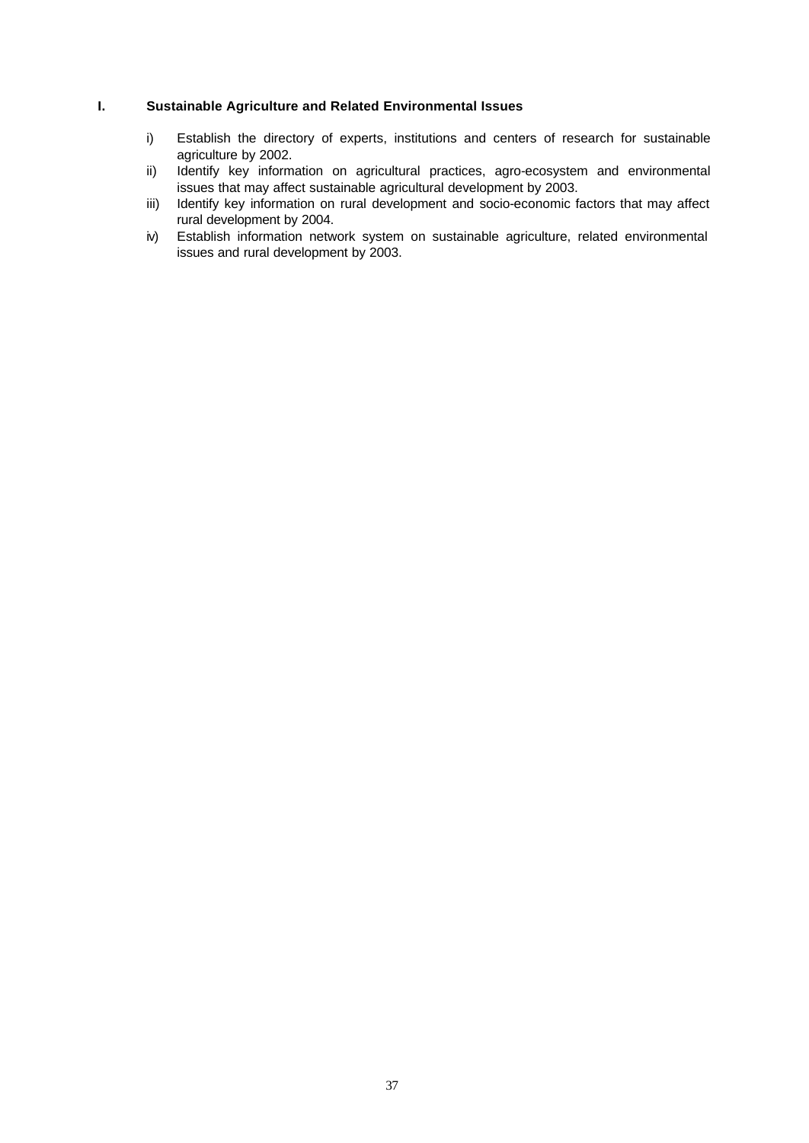## **I. Sustainable Agriculture and Related Environmental Issues**

- i) Establish the directory of experts, institutions and centers of research for sustainable agriculture by 2002.
- ii) Identify key information on agricultural practices, agro-ecosystem and environmental issues that may affect sustainable agricultural development by 2003.
- iii) Identify key information on rural development and socio-economic factors that may affect rural development by 2004.
- iv) Establish information network system on sustainable agriculture, related environmental issues and rural development by 2003.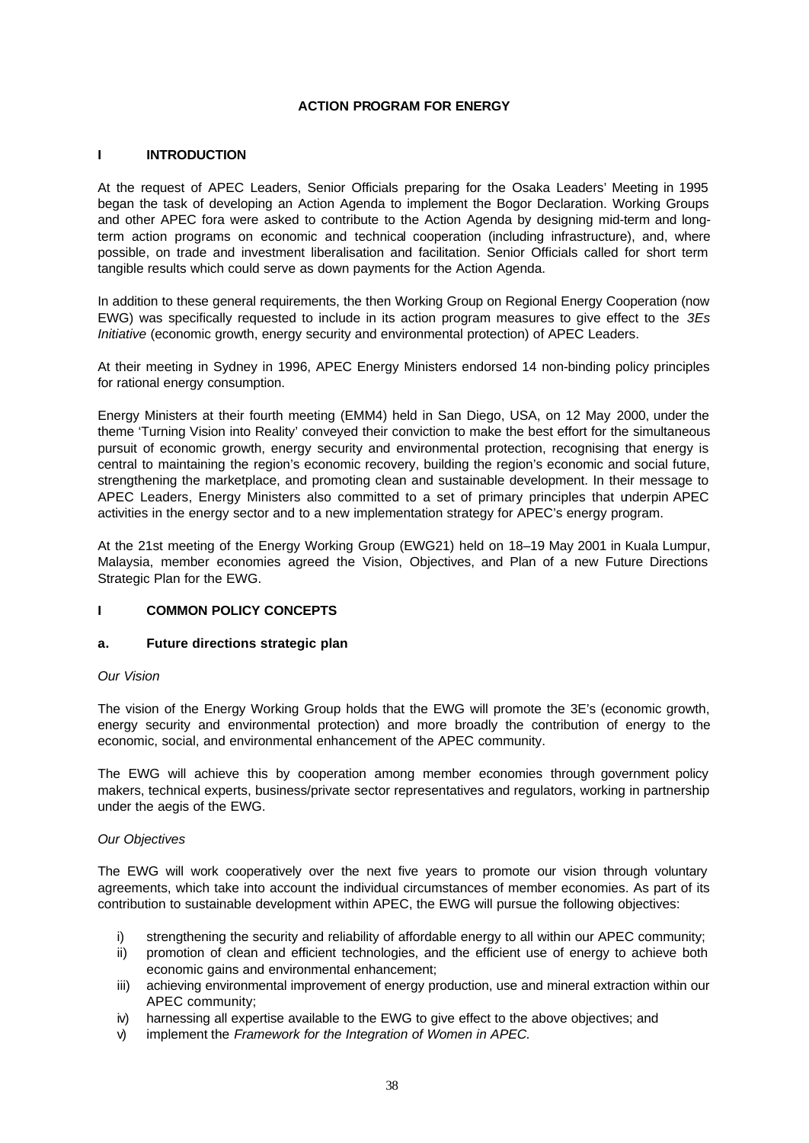### **ACTION PROGRAM FOR ENERGY**

#### **I INTRODUCTION**

At the request of APEC Leaders, Senior Officials preparing for the Osaka Leaders' Meeting in 1995 began the task of developing an Action Agenda to implement the Bogor Declaration. Working Groups and other APEC fora were asked to contribute to the Action Agenda by designing mid-term and longterm action programs on economic and technical cooperation (including infrastructure), and, where possible, on trade and investment liberalisation and facilitation. Senior Officials called for short term tangible results which could serve as down payments for the Action Agenda.

In addition to these general requirements, the then Working Group on Regional Energy Cooperation (now EWG) was specifically requested to include in its action program measures to give effect to the *3Es Initiative* (economic growth, energy security and environmental protection) of APEC Leaders.

At their meeting in Sydney in 1996, APEC Energy Ministers endorsed 14 non-binding policy principles for rational energy consumption.

Energy Ministers at their fourth meeting (EMM4) held in San Diego, USA, on 12 May 2000, under the theme 'Turning Vision into Reality' conveyed their conviction to make the best effort for the simultaneous pursuit of economic growth, energy security and environmental protection, recognising that energy is central to maintaining the region's economic recovery, building the region's economic and social future, strengthening the marketplace, and promoting clean and sustainable development. In their message to APEC Leaders, Energy Ministers also committed to a set of primary principles that underpin APEC activities in the energy sector and to a new implementation strategy for APEC's energy program.

At the 21st meeting of the Energy Working Group (EWG21) held on 18–19 May 2001 in Kuala Lumpur, Malaysia, member economies agreed the Vision, Objectives, and Plan of a new Future Directions Strategic Plan for the EWG.

#### **I COMMON POLICY CONCEPTS**

#### **a. Future directions strategic plan**

### *Our Vision*

The vision of the Energy Working Group holds that the EWG will promote the 3E's (economic growth, energy security and environmental protection) and more broadly the contribution of energy to the economic, social, and environmental enhancement of the APEC community.

The EWG will achieve this by cooperation among member economies through government policy makers, technical experts, business/private sector representatives and regulators, working in partnership under the aegis of the EWG.

### *Our Objectives*

The EWG will work cooperatively over the next five years to promote our vision through voluntary agreements, which take into account the individual circumstances of member economies. As part of its contribution to sustainable development within APEC, the EWG will pursue the following objectives:

- i) strengthening the security and reliability of affordable energy to all within our APEC community;
- ii) promotion of clean and efficient technologies, and the efficient use of energy to achieve both economic gains and environmental enhancement;
- iii) achieving environmental improvement of energy production, use and mineral extraction within our APEC community;
- iv) harnessing all expertise available to the EWG to give effect to the above objectives; and
- v) implement the *Framework for the Integration of Women in APEC.*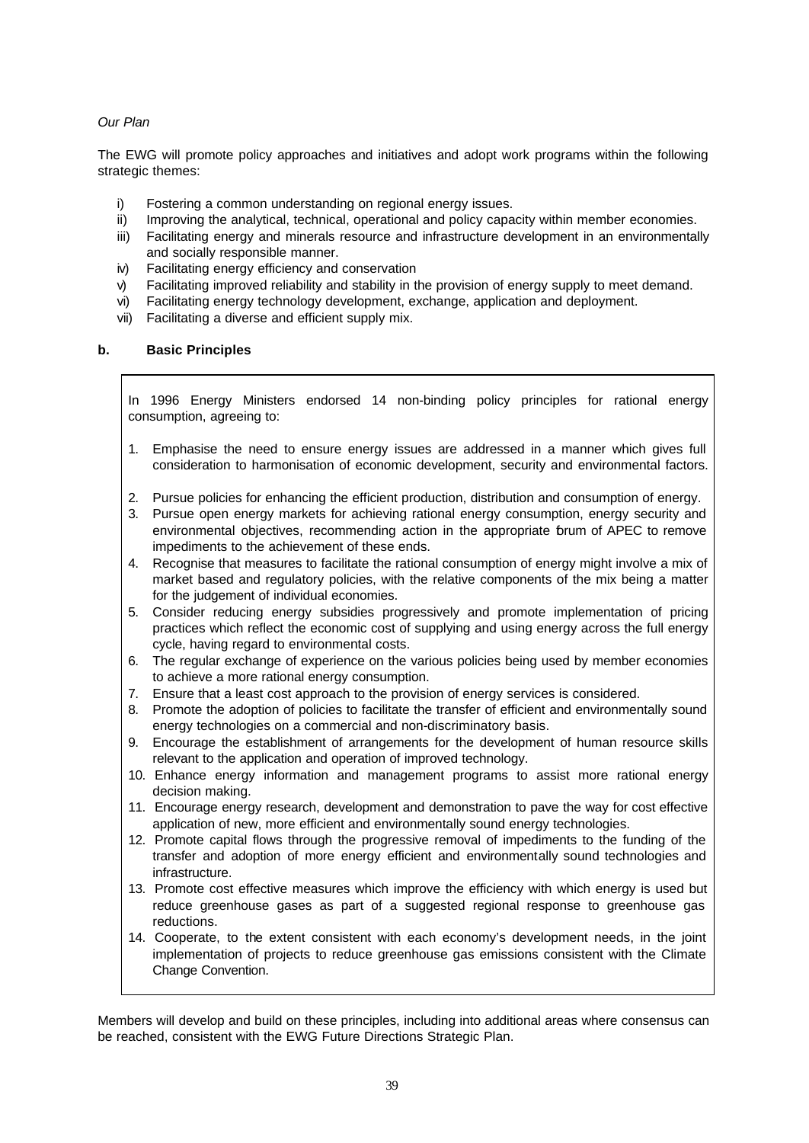## *Our Plan*

The EWG will promote policy approaches and initiatives and adopt work programs within the following strategic themes:

- i) Fostering a common understanding on regional energy issues.
- ii) Improving the analytical, technical, operational and policy capacity within member economies.
- iii) Facilitating energy and minerals resource and infrastructure development in an environmentally and socially responsible manner.
- iv) Facilitating energy efficiency and conservation
- v) Facilitating improved reliability and stability in the provision of energy supply to meet demand.
- vi) Facilitating energy technology development, exchange, application and deployment.
- vii) Facilitating a diverse and efficient supply mix.

### **b. Basic Principles**

In 1996 Energy Ministers endorsed 14 non-binding policy principles for rational energy consumption, agreeing to:

- 1. Emphasise the need to ensure energy issues are addressed in a manner which gives full consideration to harmonisation of economic development, security and environmental factors.
- 2. Pursue policies for enhancing the efficient production, distribution and consumption of energy.
- 3. Pursue open energy markets for achieving rational energy consumption, energy security and environmental objectives, recommending action in the appropriate forum of APEC to remove impediments to the achievement of these ends.
- 4. Recognise that measures to facilitate the rational consumption of energy might involve a mix of market based and regulatory policies, with the relative components of the mix being a matter for the judgement of individual economies.
- 5. Consider reducing energy subsidies progressively and promote implementation of pricing practices which reflect the economic cost of supplying and using energy across the full energy cycle, having regard to environmental costs.
- 6. The regular exchange of experience on the various policies being used by member economies to achieve a more rational energy consumption.
- 7. Ensure that a least cost approach to the provision of energy services is considered.
- 8. Promote the adoption of policies to facilitate the transfer of efficient and environmentally sound energy technologies on a commercial and non-discriminatory basis.
- 9. Encourage the establishment of arrangements for the development of human resource skills relevant to the application and operation of improved technology.
- 10. Enhance energy information and management programs to assist more rational energy decision making.
- 11. Encourage energy research, development and demonstration to pave the way for cost effective application of new, more efficient and environmentally sound energy technologies.
- 12. Promote capital flows through the progressive removal of impediments to the funding of the transfer and adoption of more energy efficient and environmentally sound technologies and infrastructure.
- 13. Promote cost effective measures which improve the efficiency with which energy is used but reduce greenhouse gases as part of a suggested regional response to greenhouse gas reductions.
- 14. Cooperate, to the extent consistent with each economy's development needs, in the joint implementation of projects to reduce greenhouse gas emissions consistent with the Climate Change Convention.

Members will develop and build on these principles, including into additional areas where consensus can be reached, consistent with the EWG Future Directions Strategic Plan.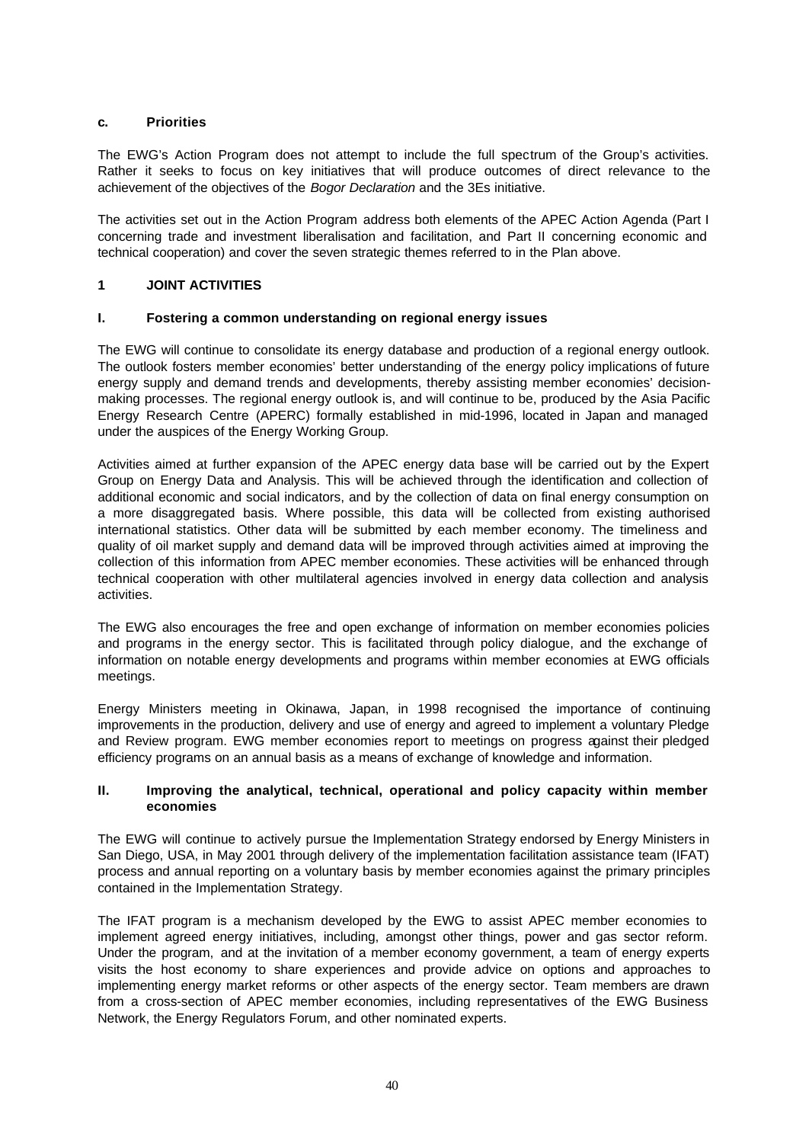### **c. Priorities**

The EWG's Action Program does not attempt to include the full spectrum of the Group's activities. Rather it seeks to focus on key initiatives that will produce outcomes of direct relevance to the achievement of the objectives of the *Bogor Declaration* and the 3Es initiative.

The activities set out in the Action Program address both elements of the APEC Action Agenda (Part I concerning trade and investment liberalisation and facilitation, and Part II concerning economic and technical cooperation) and cover the seven strategic themes referred to in the Plan above.

### **1 JOINT ACTIVITIES**

### **I. Fostering a common understanding on regional energy issues**

The EWG will continue to consolidate its energy database and production of a regional energy outlook. The outlook fosters member economies' better understanding of the energy policy implications of future energy supply and demand trends and developments, thereby assisting member economies' decisionmaking processes. The regional energy outlook is, and will continue to be, produced by the Asia Pacific Energy Research Centre (APERC) formally established in mid-1996, located in Japan and managed under the auspices of the Energy Working Group.

Activities aimed at further expansion of the APEC energy data base will be carried out by the Expert Group on Energy Data and Analysis. This will be achieved through the identification and collection of additional economic and social indicators, and by the collection of data on final energy consumption on a more disaggregated basis. Where possible, this data will be collected from existing authorised international statistics. Other data will be submitted by each member economy. The timeliness and quality of oil market supply and demand data will be improved through activities aimed at improving the collection of this information from APEC member economies. These activities will be enhanced through technical cooperation with other multilateral agencies involved in energy data collection and analysis activities.

The EWG also encourages the free and open exchange of information on member economies policies and programs in the energy sector. This is facilitated through policy dialogue, and the exchange of information on notable energy developments and programs within member economies at EWG officials meetings.

Energy Ministers meeting in Okinawa, Japan, in 1998 recognised the importance of continuing improvements in the production, delivery and use of energy and agreed to implement a voluntary Pledge and Review program. EWG member economies report to meetings on progress against their pledged efficiency programs on an annual basis as a means of exchange of knowledge and information.

### **II. Improving the analytical, technical, operational and policy capacity within member economies**

The EWG will continue to actively pursue the Implementation Strategy endorsed by Energy Ministers in San Diego, USA, in May 2001 through delivery of the implementation facilitation assistance team (IFAT) process and annual reporting on a voluntary basis by member economies against the primary principles contained in the Implementation Strategy.

The IFAT program is a mechanism developed by the EWG to assist APEC member economies to implement agreed energy initiatives, including, amongst other things, power and gas sector reform. Under the program, and at the invitation of a member economy government, a team of energy experts visits the host economy to share experiences and provide advice on options and approaches to implementing energy market reforms or other aspects of the energy sector. Team members are drawn from a cross-section of APEC member economies, including representatives of the EWG Business Network, the Energy Regulators Forum, and other nominated experts.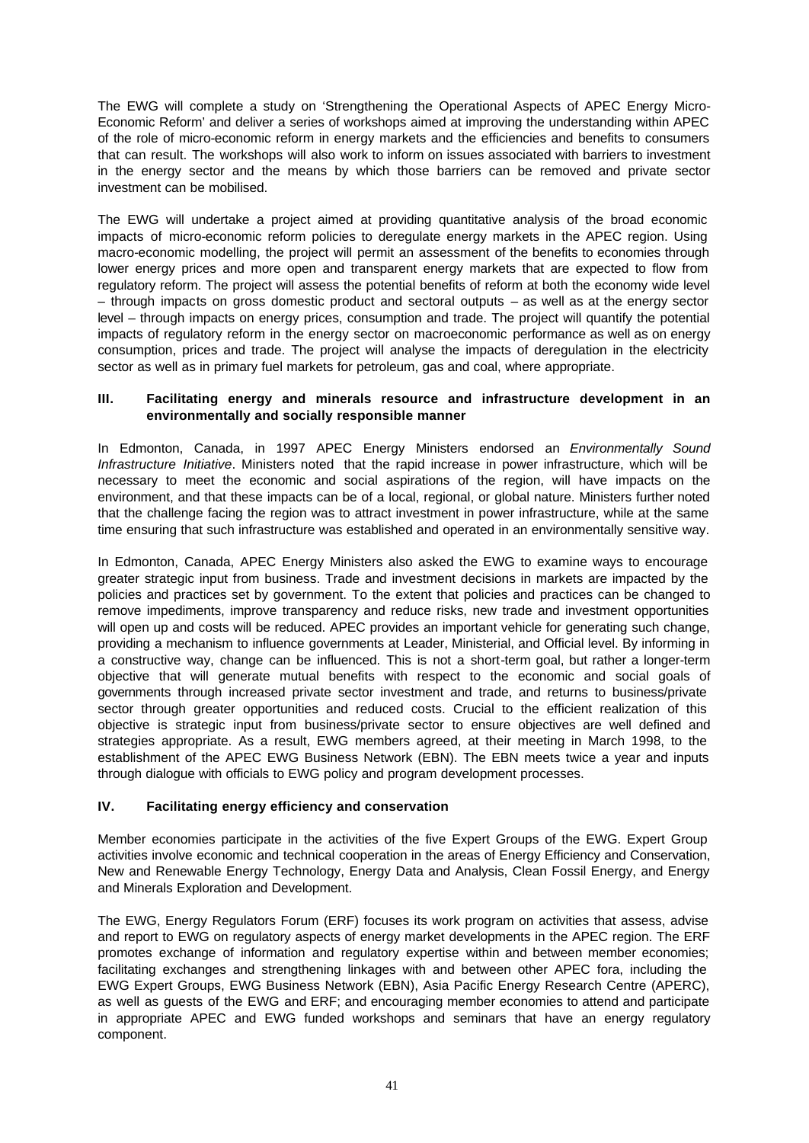The EWG will complete a study on 'Strengthening the Operational Aspects of APEC Energy Micro-Economic Reform' and deliver a series of workshops aimed at improving the understanding within APEC of the role of micro-economic reform in energy markets and the efficiencies and benefits to consumers that can result. The workshops will also work to inform on issues associated with barriers to investment in the energy sector and the means by which those barriers can be removed and private sector investment can be mobilised.

The EWG will undertake a project aimed at providing quantitative analysis of the broad economic impacts of micro-economic reform policies to deregulate energy markets in the APEC region. Using macro-economic modelling, the project will permit an assessment of the benefits to economies through lower energy prices and more open and transparent energy markets that are expected to flow from regulatory reform. The project will assess the potential benefits of reform at both the economy wide level – through impacts on gross domestic product and sectoral outputs – as well as at the energy sector level – through impacts on energy prices, consumption and trade. The project will quantify the potential impacts of regulatory reform in the energy sector on macroeconomic performance as well as on energy consumption, prices and trade. The project will analyse the impacts of deregulation in the electricity sector as well as in primary fuel markets for petroleum, gas and coal, where appropriate.

### **III. Facilitating energy and minerals resource and infrastructure development in an environmentally and socially responsible manner**

In Edmonton, Canada, in 1997 APEC Energy Ministers endorsed an *Environmentally Sound Infrastructure Initiative*. Ministers noted that the rapid increase in power infrastructure, which will be necessary to meet the economic and social aspirations of the region, will have impacts on the environment, and that these impacts can be of a local, regional, or global nature. Ministers further noted that the challenge facing the region was to attract investment in power infrastructure, while at the same time ensuring that such infrastructure was established and operated in an environmentally sensitive way.

In Edmonton, Canada, APEC Energy Ministers also asked the EWG to examine ways to encourage greater strategic input from business. Trade and investment decisions in markets are impacted by the policies and practices set by government. To the extent that policies and practices can be changed to remove impediments, improve transparency and reduce risks, new trade and investment opportunities will open up and costs will be reduced. APEC provides an important vehicle for generating such change, providing a mechanism to influence governments at Leader, Ministerial, and Official level. By informing in a constructive way, change can be influenced. This is not a short-term goal, but rather a longer-term objective that will generate mutual benefits with respect to the economic and social goals of governments through increased private sector investment and trade, and returns to business/private sector through greater opportunities and reduced costs. Crucial to the efficient realization of this objective is strategic input from business/private sector to ensure objectives are well defined and strategies appropriate. As a result, EWG members agreed, at their meeting in March 1998, to the establishment of the APEC EWG Business Network (EBN). The EBN meets twice a year and inputs through dialogue with officials to EWG policy and program development processes.

## **IV. Facilitating energy efficiency and conservation**

Member economies participate in the activities of the five Expert Groups of the EWG. Expert Group activities involve economic and technical cooperation in the areas of Energy Efficiency and Conservation, New and Renewable Energy Technology, Energy Data and Analysis, Clean Fossil Energy, and Energy and Minerals Exploration and Development.

The EWG, Energy Regulators Forum (ERF) focuses its work program on activities that assess, advise and report to EWG on regulatory aspects of energy market developments in the APEC region. The ERF promotes exchange of information and regulatory expertise within and between member economies; facilitating exchanges and strengthening linkages with and between other APEC fora, including the EWG Expert Groups, EWG Business Network (EBN), Asia Pacific Energy Research Centre (APERC), as well as guests of the EWG and ERF; and encouraging member economies to attend and participate in appropriate APEC and EWG funded workshops and seminars that have an energy regulatory component.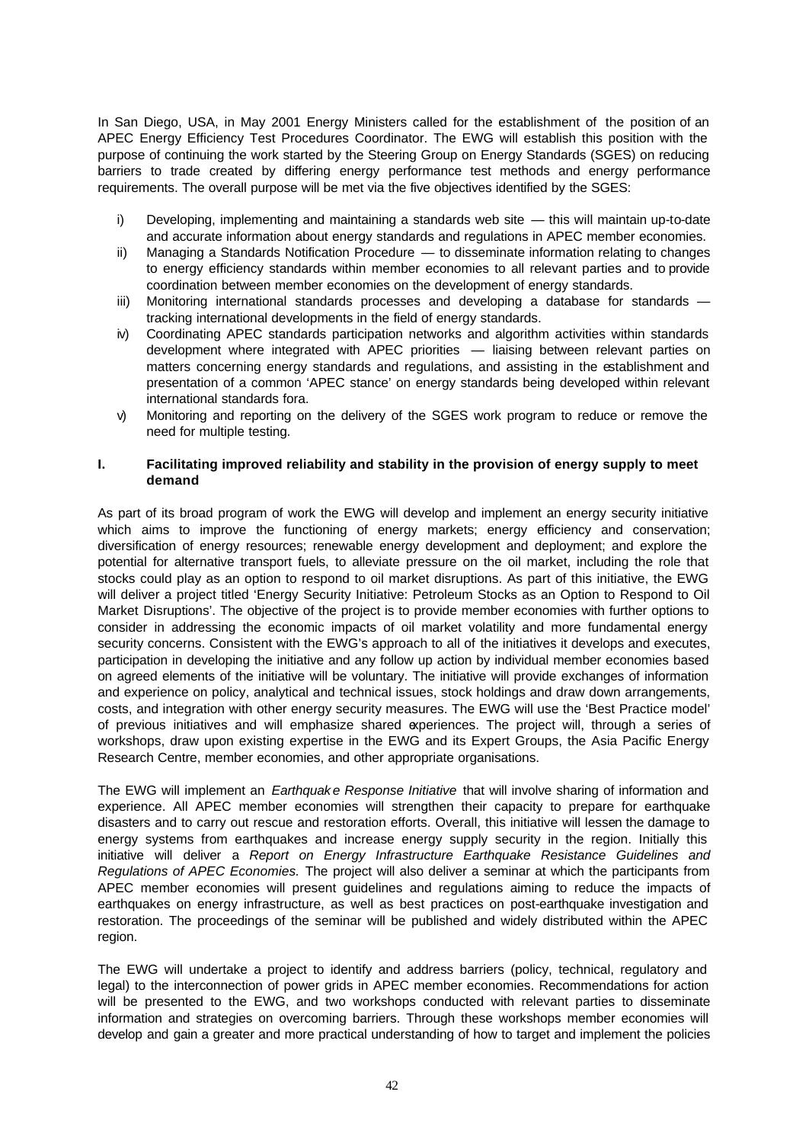In San Diego, USA, in May 2001 Energy Ministers called for the establishment of the position of an APEC Energy Efficiency Test Procedures Coordinator. The EWG will establish this position with the purpose of continuing the work started by the Steering Group on Energy Standards (SGES) on reducing barriers to trade created by differing energy performance test methods and energy performance requirements. The overall purpose will be met via the five objectives identified by the SGES:

- i) Developing, implementing and maintaining a standards web site this will maintain up-to-date and accurate information about energy standards and regulations in APEC member economies.
- ii) Managing a Standards Notification Procedure to disseminate information relating to changes to energy efficiency standards within member economies to all relevant parties and to provide coordination between member economies on the development of energy standards.
- iii) Monitoring international standards processes and developing a database for standards tracking international developments in the field of energy standards.
- iv) Coordinating APEC standards participation networks and algorithm activities within standards development where integrated with APEC priorities — liaising between relevant parties on matters concerning energy standards and regulations, and assisting in the establishment and presentation of a common 'APEC stance' on energy standards being developed within relevant international standards fora.
- v) Monitoring and reporting on the delivery of the SGES work program to reduce or remove the need for multiple testing.

### **I. Facilitating improved reliability and stability in the provision of energy supply to meet demand**

As part of its broad program of work the EWG will develop and implement an energy security initiative which aims to improve the functioning of energy markets; energy efficiency and conservation; diversification of energy resources; renewable energy development and deployment; and explore the potential for alternative transport fuels, to alleviate pressure on the oil market, including the role that stocks could play as an option to respond to oil market disruptions. As part of this initiative, the EWG will deliver a project titled 'Energy Security Initiative: Petroleum Stocks as an Option to Respond to Oil Market Disruptions'. The objective of the project is to provide member economies with further options to consider in addressing the economic impacts of oil market volatility and more fundamental energy security concerns. Consistent with the EWG's approach to all of the initiatives it develops and executes, participation in developing the initiative and any follow up action by individual member economies based on agreed elements of the initiative will be voluntary. The initiative will provide exchanges of information and experience on policy, analytical and technical issues, stock holdings and draw down arrangements, costs, and integration with other energy security measures. The EWG will use the 'Best Practice model' of previous initiatives and will emphasize shared experiences. The project will, through a series of workshops, draw upon existing expertise in the EWG and its Expert Groups, the Asia Pacific Energy Research Centre, member economies, and other appropriate organisations.

The EWG will implement an *Earthquak e Response Initiative* that will involve sharing of information and experience. All APEC member economies will strengthen their capacity to prepare for earthquake disasters and to carry out rescue and restoration efforts. Overall, this initiative will lessen the damage to energy systems from earthquakes and increase energy supply security in the region. Initially this initiative will deliver a *Report on Energy Infrastructure Earthquake Resistance Guidelines and Regulations of APEC Economies.* The project will also deliver a seminar at which the participants from APEC member economies will present guidelines and regulations aiming to reduce the impacts of earthquakes on energy infrastructure, as well as best practices on post-earthquake investigation and restoration. The proceedings of the seminar will be published and widely distributed within the APEC region.

The EWG will undertake a project to identify and address barriers (policy, technical, regulatory and legal) to the interconnection of power grids in APEC member economies. Recommendations for action will be presented to the EWG, and two workshops conducted with relevant parties to disseminate information and strategies on overcoming barriers. Through these workshops member economies will develop and gain a greater and more practical understanding of how to target and implement the policies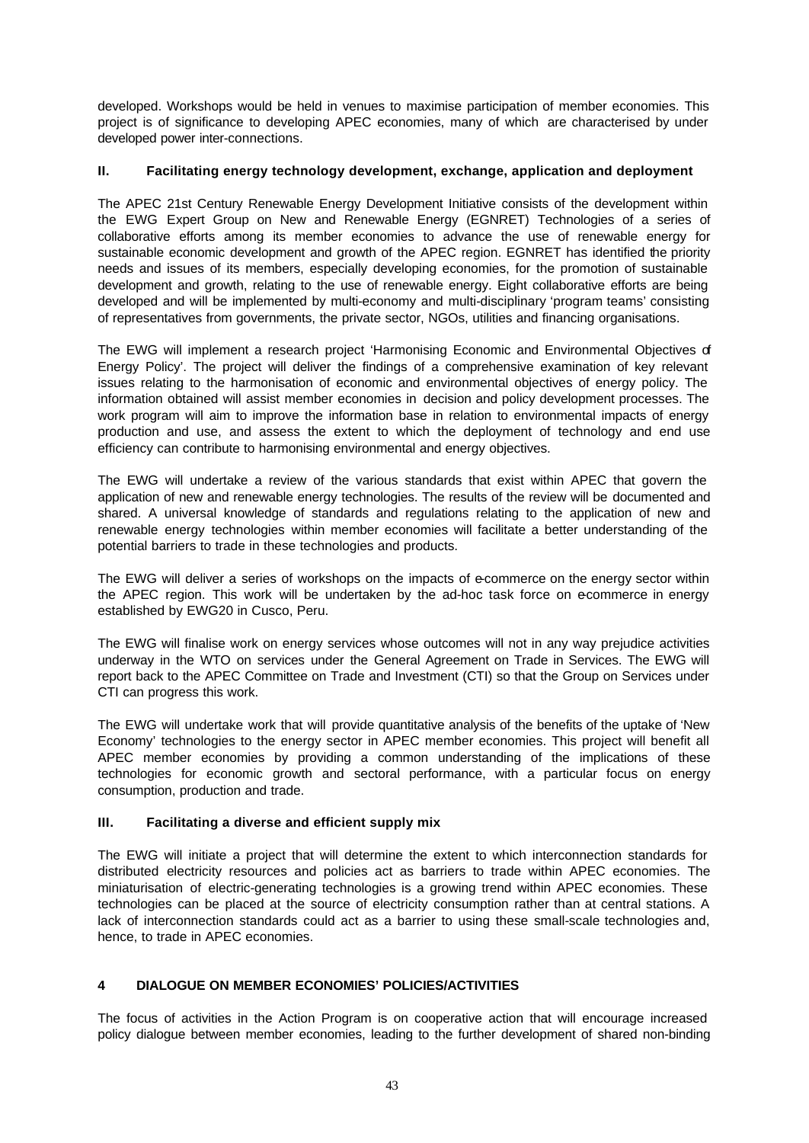developed. Workshops would be held in venues to maximise participation of member economies. This project is of significance to developing APEC economies, many of which are characterised by under developed power inter-connections.

### **II. Facilitating energy technology development, exchange, application and deployment**

The APEC 21st Century Renewable Energy Development Initiative consists of the development within the EWG Expert Group on New and Renewable Energy (EGNRET) Technologies of a series of collaborative efforts among its member economies to advance the use of renewable energy for sustainable economic development and growth of the APEC region. EGNRET has identified the priority needs and issues of its members, especially developing economies, for the promotion of sustainable development and growth, relating to the use of renewable energy. Eight collaborative efforts are being developed and will be implemented by multi-economy and multi-disciplinary 'program teams' consisting of representatives from governments, the private sector, NGOs, utilities and financing organisations.

The EWG will implement a research project 'Harmonising Economic and Environmental Objectives of Energy Policy'. The project will deliver the findings of a comprehensive examination of key relevant issues relating to the harmonisation of economic and environmental objectives of energy policy. The information obtained will assist member economies in decision and policy development processes. The work program will aim to improve the information base in relation to environmental impacts of energy production and use, and assess the extent to which the deployment of technology and end use efficiency can contribute to harmonising environmental and energy objectives.

The EWG will undertake a review of the various standards that exist within APEC that govern the application of new and renewable energy technologies. The results of the review will be documented and shared. A universal knowledge of standards and regulations relating to the application of new and renewable energy technologies within member economies will facilitate a better understanding of the potential barriers to trade in these technologies and products.

The EWG will deliver a series of workshops on the impacts of e-commerce on the energy sector within the APEC region. This work will be undertaken by the ad-hoc task force on ecommerce in energy established by EWG20 in Cusco, Peru.

The EWG will finalise work on energy services whose outcomes will not in any way prejudice activities underway in the WTO on services under the General Agreement on Trade in Services. The EWG will report back to the APEC Committee on Trade and Investment (CTI) so that the Group on Services under CTI can progress this work.

The EWG will undertake work that will provide quantitative analysis of the benefits of the uptake of 'New Economy' technologies to the energy sector in APEC member economies. This project will benefit all APEC member economies by providing a common understanding of the implications of these technologies for economic growth and sectoral performance, with a particular focus on energy consumption, production and trade.

## **III. Facilitating a diverse and efficient supply mix**

The EWG will initiate a project that will determine the extent to which interconnection standards for distributed electricity resources and policies act as barriers to trade within APEC economies. The miniaturisation of electric-generating technologies is a growing trend within APEC economies. These technologies can be placed at the source of electricity consumption rather than at central stations. A lack of interconnection standards could act as a barrier to using these small-scale technologies and, hence, to trade in APEC economies.

# **4 DIALOGUE ON MEMBER ECONOMIES' POLICIES/ACTIVITIES**

The focus of activities in the Action Program is on cooperative action that will encourage increased policy dialogue between member economies, leading to the further development of shared non-binding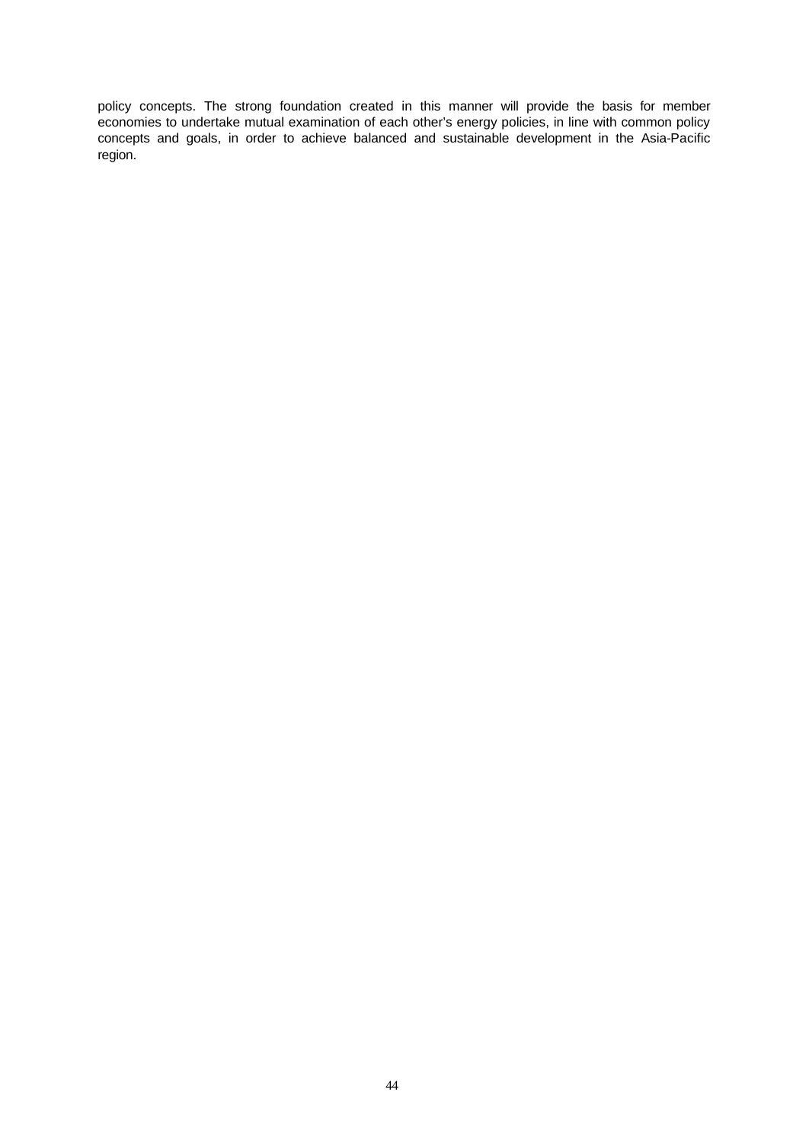policy concepts. The strong foundation created in this manner will provide the basis for member economies to undertake mutual examination of each other's energy policies, in line with common policy concepts and goals, in order to achieve balanced and sustainable development in the Asia-Pacific region.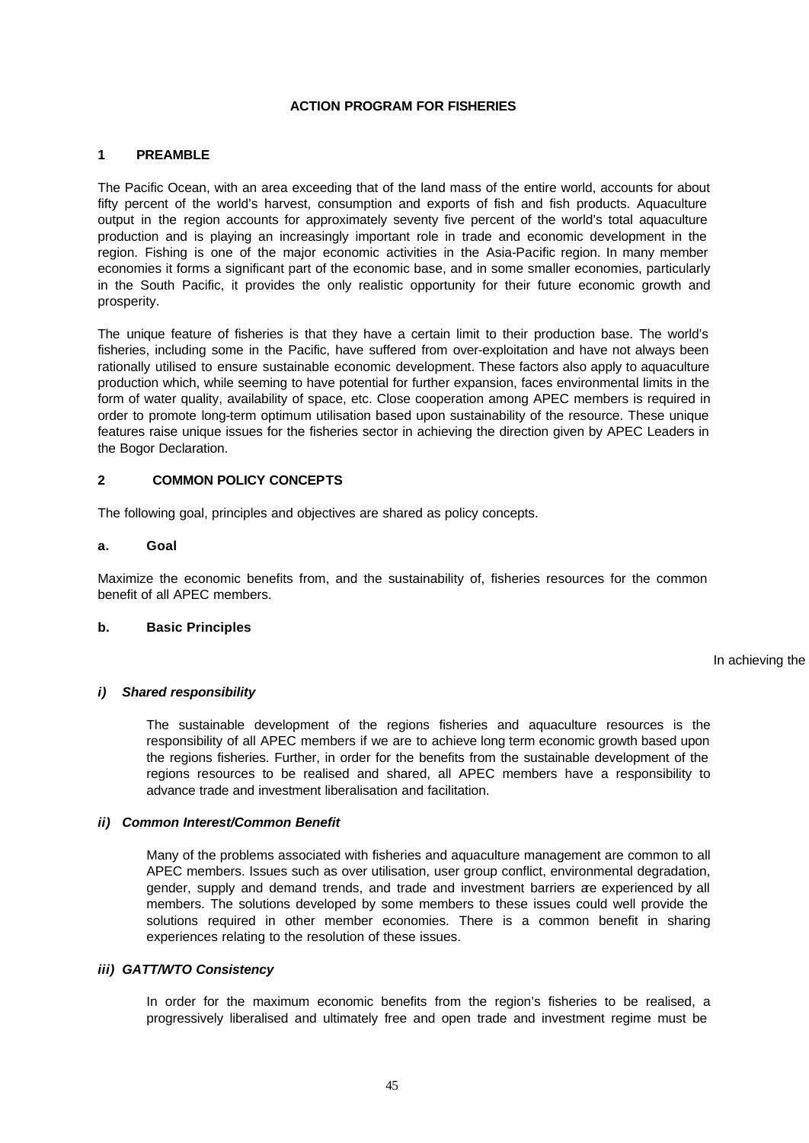### **ACTION PROGRAM FOR FISHERIES**

### **1 PREAMBLE**

The Pacific Ocean, with an area exceeding that of the land mass of the entire world, accounts for about fifty percent of the world's harvest, consumption and exports of fish and fish products. Aquaculture output in the region accounts for approximately seventy five percent of the world's total aquaculture production and is playing an increasingly important role in trade and economic development in the region. Fishing is one of the major economic activities in the Asia-Pacific region. In many member economies it forms a significant part of the economic base, and in some smaller economies, particularly in the South Pacific, it provides the only realistic opportunity for their future economic growth and prosperity.

The unique feature of fisheries is that they have a certain limit to their production base. The world's fisheries, including some in the Pacific, have suffered from over-exploitation and have not always been rationally utilised to ensure sustainable economic development. These factors also apply to aquaculture production which, while seeming to have potential for further expansion, faces environmental limits in the form of water quality, availability of space, etc. Close cooperation among APEC members is required in order to promote long-term optimum utilisation based upon sustainability of the resource. These unique features raise unique issues for the fisheries sector in achieving the direction given by APEC Leaders in the Bogor Declaration.

#### **2 COMMON POLICY CONCEPTS**

The following goal, principles and objectives are shared as policy concepts.

### **a. Goal**

Maximize the economic benefits from, and the sustainability of, fisheries resources for the common benefit of all APEC members.

### **b. Basic Principles**

In achieving the

#### *i) Shared responsibility*

The sustainable development of the regions fisheries and aquaculture resources is the responsibility of all APEC members if we are to achieve long term economic growth based upon the regions fisheries. Further, in order for the benefits from the sustainable development of the regions resources to be realised and shared, all APEC members have a responsibility to advance trade and investment liberalisation and facilitation.

#### *ii) Common Interest/Common Benefit*

Many of the problems associated with fisheries and aquaculture management are common to all APEC members. Issues such as over utilisation, user group conflict, environmental degradation, gender, supply and demand trends, and trade and investment barriers are experienced by all members. The solutions developed by some members to these issues could well provide the solutions required in other member economies. There is a common benefit in sharing experiences relating to the resolution of these issues.

#### *iii) GATT/WTO Consistency*

In order for the maximum economic benefits from the region's fisheries to be realised, a progressively liberalised and ultimately free and open trade and investment regime must be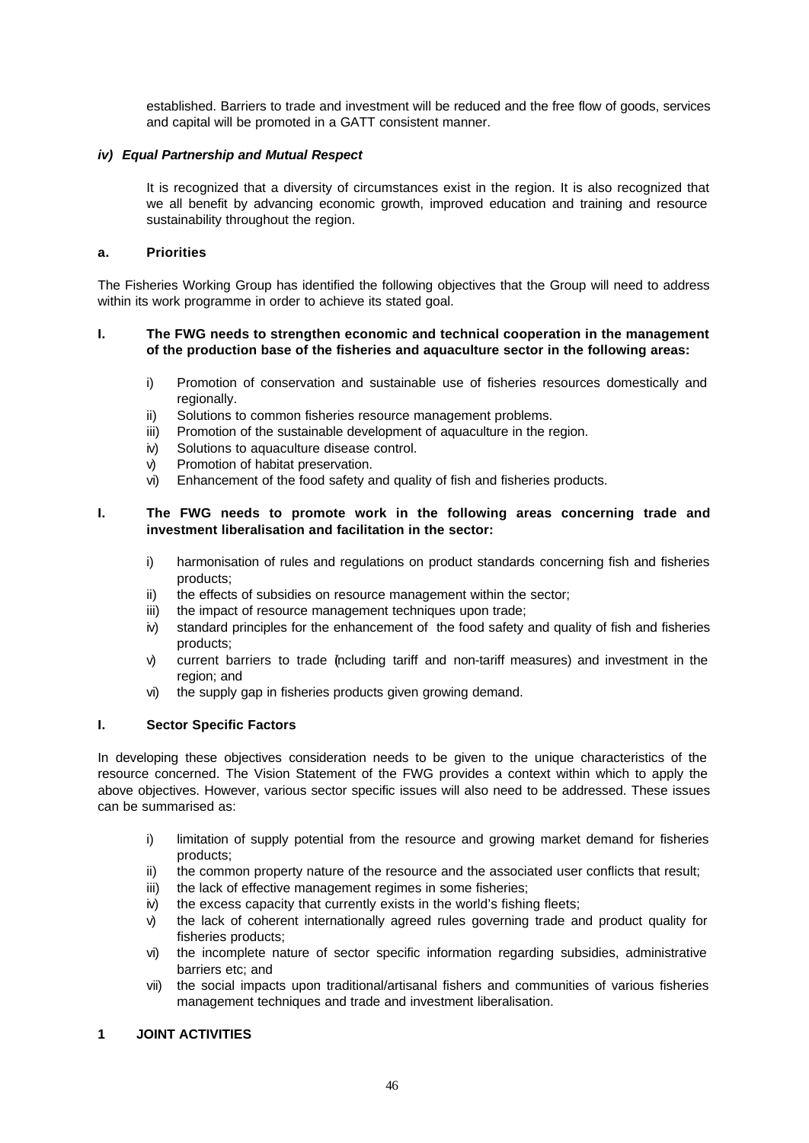established. Barriers to trade and investment will be reduced and the free flow of goods, services and capital will be promoted in a GATT consistent manner.

### *iv) Equal Partnership and Mutual Respect*

It is recognized that a diversity of circumstances exist in the region. It is also recognized that we all benefit by advancing economic growth, improved education and training and resource sustainability throughout the region.

### **a. Priorities**

The Fisheries Working Group has identified the following objectives that the Group will need to address within its work programme in order to achieve its stated goal.

### **I. The FWG needs to strengthen economic and technical cooperation in the management of the production base of the fisheries and aquaculture sector in the following areas:**

- i) Promotion of conservation and sustainable use of fisheries resources domestically and regionally.
- ii) Solutions to common fisheries resource management problems.
- iii) Promotion of the sustainable development of aquaculture in the region.
- iv) Solutions to aquaculture disease control.
- v) Promotion of habitat preservation.
- vi) Enhancement of the food safety and quality of fish and fisheries products.

### **I. The FWG needs to promote work in the following areas concerning trade and investment liberalisation and facilitation in the sector:**

- i) harmonisation of rules and regulations on product standards concerning fish and fisheries products;
- ii) the effects of subsidies on resource management within the sector;
- iii) the impact of resource management techniques upon trade;
- iv) standard principles for the enhancement of the food safety and quality of fish and fisheries products;
- v) current barriers to trade (ncluding tariff and non-tariff measures) and investment in the region; and
- vi) the supply gap in fisheries products given growing demand.

#### **I. Sector Specific Factors**

In developing these objectives consideration needs to be given to the unique characteristics of the resource concerned. The Vision Statement of the FWG provides a context within which to apply the above objectives. However, various sector specific issues will also need to be addressed. These issues can be summarised as:

- i) limitation of supply potential from the resource and growing market demand for fisheries products;
- ii) the common property nature of the resource and the associated user conflicts that result;
- iii) the lack of effective management regimes in some fisheries;
- iv) the excess capacity that currently exists in the world's fishing fleets;
- v) the lack of coherent internationally agreed rules governing trade and product quality for fisheries products;
- vi) the incomplete nature of sector specific information regarding subsidies, administrative barriers etc; and
- vii) the social impacts upon traditional/artisanal fishers and communities of various fisheries management techniques and trade and investment liberalisation.

## **1 JOINT ACTIVITIES**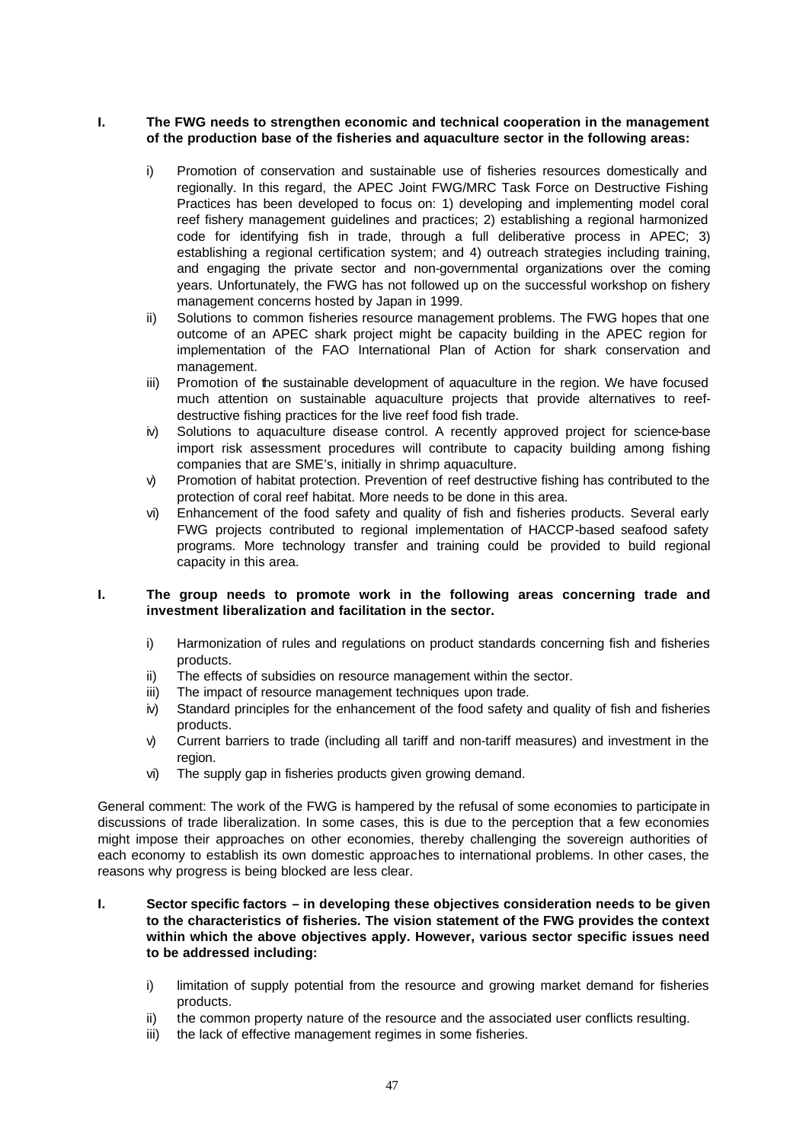### **I. The FWG needs to strengthen economic and technical cooperation in the management of the production base of the fisheries and aquaculture sector in the following areas:**

- i) Promotion of conservation and sustainable use of fisheries resources domestically and regionally. In this regard, the APEC Joint FWG/MRC Task Force on Destructive Fishing Practices has been developed to focus on: 1) developing and implementing model coral reef fishery management guidelines and practices; 2) establishing a regional harmonized code for identifying fish in trade, through a full deliberative process in APEC; 3) establishing a regional certification system; and 4) outreach strategies including training, and engaging the private sector and non-governmental organizations over the coming years. Unfortunately, the FWG has not followed up on the successful workshop on fishery management concerns hosted by Japan in 1999.
- ii) Solutions to common fisheries resource management problems. The FWG hopes that one outcome of an APEC shark project might be capacity building in the APEC region for implementation of the FAO International Plan of Action for shark conservation and management.
- iii) Promotion of the sustainable development of aquaculture in the region. We have focused much attention on sustainable aquaculture projects that provide alternatives to reefdestructive fishing practices for the live reef food fish trade.
- iv) Solutions to aquaculture disease control. A recently approved project for science-base import risk assessment procedures will contribute to capacity building among fishing companies that are SME's, initially in shrimp aquaculture.
- v) Promotion of habitat protection. Prevention of reef destructive fishing has contributed to the protection of coral reef habitat. More needs to be done in this area.
- vi) Enhancement of the food safety and quality of fish and fisheries products. Several early FWG projects contributed to regional implementation of HACCP-based seafood safety programs. More technology transfer and training could be provided to build regional capacity in this area.

#### **I. The group needs to promote work in the following areas concerning trade and investment liberalization and facilitation in the sector.**

- i) Harmonization of rules and regulations on product standards concerning fish and fisheries products.
- ii) The effects of subsidies on resource management within the sector.
- iii) The impact of resource management techniques upon trade.
- iv) Standard principles for the enhancement of the food safety and quality of fish and fisheries products.
- v) Current barriers to trade (including all tariff and non-tariff measures) and investment in the region.
- vi) The supply gap in fisheries products given growing demand.

General comment: The work of the FWG is hampered by the refusal of some economies to participate in discussions of trade liberalization. In some cases, this is due to the perception that a few economies might impose their approaches on other economies, thereby challenging the sovereign authorities of each economy to establish its own domestic approaches to international problems. In other cases, the reasons why progress is being blocked are less clear.

### **I. Sector specific factors – in developing these objectives consideration needs to be given to the characteristics of fisheries. The vision statement of the FWG provides the context within which the above objectives apply. However, various sector specific issues need to be addressed including:**

- i) limitation of supply potential from the resource and growing market demand for fisheries products.
- ii) the common property nature of the resource and the associated user conflicts resulting.
- iii) the lack of effective management regimes in some fisheries.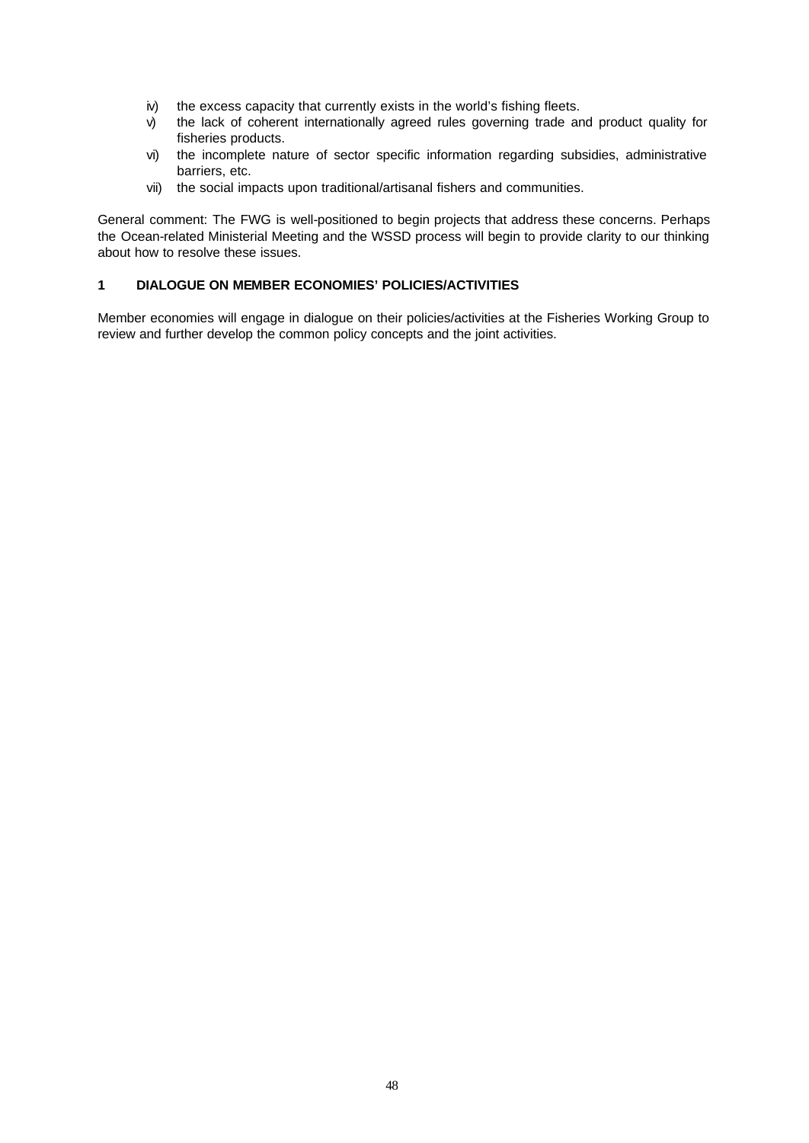- iv) the excess capacity that currently exists in the world's fishing fleets.
- v) the lack of coherent internationally agreed rules governing trade and product quality for fisheries products.
- vi) the incomplete nature of sector specific information regarding subsidies, administrative barriers, etc.
- vii) the social impacts upon traditional/artisanal fishers and communities.

General comment: The FWG is well-positioned to begin projects that address these concerns. Perhaps the Ocean-related Ministerial Meeting and the WSSD process will begin to provide clarity to our thinking about how to resolve these issues.

## **1 DIALOGUE ON MEMBER ECONOMIES' POLICIES/ACTIVITIES**

Member economies will engage in dialogue on their policies/activities at the Fisheries Working Group to review and further develop the common policy concepts and the joint activities.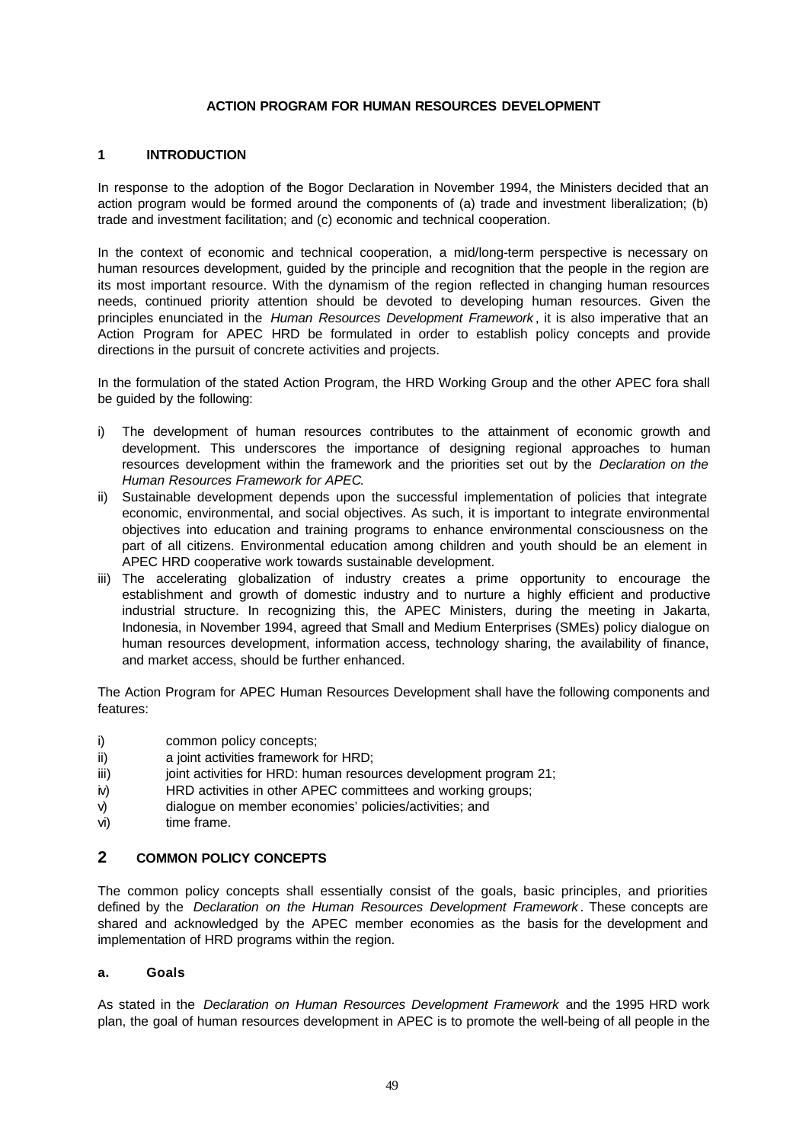### **ACTION PROGRAM FOR HUMAN RESOURCES DEVELOPMENT**

### **1 INTRODUCTION**

In response to the adoption of the Bogor Declaration in November 1994, the Ministers decided that an action program would be formed around the components of (a) trade and investment liberalization; (b) trade and investment facilitation; and (c) economic and technical cooperation.

In the context of economic and technical cooperation, a mid/long-term perspective is necessary on human resources development, guided by the principle and recognition that the people in the region are its most important resource. With the dynamism of the region reflected in changing human resources needs, continued priority attention should be devoted to developing human resources. Given the principles enunciated in the *Human Resources Development Framework* , it is also imperative that an Action Program for APEC HRD be formulated in order to establish policy concepts and provide directions in the pursuit of concrete activities and projects.

In the formulation of the stated Action Program, the HRD Working Group and the other APEC fora shall be guided by the following:

- i) The development of human resources contributes to the attainment of economic growth and development. This underscores the importance of designing regional approaches to human resources development within the framework and the priorities set out by the *Declaration on the Human Resources Framework for APEC*.
- ii) Sustainable development depends upon the successful implementation of policies that integrate economic, environmental, and social objectives. As such, it is important to integrate environmental objectives into education and training programs to enhance environmental consciousness on the part of all citizens. Environmental education among children and youth should be an element in APEC HRD cooperative work towards sustainable development.
- iii) The accelerating globalization of industry creates a prime opportunity to encourage the establishment and growth of domestic industry and to nurture a highly efficient and productive industrial structure. In recognizing this, the APEC Ministers, during the meeting in Jakarta, Indonesia, in November 1994, agreed that Small and Medium Enterprises (SMEs) policy dialogue on human resources development, information access, technology sharing, the availability of finance, and market access, should be further enhanced.

The Action Program for APEC Human Resources Development shall have the following components and features:

- i) common policy concepts;
- ii) a joint activities framework for HRD;
- iii) joint activities for HRD: human resources development program 21;
- iv) HRD activities in other APEC committees and working groups;
- v) dialogue on member economies' policies/activities; and
- vi) time frame.

## **2 COMMON POLICY CONCEPTS**

The common policy concepts shall essentially consist of the goals, basic principles, and priorities defined by the *Declaration on the Human Resources Development Framework* . These concepts are shared and acknowledged by the APEC member economies as the basis for the development and implementation of HRD programs within the region.

### **a. Goals**

As stated in the *Declaration on Human Resources Development Framework* and the 1995 HRD work plan, the goal of human resources development in APEC is to promote the well-being of all people in the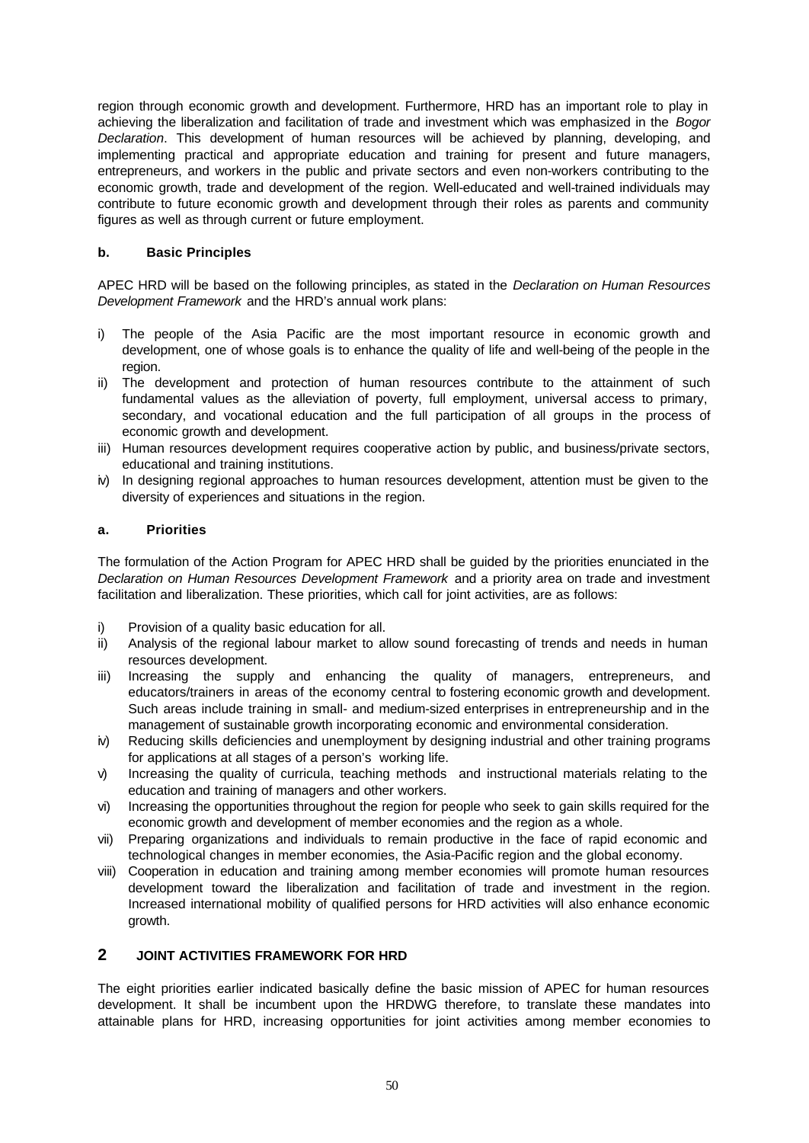region through economic growth and development. Furthermore, HRD has an important role to play in achieving the liberalization and facilitation of trade and investment which was emphasized in the *Bogor Declaration*. This development of human resources will be achieved by planning, developing, and implementing practical and appropriate education and training for present and future managers, entrepreneurs, and workers in the public and private sectors and even non-workers contributing to the economic growth, trade and development of the region. Well-educated and well-trained individuals may contribute to future economic growth and development through their roles as parents and community figures as well as through current or future employment.

## **b. Basic Principles**

APEC HRD will be based on the following principles, as stated in the *Declaration on Human Resources Development Framework* and the HRD's annual work plans:

- i) The people of the Asia Pacific are the most important resource in economic growth and development, one of whose goals is to enhance the quality of life and well-being of the people in the region.
- ii) The development and protection of human resources contribute to the attainment of such fundamental values as the alleviation of poverty, full employment, universal access to primary, secondary, and vocational education and the full participation of all groups in the process of economic growth and development.
- iii) Human resources development requires cooperative action by public, and business/private sectors, educational and training institutions.
- iv) In designing regional approaches to human resources development, attention must be given to the diversity of experiences and situations in the region.

## **a. Priorities**

The formulation of the Action Program for APEC HRD shall be guided by the priorities enunciated in the *Declaration on Human Resources Development Framework* and a priority area on trade and investment facilitation and liberalization. These priorities, which call for joint activities, are as follows:

- i) Provision of a quality basic education for all.
- ii) Analysis of the regional labour market to allow sound forecasting of trends and needs in human resources development.
- iii) Increasing the supply and enhancing the quality of managers, entrepreneurs, and educators/trainers in areas of the economy central to fostering economic growth and development. Such areas include training in small- and medium-sized enterprises in entrepreneurship and in the management of sustainable growth incorporating economic and environmental consideration.
- iv) Reducing skills deficiencies and unemployment by designing industrial and other training programs for applications at all stages of a person's working life.
- v) Increasing the quality of curricula, teaching methods and instructional materials relating to the education and training of managers and other workers.
- vi) Increasing the opportunities throughout the region for people who seek to gain skills required for the economic growth and development of member economies and the region as a whole.
- vii) Preparing organizations and individuals to remain productive in the face of rapid economic and technological changes in member economies, the Asia-Pacific region and the global economy.
- viii) Cooperation in education and training among member economies will promote human resources development toward the liberalization and facilitation of trade and investment in the region. Increased international mobility of qualified persons for HRD activities will also enhance economic growth.

## **2 JOINT ACTIVITIES FRAMEWORK FOR HRD**

The eight priorities earlier indicated basically define the basic mission of APEC for human resources development. It shall be incumbent upon the HRDWG therefore, to translate these mandates into attainable plans for HRD, increasing opportunities for joint activities among member economies to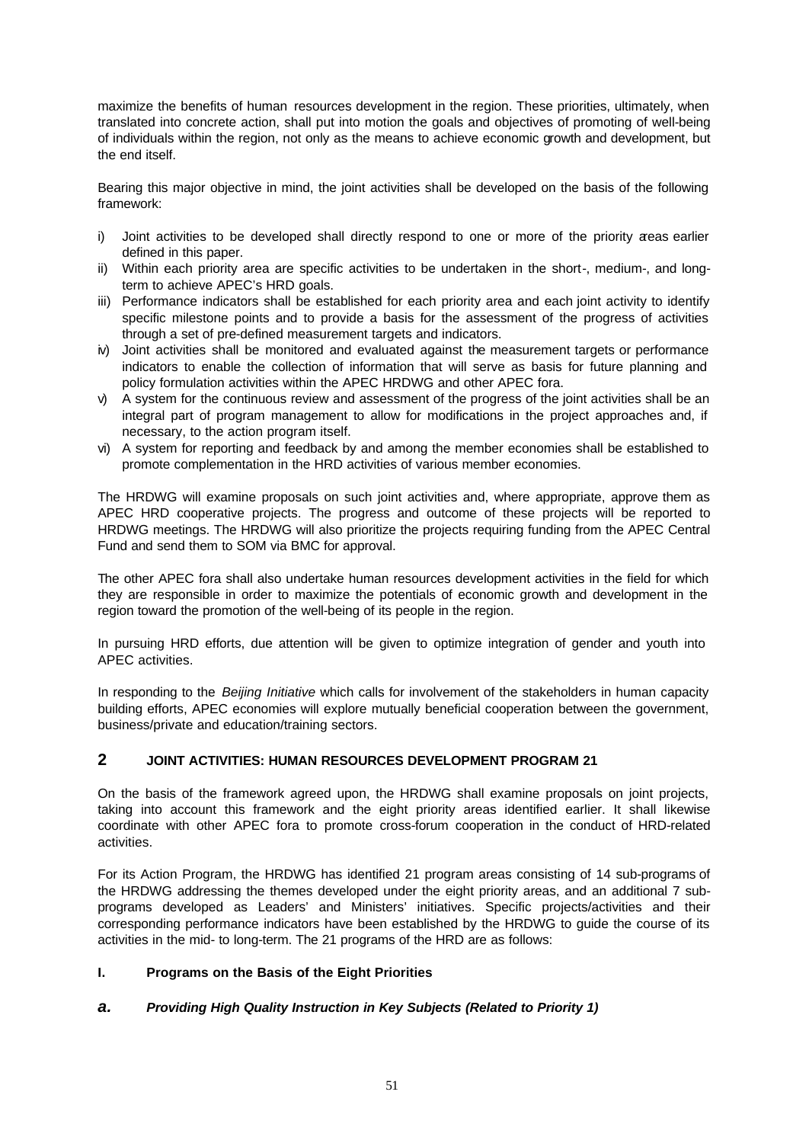maximize the benefits of human resources development in the region. These priorities, ultimately, when translated into concrete action, shall put into motion the goals and objectives of promoting of well-being of individuals within the region, not only as the means to achieve economic growth and development, but the end itself.

Bearing this major objective in mind, the joint activities shall be developed on the basis of the following framework:

- i) Joint activities to be developed shall directly respond to one or more of the priority areas earlier defined in this paper.
- ii) Within each priority area are specific activities to be undertaken in the short-, medium-, and longterm to achieve APEC's HRD goals.
- iii) Performance indicators shall be established for each priority area and each joint activity to identify specific milestone points and to provide a basis for the assessment of the progress of activities through a set of pre-defined measurement targets and indicators.
- iv) Joint activities shall be monitored and evaluated against the measurement targets or performance indicators to enable the collection of information that will serve as basis for future planning and policy formulation activities within the APEC HRDWG and other APEC fora.
- v) A system for the continuous review and assessment of the progress of the joint activities shall be an integral part of program management to allow for modifications in the project approaches and, if necessary, to the action program itself.
- vi) A system for reporting and feedback by and among the member economies shall be established to promote complementation in the HRD activities of various member economies.

The HRDWG will examine proposals on such joint activities and, where appropriate, approve them as APEC HRD cooperative projects. The progress and outcome of these projects will be reported to HRDWG meetings. The HRDWG will also prioritize the projects requiring funding from the APEC Central Fund and send them to SOM via BMC for approval.

The other APEC fora shall also undertake human resources development activities in the field for which they are responsible in order to maximize the potentials of economic growth and development in the region toward the promotion of the well-being of its people in the region.

In pursuing HRD efforts, due attention will be given to optimize integration of gender and youth into APEC activities.

In responding to the *Beijing Initiative* which calls for involvement of the stakeholders in human capacity building efforts, APEC economies will explore mutually beneficial cooperation between the government, business/private and education/training sectors.

## **2 JOINT ACTIVITIES: HUMAN RESOURCES DEVELOPMENT PROGRAM 21**

On the basis of the framework agreed upon, the HRDWG shall examine proposals on joint projects, taking into account this framework and the eight priority areas identified earlier. It shall likewise coordinate with other APEC fora to promote cross-forum cooperation in the conduct of HRD-related activities.

For its Action Program, the HRDWG has identified 21 program areas consisting of 14 sub-programs of the HRDWG addressing the themes developed under the eight priority areas, and an additional 7 subprograms developed as Leaders' and Ministers' initiatives. Specific projects/activities and their corresponding performance indicators have been established by the HRDWG to guide the course of its activities in the mid- to long-term. The 21 programs of the HRD are as follows:

## **I. Programs on the Basis of the Eight Priorities**

## *a. Providing High Quality Instruction in Key Subjects (Related to Priority 1)*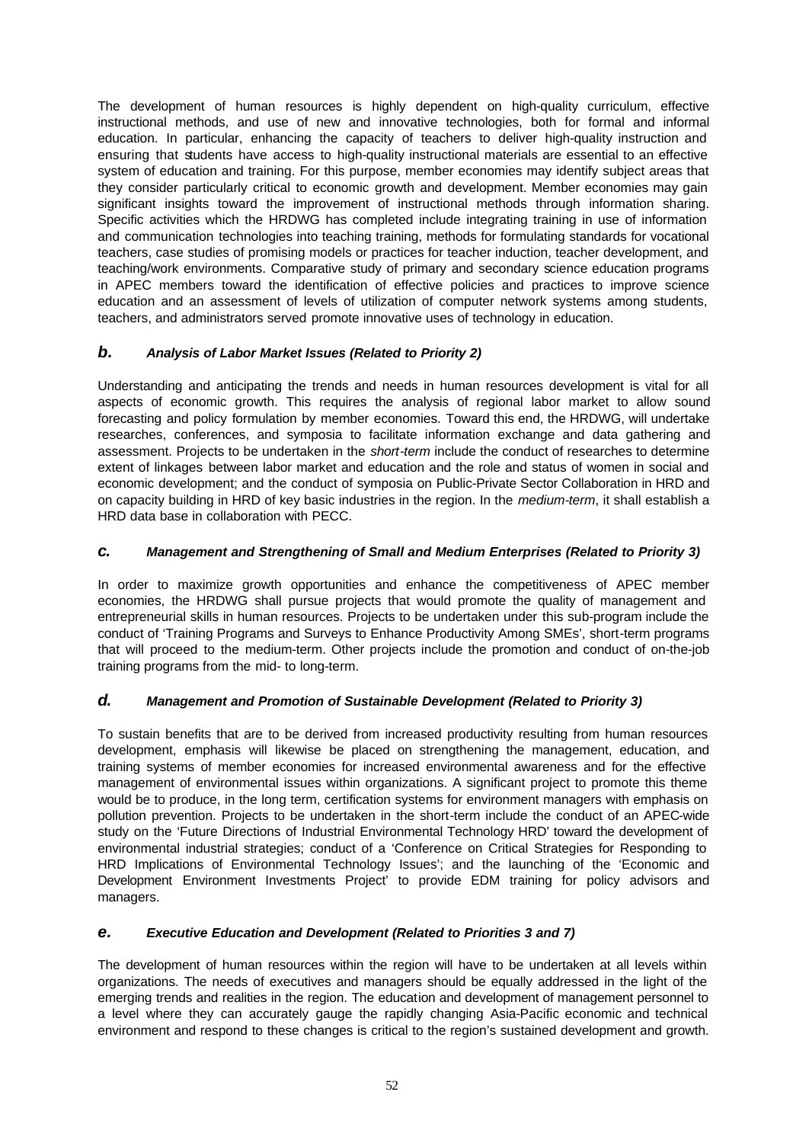The development of human resources is highly dependent on high-quality curriculum, effective instructional methods, and use of new and innovative technologies, both for formal and informal education. In particular, enhancing the capacity of teachers to deliver high-quality instruction and ensuring that students have access to high-quality instructional materials are essential to an effective system of education and training. For this purpose, member economies may identify subject areas that they consider particularly critical to economic growth and development. Member economies may gain significant insights toward the improvement of instructional methods through information sharing. Specific activities which the HRDWG has completed include integrating training in use of information and communication technologies into teaching training, methods for formulating standards for vocational teachers, case studies of promising models or practices for teacher induction, teacher development, and teaching/work environments. Comparative study of primary and secondary science education programs in APEC members toward the identification of effective policies and practices to improve science education and an assessment of levels of utilization of computer network systems among students, teachers, and administrators served promote innovative uses of technology in education.

# *b. Analysis of Labor Market Issues (Related to Priority 2)*

Understanding and anticipating the trends and needs in human resources development is vital for all aspects of economic growth. This requires the analysis of regional labor market to allow sound forecasting and policy formulation by member economies. Toward this end, the HRDWG, will undertake researches, conferences, and symposia to facilitate information exchange and data gathering and assessment. Projects to be undertaken in the *short-term* include the conduct of researches to determine extent of linkages between labor market and education and the role and status of women in social and economic development; and the conduct of symposia on Public-Private Sector Collaboration in HRD and on capacity building in HRD of key basic industries in the region. In the *medium-term*, it shall establish a HRD data base in collaboration with PECC.

# *c. Management and Strengthening of Small and Medium Enterprises (Related to Priority 3)*

In order to maximize growth opportunities and enhance the competitiveness of APEC member economies, the HRDWG shall pursue projects that would promote the quality of management and entrepreneurial skills in human resources. Projects to be undertaken under this sub-program include the conduct of 'Training Programs and Surveys to Enhance Productivity Among SMEs', short-term programs that will proceed to the medium-term. Other projects include the promotion and conduct of on-the-job training programs from the mid- to long-term.

# *d. Management and Promotion of Sustainable Development (Related to Priority 3)*

To sustain benefits that are to be derived from increased productivity resulting from human resources development, emphasis will likewise be placed on strengthening the management, education, and training systems of member economies for increased environmental awareness and for the effective management of environmental issues within organizations. A significant project to promote this theme would be to produce, in the long term, certification systems for environment managers with emphasis on pollution prevention. Projects to be undertaken in the short-term include the conduct of an APEC-wide study on the 'Future Directions of Industrial Environmental Technology HRD' toward the development of environmental industrial strategies; conduct of a 'Conference on Critical Strategies for Responding to HRD Implications of Environmental Technology Issues'; and the launching of the 'Economic and Development Environment Investments Project' to provide EDM training for policy advisors and managers.

# *e. Executive Education and Development (Related to Priorities 3 and 7)*

The development of human resources within the region will have to be undertaken at all levels within organizations. The needs of executives and managers should be equally addressed in the light of the emerging trends and realities in the region. The education and development of management personnel to a level where they can accurately gauge the rapidly changing Asia-Pacific economic and technical environment and respond to these changes is critical to the region's sustained development and growth.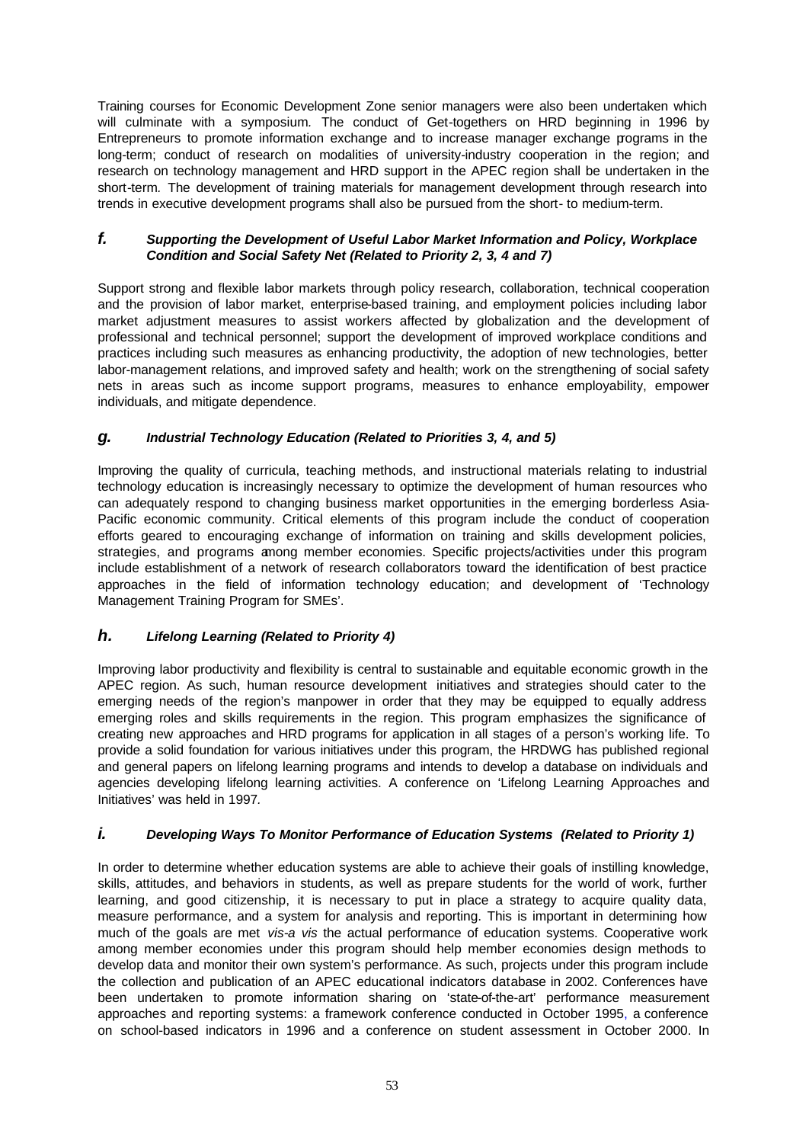Training courses for Economic Development Zone senior managers were also been undertaken which will culminate with a symposium*.* The conduct of Get-togethers on HRD beginning in 1996 by Entrepreneurs to promote information exchange and to increase manager exchange programs in the long-term; conduct of research on modalities of university-industry cooperation in the region; and research on technology management and HRD support in the APEC region shall be undertaken in the short-term*.* The development of training materials for management development through research into trends in executive development programs shall also be pursued from the short- to medium-term.

## *f. Supporting the Development of Useful Labor Market Information and Policy, Workplace Condition and Social Safety Net (Related to Priority 2, 3, 4 and 7)*

Support strong and flexible labor markets through policy research, collaboration, technical cooperation and the provision of labor market, enterprise-based training, and employment policies including labor market adjustment measures to assist workers affected by globalization and the development of professional and technical personnel; support the development of improved workplace conditions and practices including such measures as enhancing productivity, the adoption of new technologies, better labor-management relations, and improved safety and health; work on the strengthening of social safety nets in areas such as income support programs, measures to enhance employability, empower individuals, and mitigate dependence.

## *g. Industrial Technology Education (Related to Priorities 3, 4, and 5)*

Improving the quality of curricula, teaching methods, and instructional materials relating to industrial technology education is increasingly necessary to optimize the development of human resources who can adequately respond to changing business market opportunities in the emerging borderless Asia-Pacific economic community. Critical elements of this program include the conduct of cooperation efforts geared to encouraging exchange of information on training and skills development policies, strategies, and programs among member economies. Specific projects/activities under this program include establishment of a network of research collaborators toward the identification of best practice approaches in the field of information technology education; and development of 'Technology Management Training Program for SMEs'.

# *h. Lifelong Learning (Related to Priority 4)*

Improving labor productivity and flexibility is central to sustainable and equitable economic growth in the APEC region. As such, human resource development initiatives and strategies should cater to the emerging needs of the region's manpower in order that they may be equipped to equally address emerging roles and skills requirements in the region. This program emphasizes the significance of creating new approaches and HRD programs for application in all stages of a person's working life. To provide a solid foundation for various initiatives under this program, the HRDWG has published regional and general papers on lifelong learning programs and intends to develop a database on individuals and agencies developing lifelong learning activities. A conference on 'Lifelong Learning Approaches and Initiatives' was held in 1997*.*

## *i. Developing Ways To Monitor Performance of Education Systems (Related to Priority 1)*

In order to determine whether education systems are able to achieve their goals of instilling knowledge, skills, attitudes, and behaviors in students, as well as prepare students for the world of work, further learning, and good citizenship, it is necessary to put in place a strategy to acquire quality data, measure performance, and a system for analysis and reporting. This is important in determining how much of the goals are met *vis-a vis* the actual performance of education systems. Cooperative work among member economies under this program should help member economies design methods to develop data and monitor their own system's performance. As such, projects under this program include the collection and publication of an APEC educational indicators database in 2002. Conferences have been undertaken to promote information sharing on 'state-of-the-art' performance measurement approaches and reporting systems: a framework conference conducted in October 1995, a conference on school-based indicators in 1996 and a conference on student assessment in October 2000. In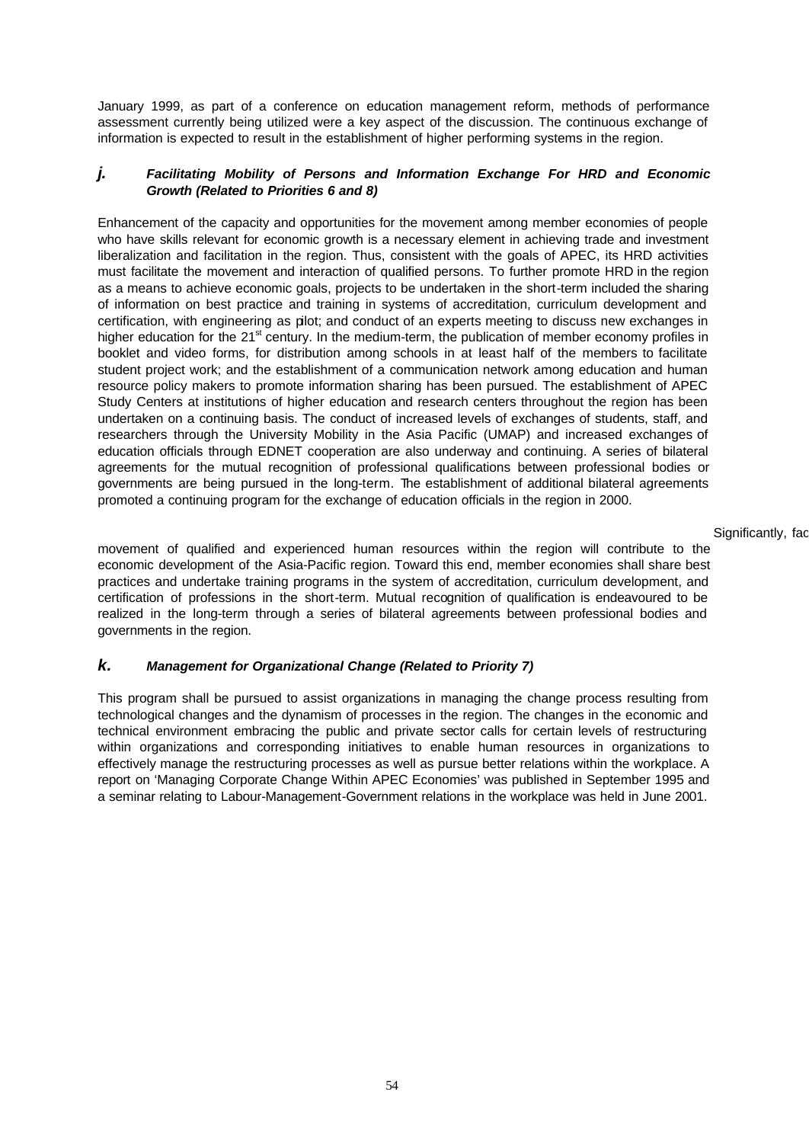January 1999, as part of a conference on education management reform, methods of performance assessment currently being utilized were a key aspect of the discussion. The continuous exchange of information is expected to result in the establishment of higher performing systems in the region.

### *j. Facilitating Mobility of Persons and Information Exchange For HRD and Economic Growth (Related to Priorities 6 and 8)*

Enhancement of the capacity and opportunities for the movement among member economies of people who have skills relevant for economic growth is a necessary element in achieving trade and investment liberalization and facilitation in the region. Thus, consistent with the goals of APEC, its HRD activities must facilitate the movement and interaction of qualified persons. To further promote HRD in the region as a means to achieve economic goals, projects to be undertaken in the short-term included the sharing of information on best practice and training in systems of accreditation, curriculum development and certification, with engineering as pilot; and conduct of an experts meeting to discuss new exchanges in higher education for the 21<sup>st</sup> century. In the medium-term, the publication of member economy profiles in booklet and video forms, for distribution among schools in at least half of the members to facilitate student project work; and the establishment of a communication network among education and human resource policy makers to promote information sharing has been pursued. The establishment of APEC Study Centers at institutions of higher education and research centers throughout the region has been undertaken on a continuing basis. The conduct of increased levels of exchanges of students, staff, and researchers through the University Mobility in the Asia Pacific (UMAP) and increased exchanges of education officials through EDNET cooperation are also underway and continuing. A series of bilateral agreements for the mutual recognition of professional qualifications between professional bodies or governments are being pursued in the long-term. The establishment of additional bilateral agreements promoted a continuing program for the exchange of education officials in the region in 2000.

#### Significantly, fac

movement of qualified and experienced human resources within the region will contribute to the economic development of the Asia-Pacific region. Toward this end, member economies shall share best practices and undertake training programs in the system of accreditation, curriculum development, and certification of professions in the short-term. Mutual recognition of qualification is endeavoured to be realized in the long-term through a series of bilateral agreements between professional bodies and governments in the region.

# *k. Management for Organizational Change (Related to Priority 7)*

This program shall be pursued to assist organizations in managing the change process resulting from technological changes and the dynamism of processes in the region. The changes in the economic and technical environment embracing the public and private sector calls for certain levels of restructuring within organizations and corresponding initiatives to enable human resources in organizations to effectively manage the restructuring processes as well as pursue better relations within the workplace. A report on 'Managing Corporate Change Within APEC Economies' was published in September 1995 and a seminar relating to Labour-Management-Government relations in the workplace was held in June 2001.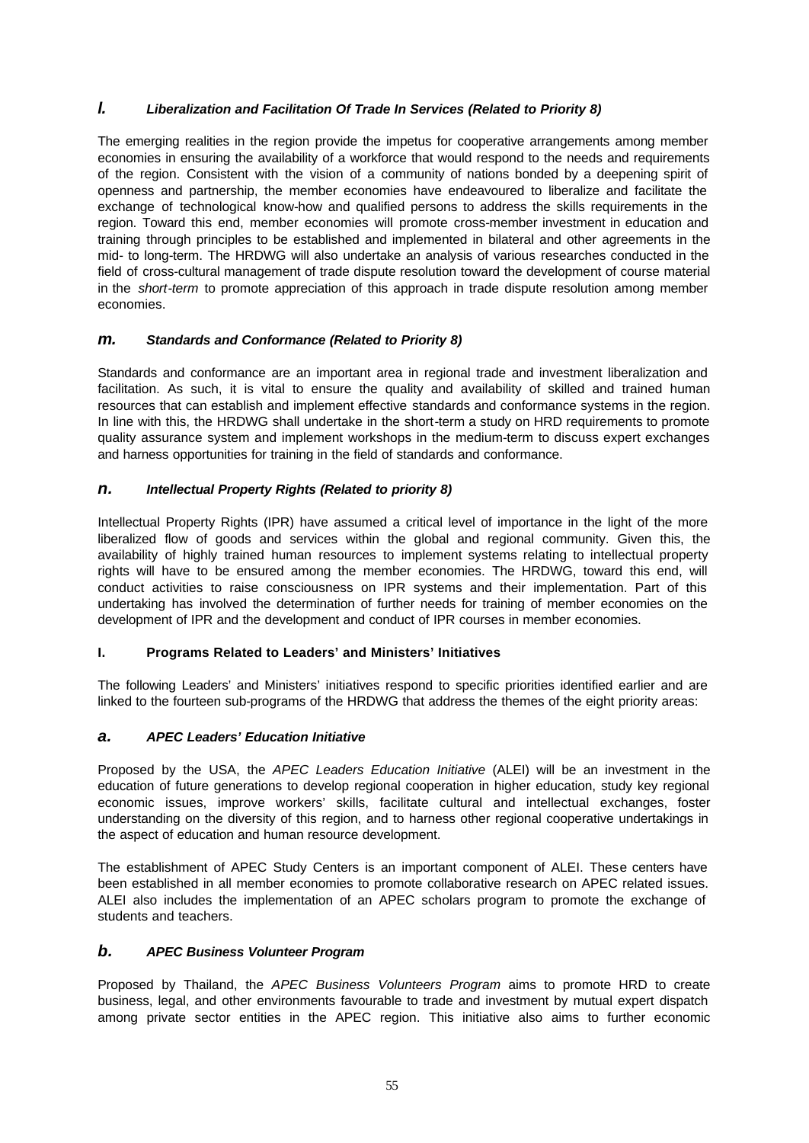# *l. Liberalization and Facilitation Of Trade In Services (Related to Priority 8)*

The emerging realities in the region provide the impetus for cooperative arrangements among member economies in ensuring the availability of a workforce that would respond to the needs and requirements of the region. Consistent with the vision of a community of nations bonded by a deepening spirit of openness and partnership, the member economies have endeavoured to liberalize and facilitate the exchange of technological know-how and qualified persons to address the skills requirements in the region. Toward this end, member economies will promote cross-member investment in education and training through principles to be established and implemented in bilateral and other agreements in the mid- to long-term. The HRDWG will also undertake an analysis of various researches conducted in the field of cross-cultural management of trade dispute resolution toward the development of course material in the *short-term* to promote appreciation of this approach in trade dispute resolution among member economies.

## *m. Standards and Conformance (Related to Priority 8)*

Standards and conformance are an important area in regional trade and investment liberalization and facilitation. As such, it is vital to ensure the quality and availability of skilled and trained human resources that can establish and implement effective standards and conformance systems in the region. In line with this, the HRDWG shall undertake in the short-term a study on HRD requirements to promote quality assurance system and implement workshops in the medium-term to discuss expert exchanges and harness opportunities for training in the field of standards and conformance.

## *n. Intellectual Property Rights (Related to priority 8)*

Intellectual Property Rights (IPR) have assumed a critical level of importance in the light of the more liberalized flow of goods and services within the global and regional community. Given this, the availability of highly trained human resources to implement systems relating to intellectual property rights will have to be ensured among the member economies. The HRDWG, toward this end, will conduct activities to raise consciousness on IPR systems and their implementation. Part of this undertaking has involved the determination of further needs for training of member economies on the development of IPR and the development and conduct of IPR courses in member economies.

## **I. Programs Related to Leaders' and Ministers' Initiatives**

The following Leaders' and Ministers' initiatives respond to specific priorities identified earlier and are linked to the fourteen sub-programs of the HRDWG that address the themes of the eight priority areas:

# *a. APEC Leaders' Education Initiative*

Proposed by the USA, the *APEC Leaders Education Initiative* (ALEI) will be an investment in the education of future generations to develop regional cooperation in higher education, study key regional economic issues, improve workers' skills, facilitate cultural and intellectual exchanges, foster understanding on the diversity of this region, and to harness other regional cooperative undertakings in the aspect of education and human resource development.

The establishment of APEC Study Centers is an important component of ALEI. These centers have been established in all member economies to promote collaborative research on APEC related issues. ALEI also includes the implementation of an APEC scholars program to promote the exchange of students and teachers.

## *b. APEC Business Volunteer Program*

Proposed by Thailand, the *APEC Business Volunteers Program* aims to promote HRD to create business, legal, and other environments favourable to trade and investment by mutual expert dispatch among private sector entities in the APEC region. This initiative also aims to further economic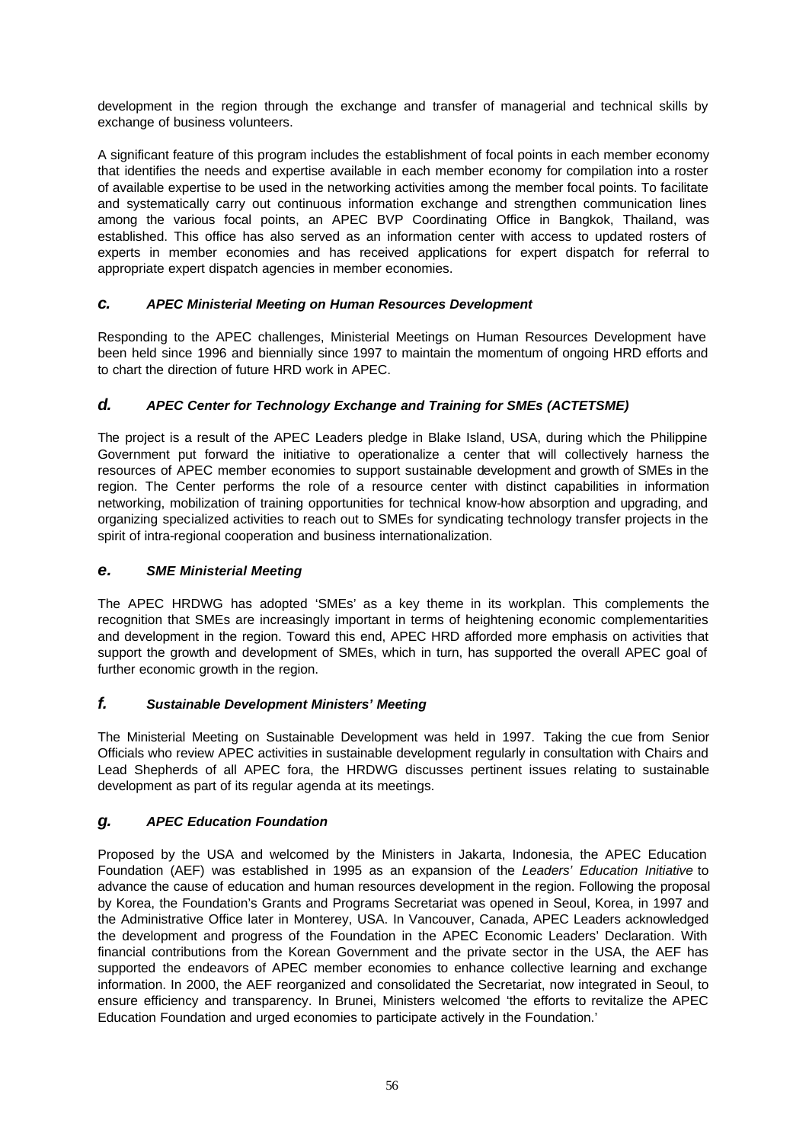development in the region through the exchange and transfer of managerial and technical skills by exchange of business volunteers.

A significant feature of this program includes the establishment of focal points in each member economy that identifies the needs and expertise available in each member economy for compilation into a roster of available expertise to be used in the networking activities among the member focal points. To facilitate and systematically carry out continuous information exchange and strengthen communication lines among the various focal points, an APEC BVP Coordinating Office in Bangkok, Thailand, was established. This office has also served as an information center with access to updated rosters of experts in member economies and has received applications for expert dispatch for referral to appropriate expert dispatch agencies in member economies.

## *c. APEC Ministerial Meeting on Human Resources Development*

Responding to the APEC challenges, Ministerial Meetings on Human Resources Development have been held since 1996 and biennially since 1997 to maintain the momentum of ongoing HRD efforts and to chart the direction of future HRD work in APEC.

# *d. APEC Center for Technology Exchange and Training for SMEs (ACTETSME)*

The project is a result of the APEC Leaders pledge in Blake Island, USA, during which the Philippine Government put forward the initiative to operationalize a center that will collectively harness the resources of APEC member economies to support sustainable development and growth of SMEs in the region. The Center performs the role of a resource center with distinct capabilities in information networking, mobilization of training opportunities for technical know-how absorption and upgrading, and organizing specialized activities to reach out to SMEs for syndicating technology transfer projects in the spirit of intra-regional cooperation and business internationalization.

## *e. SME Ministerial Meeting*

The APEC HRDWG has adopted 'SMEs' as a key theme in its workplan. This complements the recognition that SMEs are increasingly important in terms of heightening economic complementarities and development in the region. Toward this end, APEC HRD afforded more emphasis on activities that support the growth and development of SMEs, which in turn, has supported the overall APEC goal of further economic growth in the region.

## *f. Sustainable Development Ministers' Meeting*

The Ministerial Meeting on Sustainable Development was held in 1997. Taking the cue from Senior Officials who review APEC activities in sustainable development regularly in consultation with Chairs and Lead Shepherds of all APEC fora, the HRDWG discusses pertinent issues relating to sustainable development as part of its regular agenda at its meetings.

## *g. APEC Education Foundation*

Proposed by the USA and welcomed by the Ministers in Jakarta, Indonesia, the APEC Education Foundation (AEF) was established in 1995 as an expansion of the *Leaders' Education Initiative* to advance the cause of education and human resources development in the region. Following the proposal by Korea, the Foundation's Grants and Programs Secretariat was opened in Seoul, Korea, in 1997 and the Administrative Office later in Monterey, USA. In Vancouver, Canada, APEC Leaders acknowledged the development and progress of the Foundation in the APEC Economic Leaders' Declaration. With financial contributions from the Korean Government and the private sector in the USA, the AEF has supported the endeavors of APEC member economies to enhance collective learning and exchange information. In 2000, the AEF reorganized and consolidated the Secretariat, now integrated in Seoul, to ensure efficiency and transparency. In Brunei, Ministers welcomed 'the efforts to revitalize the APEC Education Foundation and urged economies to participate actively in the Foundation.'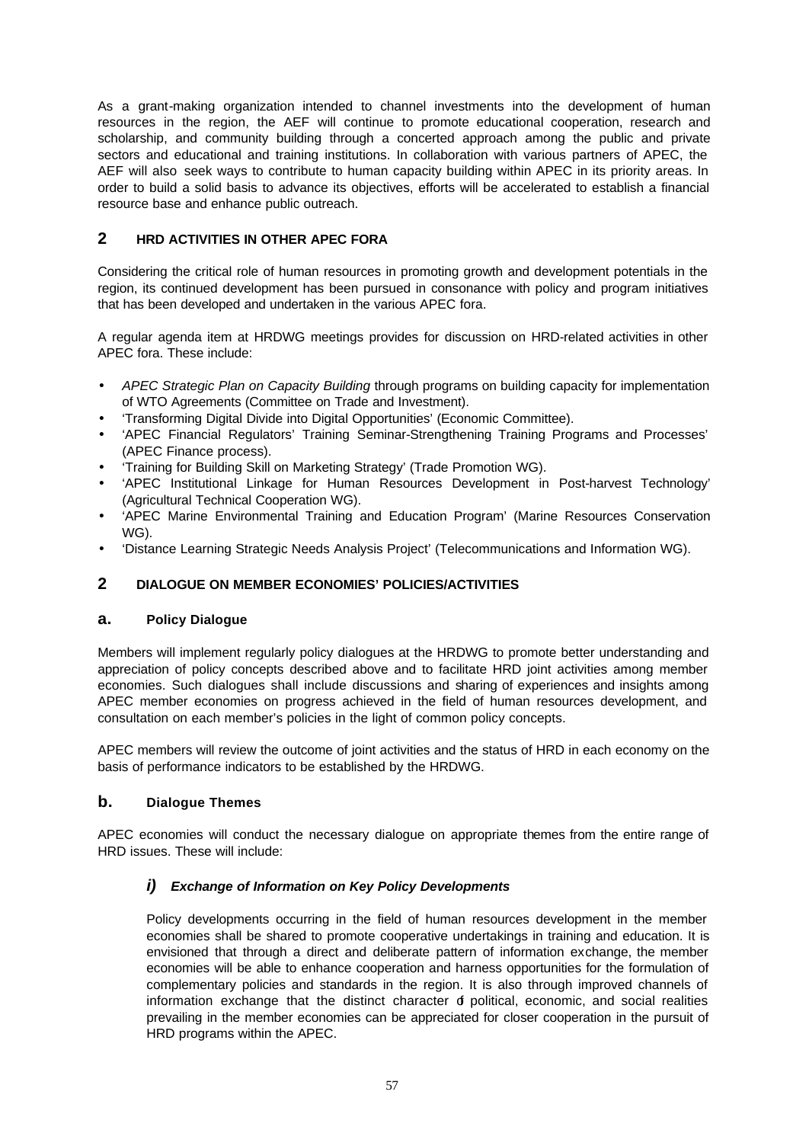As a grant-making organization intended to channel investments into the development of human resources in the region, the AEF will continue to promote educational cooperation, research and scholarship, and community building through a concerted approach among the public and private sectors and educational and training institutions. In collaboration with various partners of APEC, the AEF will also seek ways to contribute to human capacity building within APEC in its priority areas. In order to build a solid basis to advance its objectives, efforts will be accelerated to establish a financial resource base and enhance public outreach.

# **2 HRD ACTIVITIES IN OTHER APEC FORA**

Considering the critical role of human resources in promoting growth and development potentials in the region, its continued development has been pursued in consonance with policy and program initiatives that has been developed and undertaken in the various APEC fora.

A regular agenda item at HRDWG meetings provides for discussion on HRD-related activities in other APEC fora. These include:

- *APEC Strategic Plan on Capacity Building* through programs on building capacity for implementation of WTO Agreements (Committee on Trade and Investment).
- 'Transforming Digital Divide into Digital Opportunities' (Economic Committee).
- 'APEC Financial Regulators' Training Seminar-Strengthening Training Programs and Processes' (APEC Finance process).
- 'Training for Building Skill on Marketing Strategy' (Trade Promotion WG).
- 'APEC Institutional Linkage for Human Resources Development in Post-harvest Technology' (Agricultural Technical Cooperation WG).
- 'APEC Marine Environmental Training and Education Program' (Marine Resources Conservation WG).
- 'Distance Learning Strategic Needs Analysis Project' (Telecommunications and Information WG).

## **2 DIALOGUE ON MEMBER ECONOMIES' POLICIES/ACTIVITIES**

#### **a. Policy Dialogue**

Members will implement regularly policy dialogues at the HRDWG to promote better understanding and appreciation of policy concepts described above and to facilitate HRD joint activities among member economies. Such dialogues shall include discussions and sharing of experiences and insights among APEC member economies on progress achieved in the field of human resources development, and consultation on each member's policies in the light of common policy concepts.

APEC members will review the outcome of joint activities and the status of HRD in each economy on the basis of performance indicators to be established by the HRDWG.

## **b. Dialogue Themes**

APEC economies will conduct the necessary dialogue on appropriate themes from the entire range of HRD issues. These will include:

## *i) Exchange of Information on Key Policy Developments*

Policy developments occurring in the field of human resources development in the member economies shall be shared to promote cooperative undertakings in training and education. It is envisioned that through a direct and deliberate pattern of information exchange, the member economies will be able to enhance cooperation and harness opportunities for the formulation of complementary policies and standards in the region. It is also through improved channels of information exchange that the distinct character  $d$  political, economic, and social realities prevailing in the member economies can be appreciated for closer cooperation in the pursuit of HRD programs within the APEC.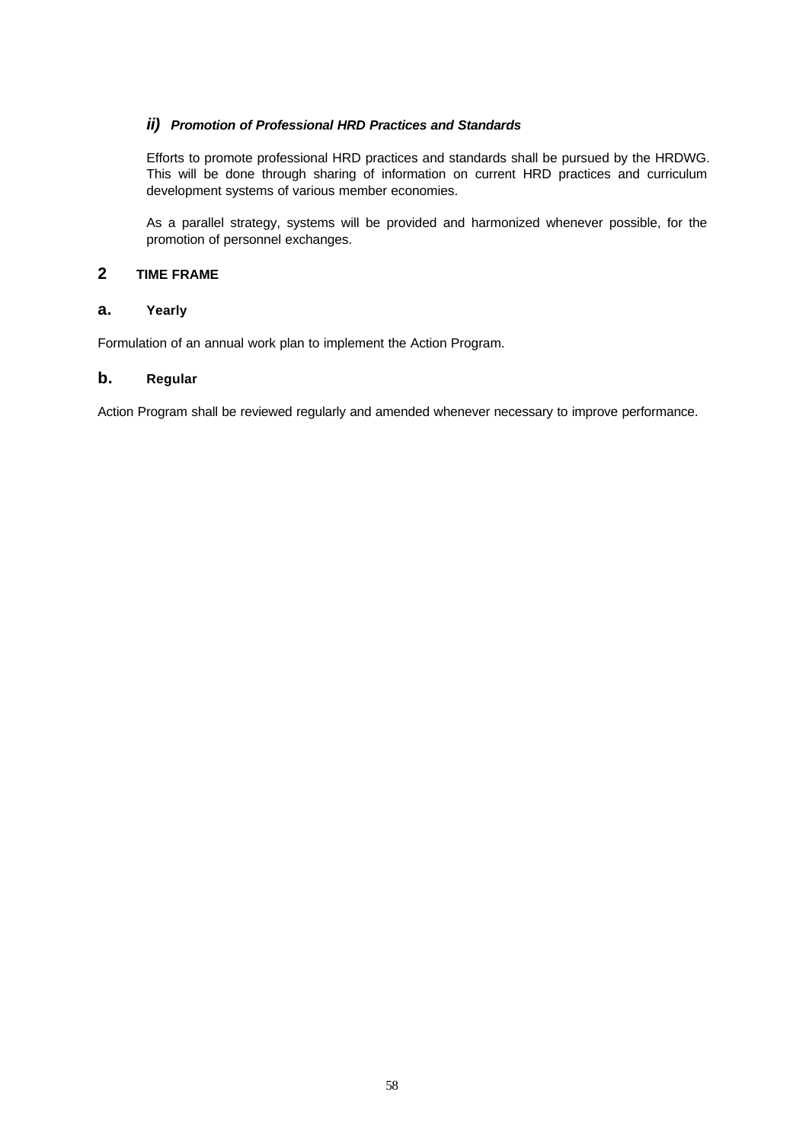## *ii) Promotion of Professional HRD Practices and Standards*

Efforts to promote professional HRD practices and standards shall be pursued by the HRDWG. This will be done through sharing of information on current HRD practices and curriculum development systems of various member economies.

As a parallel strategy, systems will be provided and harmonized whenever possible, for the promotion of personnel exchanges.

## **2 TIME FRAME**

## **a. Yearly**

Formulation of an annual work plan to implement the Action Program.

## **b. Regular**

Action Program shall be reviewed regularly and amended whenever necessary to improve performance.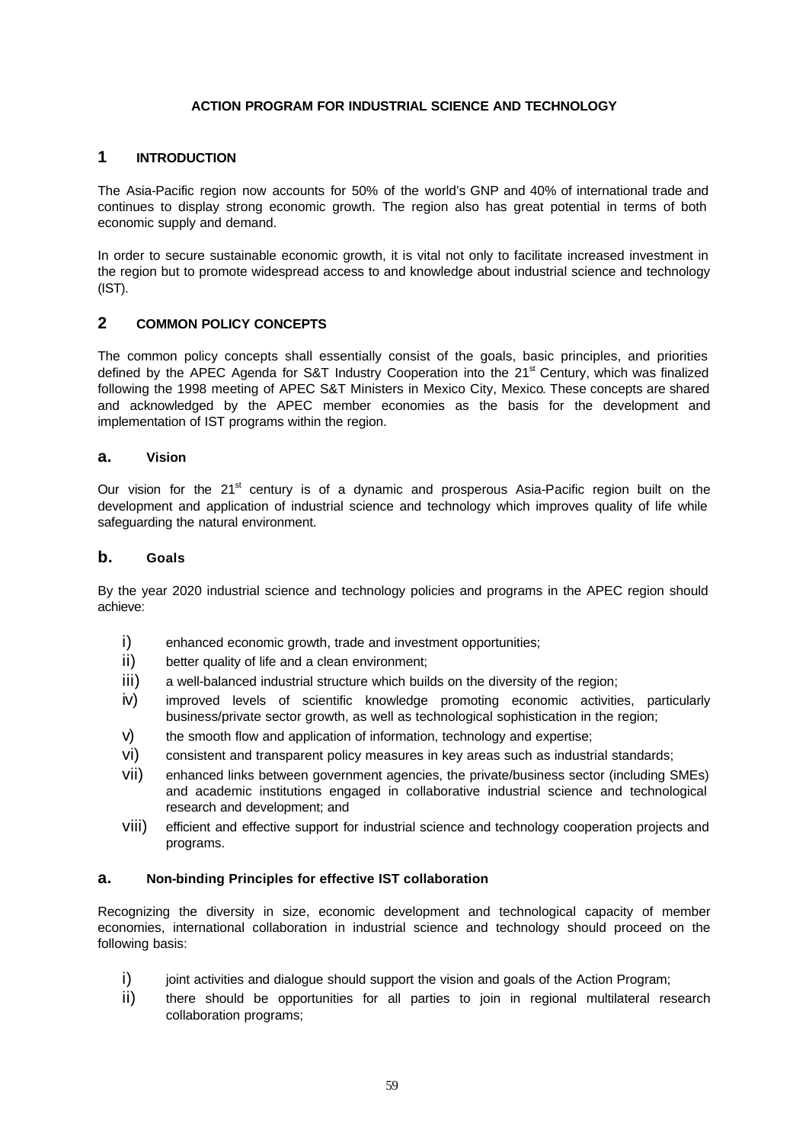## **ACTION PROGRAM FOR INDUSTRIAL SCIENCE AND TECHNOLOGY**

# **1 INTRODUCTION**

The Asia-Pacific region now accounts for 50% of the world's GNP and 40% of international trade and continues to display strong economic growth. The region also has great potential in terms of both economic supply and demand.

In order to secure sustainable economic growth, it is vital not only to facilitate increased investment in the region but to promote widespread access to and knowledge about industrial science and technology (IST).

## **2 COMMON POLICY CONCEPTS**

The common policy concepts shall essentially consist of the goals, basic principles, and priorities defined by the APEC Agenda for S&T Industry Cooperation into the 21<sup>st</sup> Century, which was finalized following the 1998 meeting of APEC S&T Ministers in Mexico City, Mexico. These concepts are shared and acknowledged by the APEC member economies as the basis for the development and implementation of IST programs within the region.

## **a. Vision**

Our vision for the 21<sup>st</sup> century is of a dynamic and prosperous Asia-Pacific region built on the development and application of industrial science and technology which improves quality of life while safeguarding the natural environment.

## **b. Goals**

By the year 2020 industrial science and technology policies and programs in the APEC region should achieve:

- i) enhanced economic growth, trade and investment opportunities;
- ii) better quality of life and a clean environment;
- iii) a well-balanced industrial structure which builds on the diversity of the region;
- iv) improved levels of scientific knowledge promoting economic activities, particularly business/private sector growth, as well as technological sophistication in the region;
- v) the smooth flow and application of information, technology and expertise;
- vi) consistent and transparent policy measures in key areas such as industrial standards;
- vii) enhanced links between government agencies, the private/business sector (including SMEs) and academic institutions engaged in collaborative industrial science and technological research and development; and
- viii) efficient and effective support for industrial science and technology cooperation projects and programs.

## **a. Non-binding Principles for effective IST collaboration**

Recognizing the diversity in size, economic development and technological capacity of member economies, international collaboration in industrial science and technology should proceed on the following basis:

- $i)$  joint activities and dialogue should support the vision and goals of the Action Program;
- ii) there should be opportunities for all parties to join in regional multilateral research collaboration programs;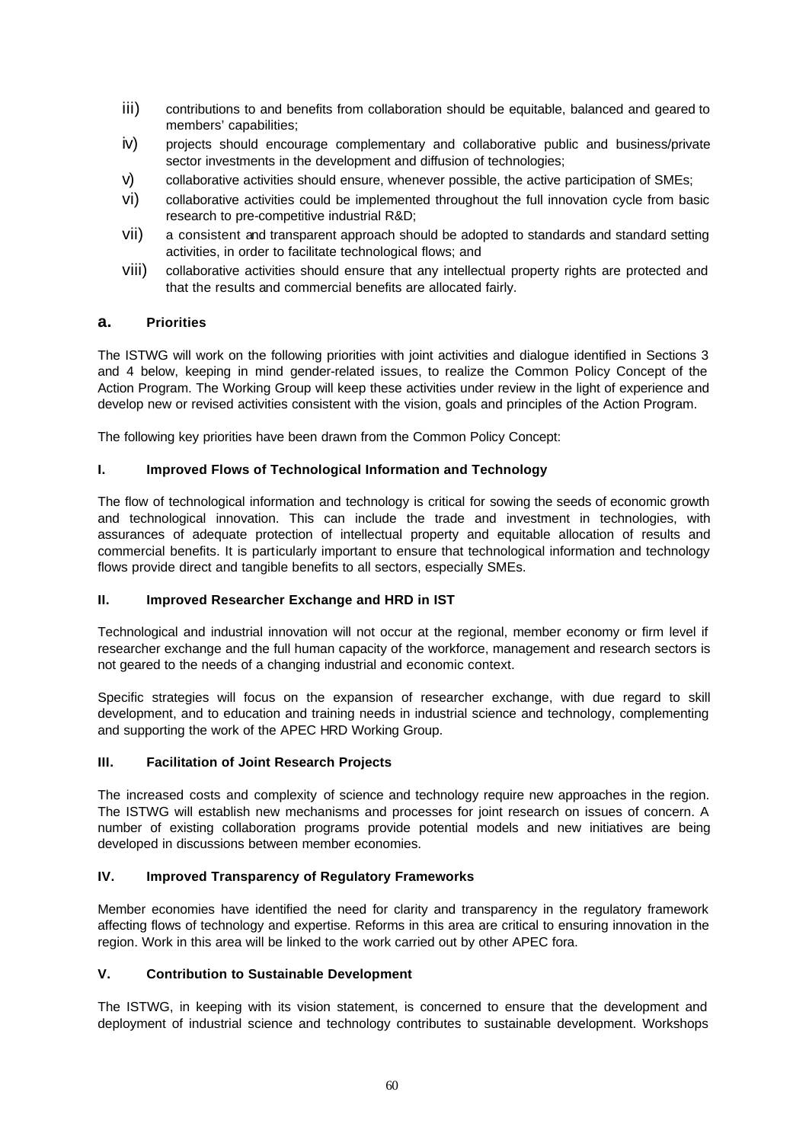- iii) contributions to and benefits from collaboration should be equitable, balanced and geared to members' capabilities;
- iv) projects should encourage complementary and collaborative public and business/private sector investments in the development and diffusion of technologies;
- v) collaborative activities should ensure, whenever possible, the active participation of SMEs;
- vi) collaborative activities could be implemented throughout the full innovation cycle from basic research to pre-competitive industrial R&D;
- vii) a consistent and transparent approach should be adopted to standards and standard setting activities, in order to facilitate technological flows; and
- viii) collaborative activities should ensure that any intellectual property rights are protected and that the results and commercial benefits are allocated fairly.

## **a. Priorities**

The ISTWG will work on the following priorities with joint activities and dialogue identified in Sections 3 and 4 below, keeping in mind gender-related issues, to realize the Common Policy Concept of the Action Program. The Working Group will keep these activities under review in the light of experience and develop new or revised activities consistent with the vision, goals and principles of the Action Program.

The following key priorities have been drawn from the Common Policy Concept:

## **I. Improved Flows of Technological Information and Technology**

The flow of technological information and technology is critical for sowing the seeds of economic growth and technological innovation. This can include the trade and investment in technologies, with assurances of adequate protection of intellectual property and equitable allocation of results and commercial benefits. It is particularly important to ensure that technological information and technology flows provide direct and tangible benefits to all sectors, especially SMEs.

## **II. Improved Researcher Exchange and HRD in IST**

Technological and industrial innovation will not occur at the regional, member economy or firm level if researcher exchange and the full human capacity of the workforce, management and research sectors is not geared to the needs of a changing industrial and economic context.

Specific strategies will focus on the expansion of researcher exchange, with due regard to skill development, and to education and training needs in industrial science and technology, complementing and supporting the work of the APEC HRD Working Group.

### **III. Facilitation of Joint Research Projects**

The increased costs and complexity of science and technology require new approaches in the region. The ISTWG will establish new mechanisms and processes for joint research on issues of concern. A number of existing collaboration programs provide potential models and new initiatives are being developed in discussions between member economies.

## **IV. Improved Transparency of Regulatory Frameworks**

Member economies have identified the need for clarity and transparency in the regulatory framework affecting flows of technology and expertise. Reforms in this area are critical to ensuring innovation in the region. Work in this area will be linked to the work carried out by other APEC fora.

## **V. Contribution to Sustainable Development**

The ISTWG, in keeping with its vision statement, is concerned to ensure that the development and deployment of industrial science and technology contributes to sustainable development. Workshops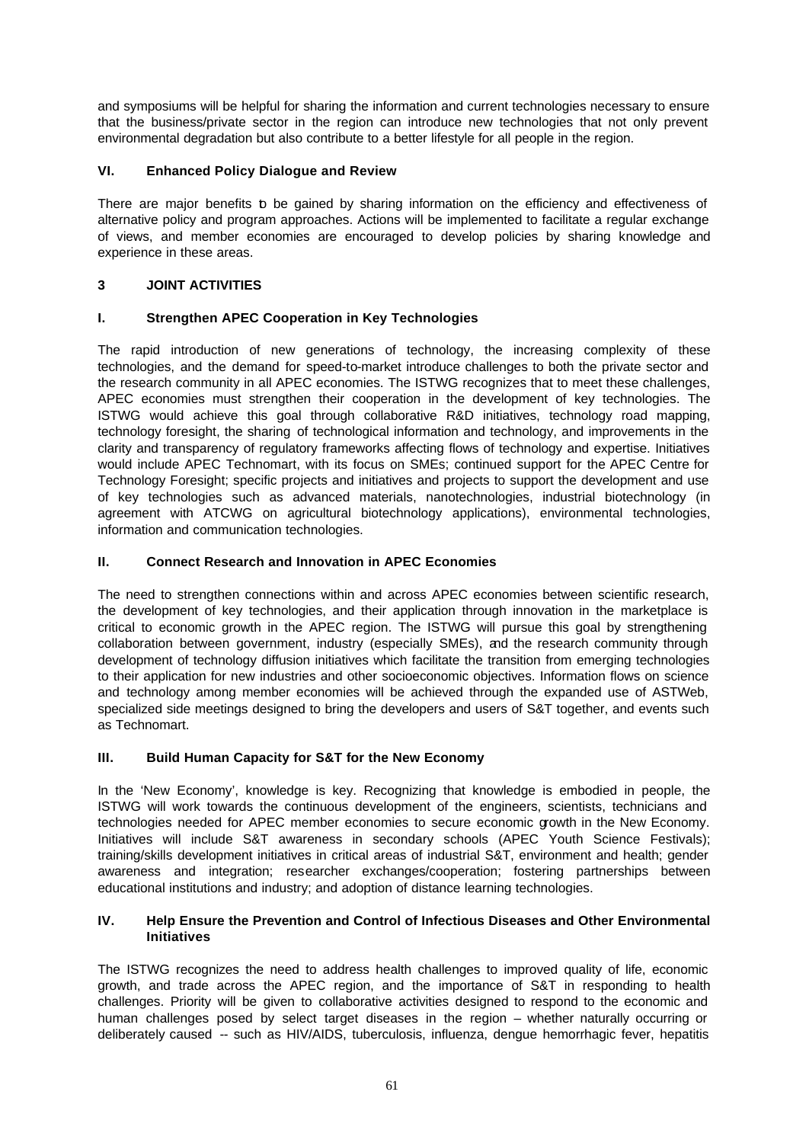and symposiums will be helpful for sharing the information and current technologies necessary to ensure that the business/private sector in the region can introduce new technologies that not only prevent environmental degradation but also contribute to a better lifestyle for all people in the region.

## **VI. Enhanced Policy Dialogue and Review**

There are major benefits to be gained by sharing information on the efficiency and effectiveness of alternative policy and program approaches. Actions will be implemented to facilitate a regular exchange of views, and member economies are encouraged to develop policies by sharing knowledge and experience in these areas.

# **3 JOINT ACTIVITIES**

## **I. Strengthen APEC Cooperation in Key Technologies**

The rapid introduction of new generations of technology, the increasing complexity of these technologies, and the demand for speed-to-market introduce challenges to both the private sector and the research community in all APEC economies. The ISTWG recognizes that to meet these challenges, APEC economies must strengthen their cooperation in the development of key technologies. The ISTWG would achieve this goal through collaborative R&D initiatives, technology road mapping, technology foresight, the sharing of technological information and technology, and improvements in the clarity and transparency of regulatory frameworks affecting flows of technology and expertise. Initiatives would include APEC Technomart, with its focus on SMEs; continued support for the APEC Centre for Technology Foresight; specific projects and initiatives and projects to support the development and use of key technologies such as advanced materials, nanotechnologies, industrial biotechnology (in agreement with ATCWG on agricultural biotechnology applications), environmental technologies, information and communication technologies.

## **II. Connect Research and Innovation in APEC Economies**

The need to strengthen connections within and across APEC economies between scientific research, the development of key technologies, and their application through innovation in the marketplace is critical to economic growth in the APEC region. The ISTWG will pursue this goal by strengthening collaboration between government, industry (especially SMEs), and the research community through development of technology diffusion initiatives which facilitate the transition from emerging technologies to their application for new industries and other socioeconomic objectives. Information flows on science and technology among member economies will be achieved through the expanded use of ASTWeb, specialized side meetings designed to bring the developers and users of S&T together, and events such as Technomart.

## **III. Build Human Capacity for S&T for the New Economy**

In the 'New Economy', knowledge is key. Recognizing that knowledge is embodied in people, the ISTWG will work towards the continuous development of the engineers, scientists, technicians and technologies needed for APEC member economies to secure economic growth in the New Economy. Initiatives will include S&T awareness in secondary schools (APEC Youth Science Festivals); training/skills development initiatives in critical areas of industrial S&T, environment and health; gender awareness and integration; researcher exchanges/cooperation; fostering partnerships between educational institutions and industry; and adoption of distance learning technologies.

## **IV. Help Ensure the Prevention and Control of Infectious Diseases and Other Environmental Initiatives**

The ISTWG recognizes the need to address health challenges to improved quality of life, economic growth, and trade across the APEC region, and the importance of S&T in responding to health challenges. Priority will be given to collaborative activities designed to respond to the economic and human challenges posed by select target diseases in the region – whether naturally occurring or deliberately caused -- such as HIV/AIDS, tuberculosis, influenza, dengue hemorrhagic fever, hepatitis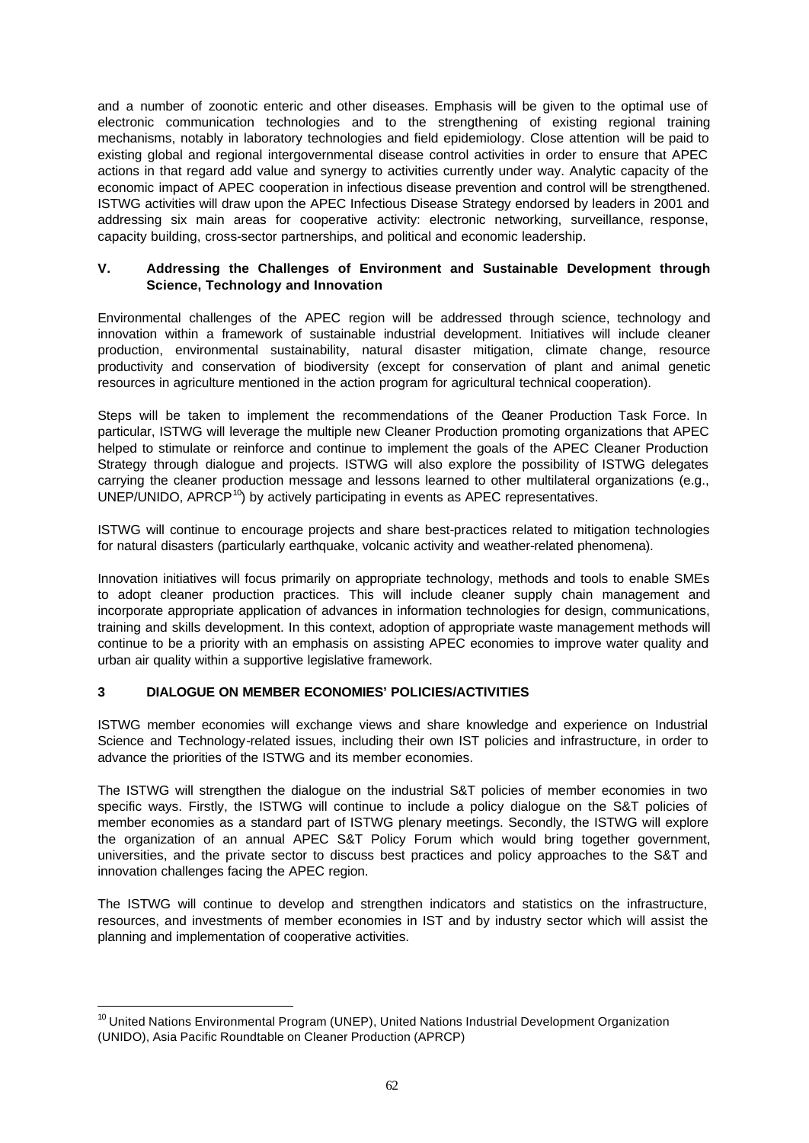and a number of zoonotic enteric and other diseases. Emphasis will be given to the optimal use of electronic communication technologies and to the strengthening of existing regional training mechanisms, notably in laboratory technologies and field epidemiology. Close attention will be paid to existing global and regional intergovernmental disease control activities in order to ensure that APEC actions in that regard add value and synergy to activities currently under way. Analytic capacity of the economic impact of APEC cooperation in infectious disease prevention and control will be strengthened. ISTWG activities will draw upon the APEC Infectious Disease Strategy endorsed by leaders in 2001 and addressing six main areas for cooperative activity: electronic networking, surveillance, response, capacity building, cross-sector partnerships, and political and economic leadership.

## **V. Addressing the Challenges of Environment and Sustainable Development through Science, Technology and Innovation**

Environmental challenges of the APEC region will be addressed through science, technology and innovation within a framework of sustainable industrial development. Initiatives will include cleaner production, environmental sustainability, natural disaster mitigation, climate change, resource productivity and conservation of biodiversity (except for conservation of plant and animal genetic resources in agriculture mentioned in the action program for agricultural technical cooperation).

Steps will be taken to implement the recommendations of the Ceaner Production Task Force. In particular, ISTWG will leverage the multiple new Cleaner Production promoting organizations that APEC helped to stimulate or reinforce and continue to implement the goals of the APEC Cleaner Production Strategy through dialogue and projects. ISTWG will also explore the possibility of ISTWG delegates carrying the cleaner production message and lessons learned to other multilateral organizations (e.g.,  $UNEP/UNIDO$ ,  $APRCP<sup>10</sup>$ ) by actively participating in events as APEC representatives.

ISTWG will continue to encourage projects and share best-practices related to mitigation technologies for natural disasters (particularly earthquake, volcanic activity and weather-related phenomena).

Innovation initiatives will focus primarily on appropriate technology, methods and tools to enable SMEs to adopt cleaner production practices. This will include cleaner supply chain management and incorporate appropriate application of advances in information technologies for design, communications, training and skills development. In this context, adoption of appropriate waste management methods will continue to be a priority with an emphasis on assisting APEC economies to improve water quality and urban air quality within a supportive legislative framework.

## **3 DIALOGUE ON MEMBER ECONOMIES' POLICIES/ACTIVITIES**

l

ISTWG member economies will exchange views and share knowledge and experience on Industrial Science and Technology-related issues, including their own IST policies and infrastructure, in order to advance the priorities of the ISTWG and its member economies.

The ISTWG will strengthen the dialogue on the industrial S&T policies of member economies in two specific ways. Firstly, the ISTWG will continue to include a policy dialogue on the S&T policies of member economies as a standard part of ISTWG plenary meetings. Secondly, the ISTWG will explore the organization of an annual APEC S&T Policy Forum which would bring together government, universities, and the private sector to discuss best practices and policy approaches to the S&T and innovation challenges facing the APEC region.

The ISTWG will continue to develop and strengthen indicators and statistics on the infrastructure, resources, and investments of member economies in IST and by industry sector which will assist the planning and implementation of cooperative activities.

 $10$  United Nations Environmental Program (UNEP), United Nations Industrial Development Organization (UNIDO), Asia Pacific Roundtable on Cleaner Production (APRCP)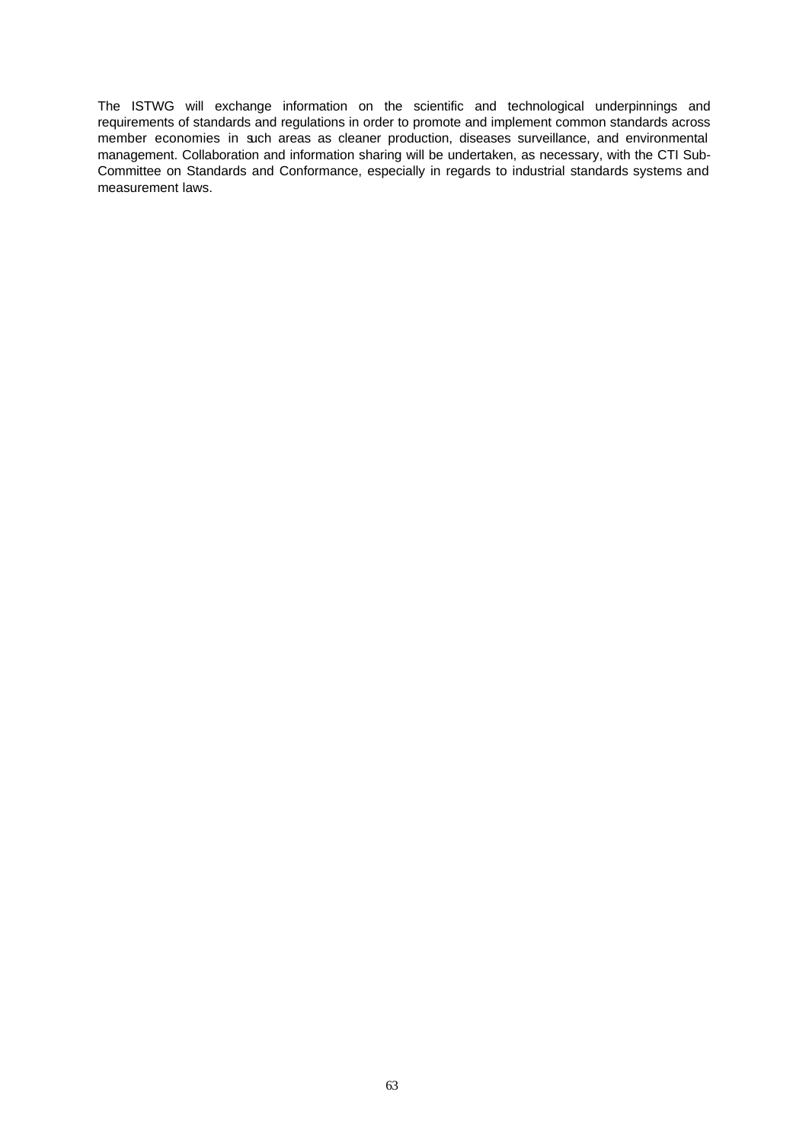The ISTWG will exchange information on the scientific and technological underpinnings and requirements of standards and regulations in order to promote and implement common standards across member economies in such areas as cleaner production, diseases surveillance, and environmental management. Collaboration and information sharing will be undertaken, as necessary, with the CTI Sub-Committee on Standards and Conformance, especially in regards to industrial standards systems and measurement laws.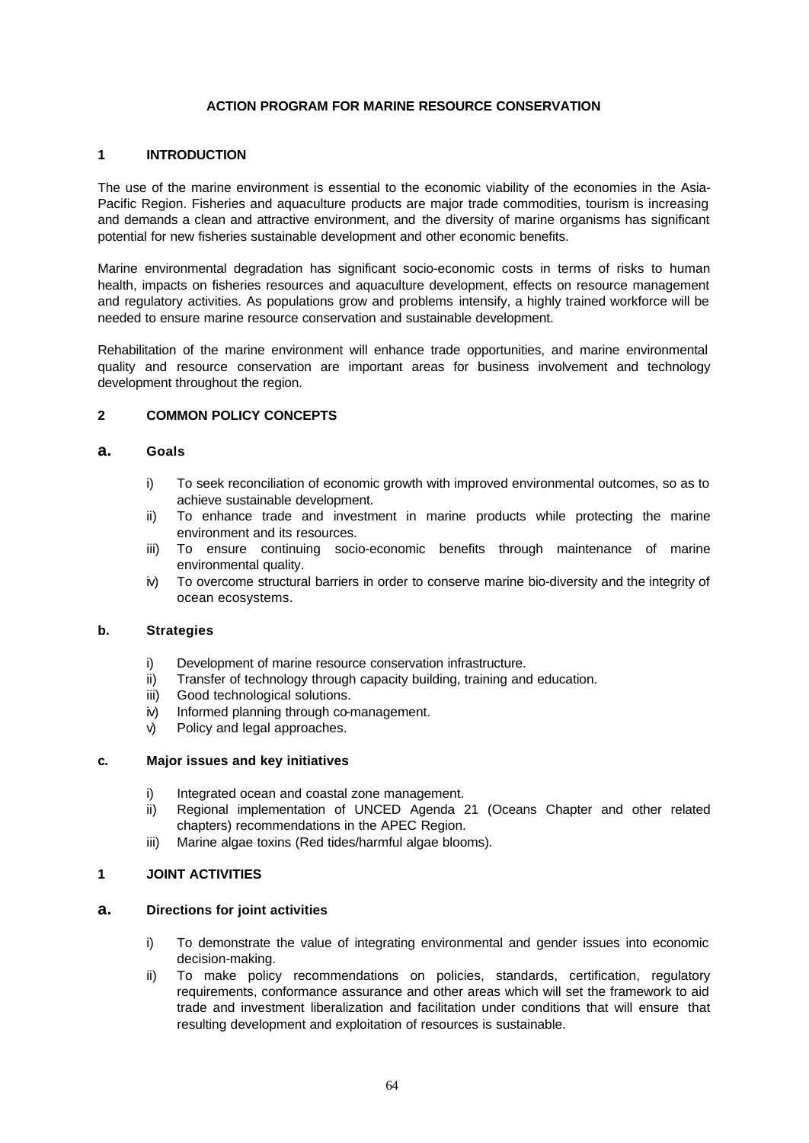### **ACTION PROGRAM FOR MARINE RESOURCE CONSERVATION**

### **1 INTRODUCTION**

The use of the marine environment is essential to the economic viability of the economies in the Asia-Pacific Region. Fisheries and aquaculture products are major trade commodities, tourism is increasing and demands a clean and attractive environment, and the diversity of marine organisms has significant potential for new fisheries sustainable development and other economic benefits.

Marine environmental degradation has significant socio-economic costs in terms of risks to human health, impacts on fisheries resources and aquaculture development, effects on resource management and regulatory activities. As populations grow and problems intensify, a highly trained workforce will be needed to ensure marine resource conservation and sustainable development.

Rehabilitation of the marine environment will enhance trade opportunities, and marine environmental quality and resource conservation are important areas for business involvement and technology development throughout the region.

## **2 COMMON POLICY CONCEPTS**

#### **a. Goals**

- i) To seek reconciliation of economic growth with improved environmental outcomes, so as to achieve sustainable development.
- ii) To enhance trade and investment in marine products while protecting the marine environment and its resources.
- iii) To ensure continuing socio-economic benefits through maintenance of marine environmental quality.
- iv) To overcome structural barriers in order to conserve marine bio-diversity and the integrity of ocean ecosystems.

## **b. Strategies**

- i) Development of marine resource conservation infrastructure.
- ii) Transfer of technology through capacity building, training and education.
- iii) Good technological solutions.
- iv) Informed planning through co-management.
- v) Policy and legal approaches.

#### **c. Major issues and key initiatives**

- i) Integrated ocean and coastal zone management.
- ii) Regional implementation of UNCED Agenda 21 (Oceans Chapter and other related chapters) recommendations in the APEC Region.
- iii) Marine algae toxins (Red tides/harmful algae blooms).

### **1 JOINT ACTIVITIES**

#### **a. Directions for joint activities**

- i) To demonstrate the value of integrating environmental and gender issues into economic decision-making.
- ii) To make policy recommendations on policies, standards, certification, regulatory requirements, conformance assurance and other areas which will set the framework to aid trade and investment liberalization and facilitation under conditions that will ensure that resulting development and exploitation of resources is sustainable.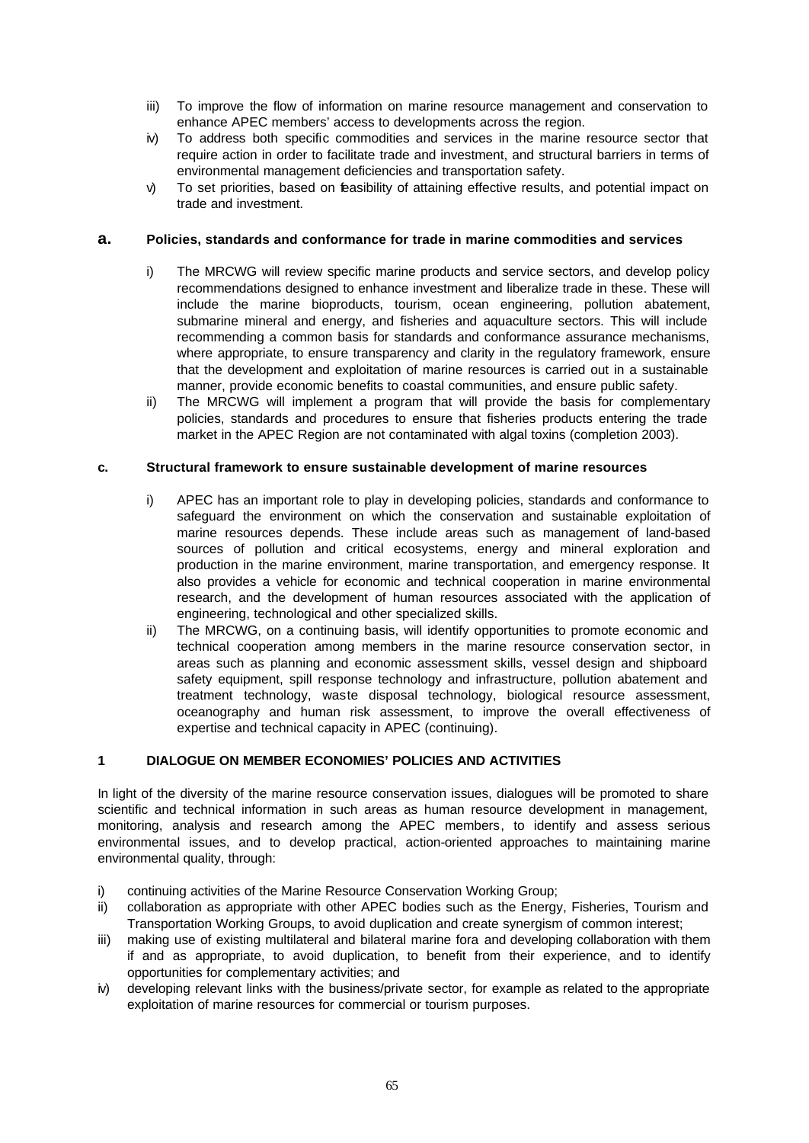- iii) To improve the flow of information on marine resource management and conservation to enhance APEC members' access to developments across the region.
- iv) To address both specific commodities and services in the marine resource sector that require action in order to facilitate trade and investment, and structural barriers in terms of environmental management deficiencies and transportation safety.
- v) To set priorities, based on feasibility of attaining effective results, and potential impact on trade and investment.

### **a. Policies, standards and conformance for trade in marine commodities and services**

- i) The MRCWG will review specific marine products and service sectors, and develop policy recommendations designed to enhance investment and liberalize trade in these. These will include the marine bioproducts, tourism, ocean engineering, pollution abatement, submarine mineral and energy, and fisheries and aquaculture sectors. This will include recommending a common basis for standards and conformance assurance mechanisms, where appropriate, to ensure transparency and clarity in the regulatory framework, ensure that the development and exploitation of marine resources is carried out in a sustainable manner, provide economic benefits to coastal communities, and ensure public safety.
- ii) The MRCWG will implement a program that will provide the basis for complementary policies, standards and procedures to ensure that fisheries products entering the trade market in the APEC Region are not contaminated with algal toxins (completion 2003).

### **c. Structural framework to ensure sustainable development of marine resources**

- i) APEC has an important role to play in developing policies, standards and conformance to safeguard the environment on which the conservation and sustainable exploitation of marine resources depends. These include areas such as management of land-based sources of pollution and critical ecosystems, energy and mineral exploration and production in the marine environment, marine transportation, and emergency response. It also provides a vehicle for economic and technical cooperation in marine environmental research, and the development of human resources associated with the application of engineering, technological and other specialized skills.
- ii) The MRCWG, on a continuing basis, will identify opportunities to promote economic and technical cooperation among members in the marine resource conservation sector, in areas such as planning and economic assessment skills, vessel design and shipboard safety equipment, spill response technology and infrastructure, pollution abatement and treatment technology, waste disposal technology, biological resource assessment, oceanography and human risk assessment, to improve the overall effectiveness of expertise and technical capacity in APEC (continuing).

## **1 DIALOGUE ON MEMBER ECONOMIES' POLICIES AND ACTIVITIES**

In light of the diversity of the marine resource conservation issues, dialogues will be promoted to share scientific and technical information in such areas as human resource development in management, monitoring, analysis and research among the APEC members, to identify and assess serious environmental issues, and to develop practical, action-oriented approaches to maintaining marine environmental quality, through:

- i) continuing activities of the Marine Resource Conservation Working Group;
- ii) collaboration as appropriate with other APEC bodies such as the Energy, Fisheries, Tourism and Transportation Working Groups, to avoid duplication and create synergism of common interest;
- iii) making use of existing multilateral and bilateral marine fora and developing collaboration with them if and as appropriate, to avoid duplication, to benefit from their experience, and to identify opportunities for complementary activities; and
- iv) developing relevant links with the business/private sector, for example as related to the appropriate exploitation of marine resources for commercial or tourism purposes.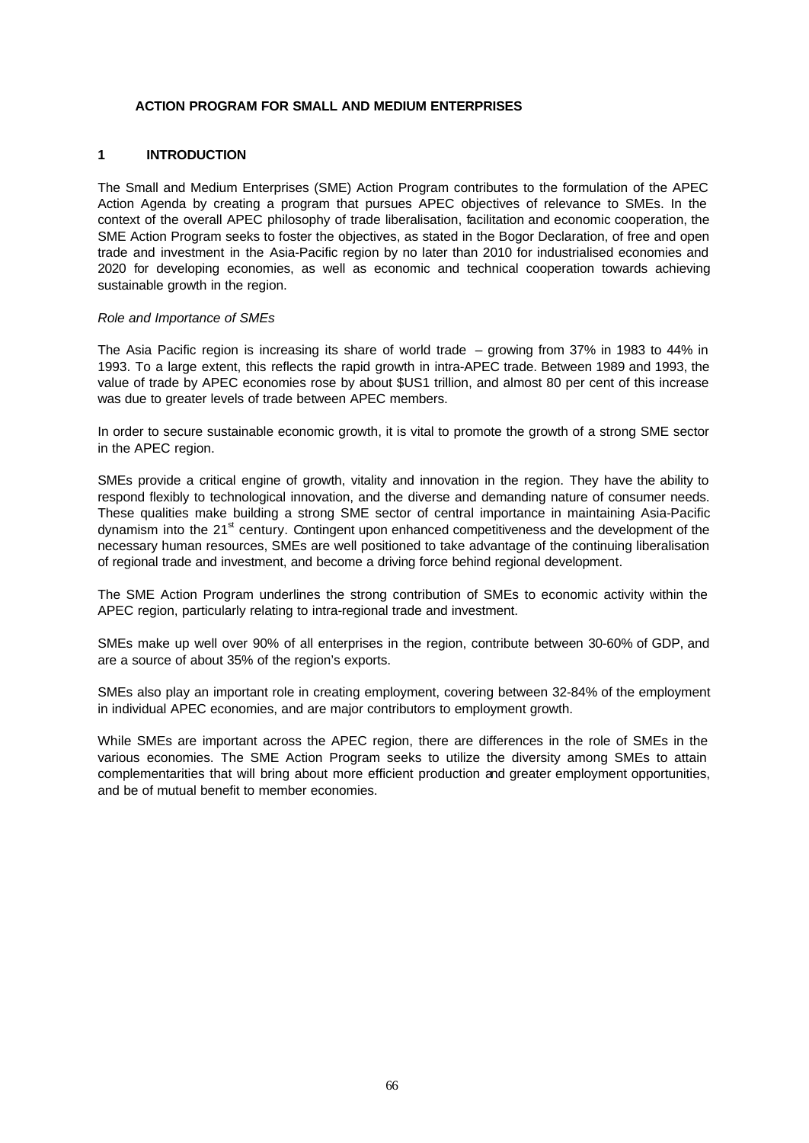### **ACTION PROGRAM FOR SMALL AND MEDIUM ENTERPRISES**

### **1 INTRODUCTION**

The Small and Medium Enterprises (SME) Action Program contributes to the formulation of the APEC Action Agenda by creating a program that pursues APEC objectives of relevance to SMEs. In the context of the overall APEC philosophy of trade liberalisation, facilitation and economic cooperation, the SME Action Program seeks to foster the objectives, as stated in the Bogor Declaration, of free and open trade and investment in the Asia-Pacific region by no later than 2010 for industrialised economies and 2020 for developing economies, as well as economic and technical cooperation towards achieving sustainable growth in the region.

#### *Role and Importance of SMEs*

The Asia Pacific region is increasing its share of world trade – growing from 37% in 1983 to 44% in 1993. To a large extent, this reflects the rapid growth in intra-APEC trade. Between 1989 and 1993, the value of trade by APEC economies rose by about \$US1 trillion, and almost 80 per cent of this increase was due to greater levels of trade between APEC members.

In order to secure sustainable economic growth, it is vital to promote the growth of a strong SME sector in the APEC region.

SMEs provide a critical engine of growth, vitality and innovation in the region. They have the ability to respond flexibly to technological innovation, and the diverse and demanding nature of consumer needs. These qualities make building a strong SME sector of central importance in maintaining Asia-Pacific dynamism into the 21<sup>st</sup> century. Contingent upon enhanced competitiveness and the development of the necessary human resources, SMEs are well positioned to take advantage of the continuing liberalisation of regional trade and investment, and become a driving force behind regional development.

The SME Action Program underlines the strong contribution of SMEs to economic activity within the APEC region, particularly relating to intra-regional trade and investment.

SMEs make up well over 90% of all enterprises in the region, contribute between 30-60% of GDP, and are a source of about 35% of the region's exports.

SMEs also play an important role in creating employment, covering between 32-84% of the employment in individual APEC economies, and are major contributors to employment growth.

While SMEs are important across the APEC region, there are differences in the role of SMEs in the various economies. The SME Action Program seeks to utilize the diversity among SMEs to attain complementarities that will bring about more efficient production and greater employment opportunities, and be of mutual benefit to member economies.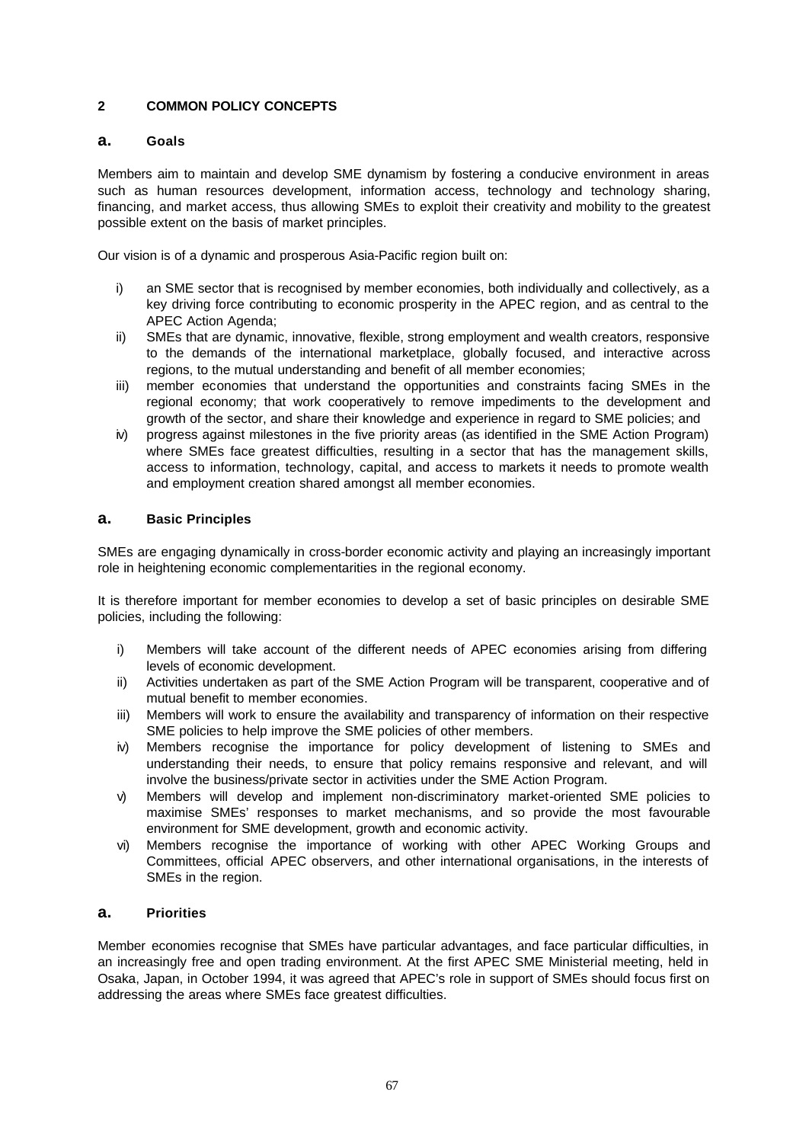# **2 COMMON POLICY CONCEPTS**

## **a. Goals**

Members aim to maintain and develop SME dynamism by fostering a conducive environment in areas such as human resources development, information access, technology and technology sharing, financing, and market access, thus allowing SMEs to exploit their creativity and mobility to the greatest possible extent on the basis of market principles.

Our vision is of a dynamic and prosperous Asia-Pacific region built on:

- i) an SME sector that is recognised by member economies, both individually and collectively, as a key driving force contributing to economic prosperity in the APEC region, and as central to the APEC Action Agenda;
- ii) SMEs that are dynamic, innovative, flexible, strong employment and wealth creators, responsive to the demands of the international marketplace, globally focused, and interactive across regions, to the mutual understanding and benefit of all member economies;
- iii) member economies that understand the opportunities and constraints facing SMEs in the regional economy; that work cooperatively to remove impediments to the development and growth of the sector, and share their knowledge and experience in regard to SME policies; and
- iv) progress against milestones in the five priority areas (as identified in the SME Action Program) where SMEs face greatest difficulties, resulting in a sector that has the management skills, access to information, technology, capital, and access to markets it needs to promote wealth and employment creation shared amongst all member economies.

## **a. Basic Principles**

SMEs are engaging dynamically in cross-border economic activity and playing an increasingly important role in heightening economic complementarities in the regional economy.

It is therefore important for member economies to develop a set of basic principles on desirable SME policies, including the following:

- i) Members will take account of the different needs of APEC economies arising from differing levels of economic development.
- ii) Activities undertaken as part of the SME Action Program will be transparent, cooperative and of mutual benefit to member economies.
- iii) Members will work to ensure the availability and transparency of information on their respective SME policies to help improve the SME policies of other members.
- iv) Members recognise the importance for policy development of listening to SMEs and understanding their needs, to ensure that policy remains responsive and relevant, and will involve the business/private sector in activities under the SME Action Program.
- v) Members will develop and implement non-discriminatory market-oriented SME policies to maximise SMEs' responses to market mechanisms, and so provide the most favourable environment for SME development, growth and economic activity.
- vi) Members recognise the importance of working with other APEC Working Groups and Committees, official APEC observers, and other international organisations, in the interests of SMEs in the region.

## **a. Priorities**

Member economies recognise that SMEs have particular advantages, and face particular difficulties, in an increasingly free and open trading environment. At the first APEC SME Ministerial meeting, held in Osaka, Japan, in October 1994, it was agreed that APEC's role in support of SMEs should focus first on addressing the areas where SMEs face greatest difficulties.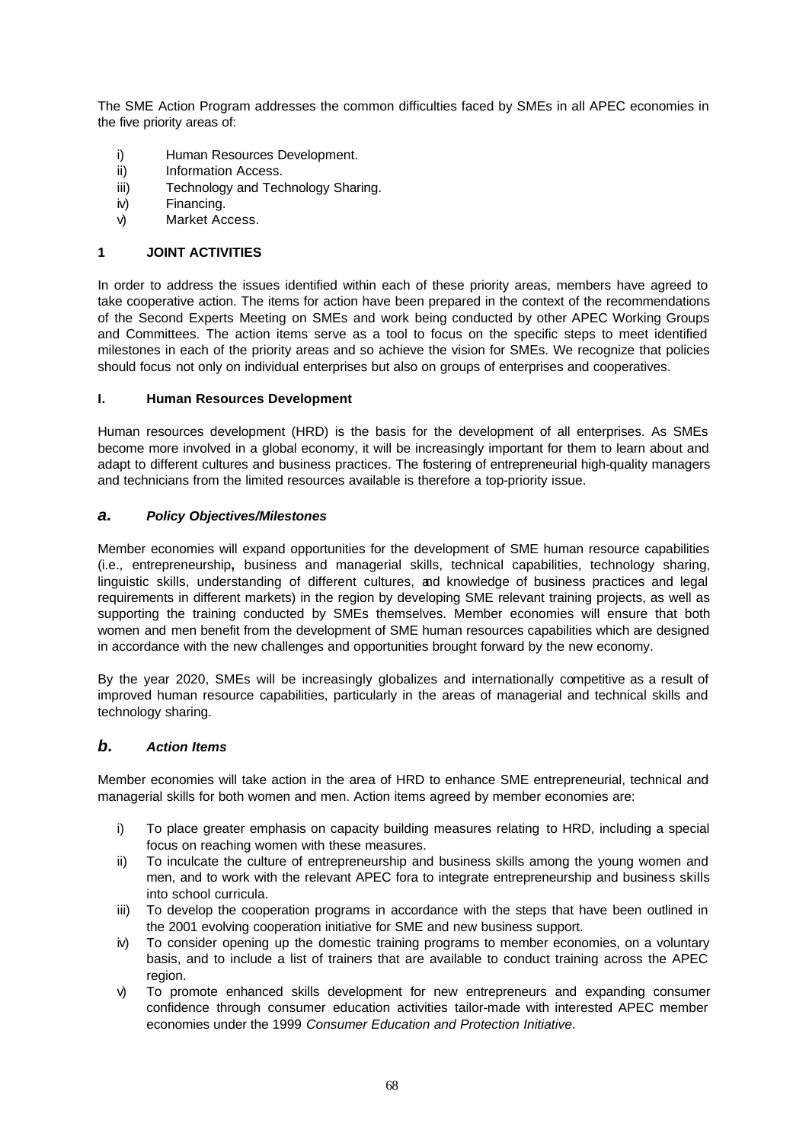The SME Action Program addresses the common difficulties faced by SMEs in all APEC economies in the five priority areas of:

- i) Human Resources Development.
- ii) Information Access.
- iii) Technology and Technology Sharing.
- iv) Financing.
- v) Market Access.

### **1 JOINT ACTIVITIES**

In order to address the issues identified within each of these priority areas, members have agreed to take cooperative action. The items for action have been prepared in the context of the recommendations of the Second Experts Meeting on SMEs and work being conducted by other APEC Working Groups and Committees. The action items serve as a tool to focus on the specific steps to meet identified milestones in each of the priority areas and so achieve the vision for SMEs. We recognize that policies should focus not only on individual enterprises but also on groups of enterprises and cooperatives.

#### **I. Human Resources Development**

Human resources development (HRD) is the basis for the development of all enterprises. As SMEs become more involved in a global economy, it will be increasingly important for them to learn about and adapt to different cultures and business practices. The fostering of entrepreneurial high-quality managers and technicians from the limited resources available is therefore a top-priority issue.

### *a. Policy Objectives/Milestones*

Member economies will expand opportunities for the development of SME human resource capabilities (i.e., entrepreneurship**,** business and managerial skills, technical capabilities, technology sharing, linguistic skills, understanding of different cultures, and knowledge of business practices and legal requirements in different markets) in the region by developing SME relevant training projects, as well as supporting the training conducted by SMEs themselves. Member economies will ensure that both women and men benefit from the development of SME human resources capabilities which are designed in accordance with the new challenges and opportunities brought forward by the new economy.

By the year 2020, SMEs will be increasingly globalizes and internationally competitive as a result of improved human resource capabilities, particularly in the areas of managerial and technical skills and technology sharing.

## *b. Action Items*

Member economies will take action in the area of HRD to enhance SME entrepreneurial, technical and managerial skills for both women and men. Action items agreed by member economies are:

- i) To place greater emphasis on capacity building measures relating to HRD, including a special focus on reaching women with these measures.
- ii) To inculcate the culture of entrepreneurship and business skills among the young women and men, and to work with the relevant APEC fora to integrate entrepreneurship and business skills into school curricula.
- iii) To develop the cooperation programs in accordance with the steps that have been outlined in the 2001 evolving cooperation initiative for SME and new business support.
- iv) To consider opening up the domestic training programs to member economies, on a voluntary basis, and to include a list of trainers that are available to conduct training across the APEC region.
- v) To promote enhanced skills development for new entrepreneurs and expanding consumer confidence through consumer education activities tailor-made with interested APEC member economies under the 1999 *Consumer Education and Protection Initiative*.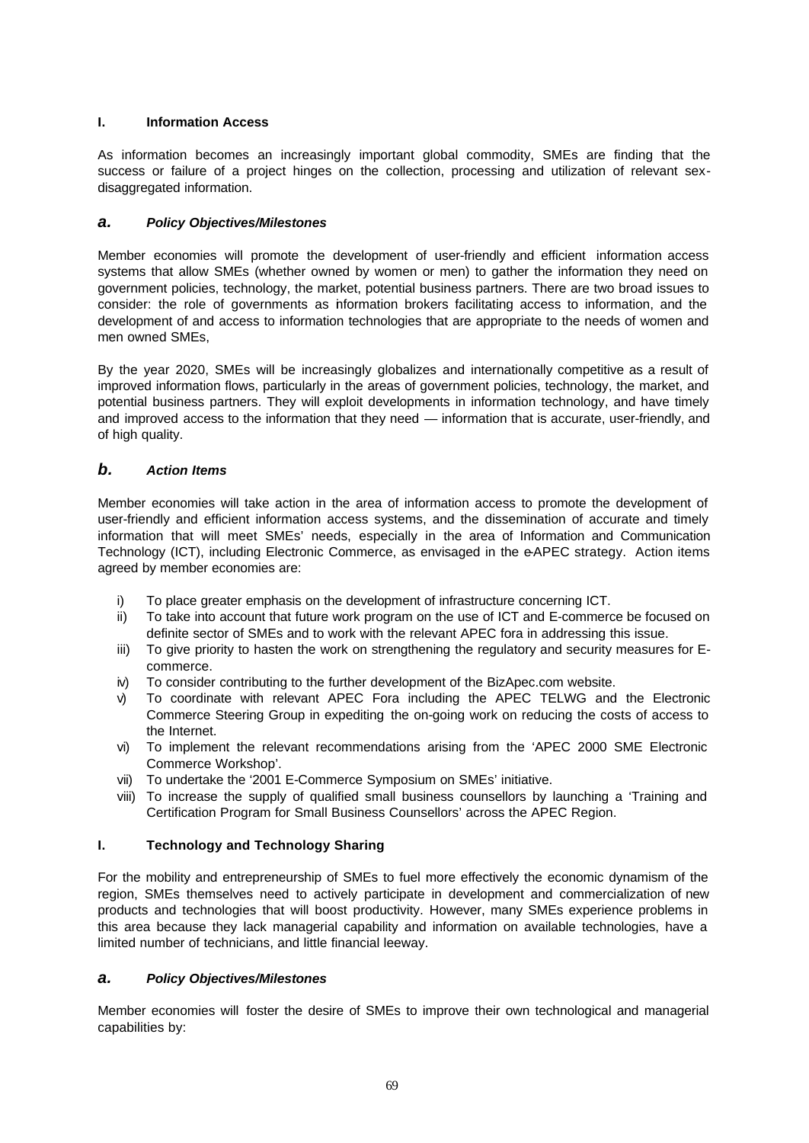## **I. Information Access**

As information becomes an increasingly important global commodity, SMEs are finding that the success or failure of a project hinges on the collection, processing and utilization of relevant sexdisaggregated information.

# *a. Policy Objectives/Milestones*

Member economies will promote the development of user-friendly and efficient information access systems that allow SMEs (whether owned by women or men) to gather the information they need on government policies, technology, the market, potential business partners. There are two broad issues to consider: the role of governments as information brokers facilitating access to information, and the development of and access to information technologies that are appropriate to the needs of women and men owned SMEs,

By the year 2020, SMEs will be increasingly globalizes and internationally competitive as a result of improved information flows, particularly in the areas of government policies, technology, the market, and potential business partners. They will exploit developments in information technology, and have timely and improved access to the information that they need — information that is accurate, user-friendly, and of high quality.

# *b. Action Items*

Member economies will take action in the area of information access to promote the development of user-friendly and efficient information access systems, and the dissemination of accurate and timely information that will meet SMEs' needs, especially in the area of Information and Communication Technology (ICT), including Electronic Commerce, as envisaged in the e-APEC strategy. Action items agreed by member economies are:

- i) To place greater emphasis on the development of infrastructure concerning ICT.
- ii) To take into account that future work program on the use of ICT and E-commerce be focused on definite sector of SMEs and to work with the relevant APEC fora in addressing this issue.
- iii) To give priority to hasten the work on strengthening the regulatory and security measures for Ecommerce.
- iv) To consider contributing to the further development of the BizApec.com website.
- v) To coordinate with relevant APEC Fora including the APEC TELWG and the Electronic Commerce Steering Group in expediting the on-going work on reducing the costs of access to the Internet.
- vi) To implement the relevant recommendations arising from the 'APEC 2000 SME Electronic Commerce Workshop'.
- vii) To undertake the '2001 E-Commerce Symposium on SMEs' initiative.
- viii) To increase the supply of qualified small business counsellors by launching a 'Training and Certification Program for Small Business Counsellors' across the APEC Region.

# **I. Technology and Technology Sharing**

For the mobility and entrepreneurship of SMEs to fuel more effectively the economic dynamism of the region, SMEs themselves need to actively participate in development and commercialization of new products and technologies that will boost productivity. However, many SMEs experience problems in this area because they lack managerial capability and information on available technologies, have a limited number of technicians, and little financial leeway.

## *a. Policy Objectives/Milestones*

Member economies will foster the desire of SMEs to improve their own technological and managerial capabilities by: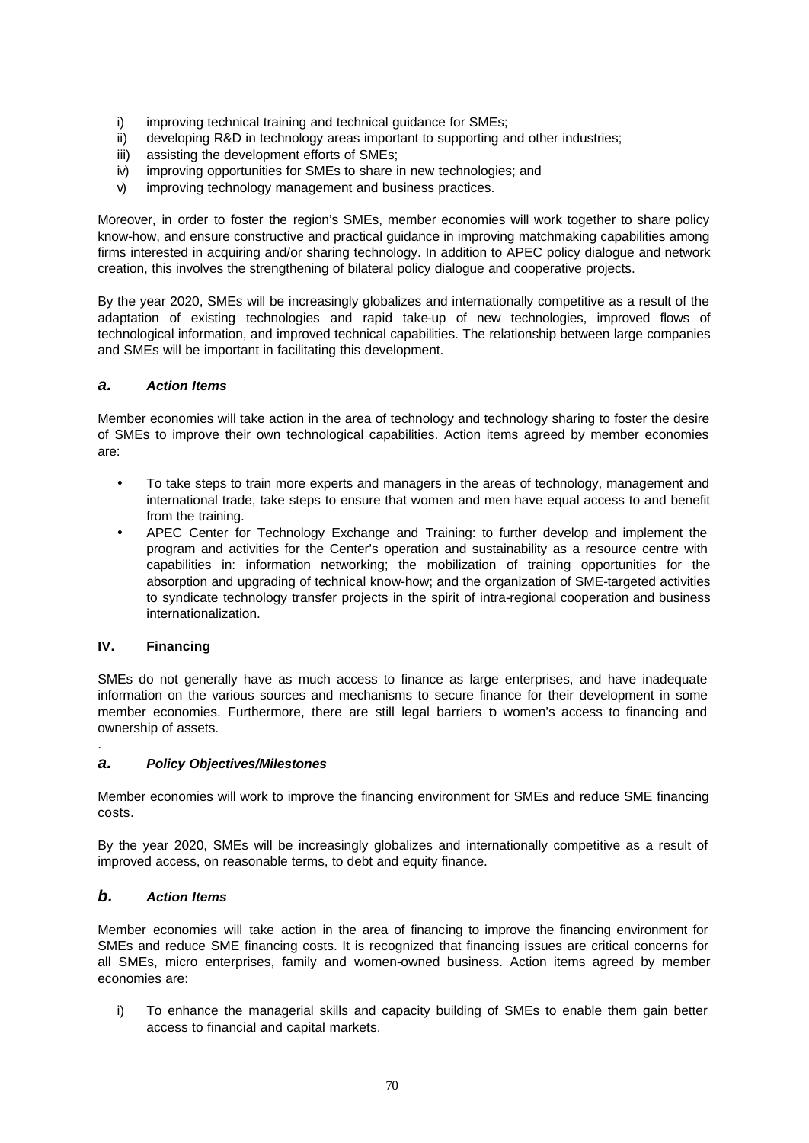- i) improving technical training and technical guidance for SMEs;
- ii) developing R&D in technology areas important to supporting and other industries;
- iii) assisting the development efforts of SMEs;
- iv) improving opportunities for SMEs to share in new technologies; and
- v) improving technology management and business practices.

Moreover, in order to foster the region's SMEs, member economies will work together to share policy know-how, and ensure constructive and practical guidance in improving matchmaking capabilities among firms interested in acquiring and/or sharing technology. In addition to APEC policy dialogue and network creation, this involves the strengthening of bilateral policy dialogue and cooperative projects.

By the year 2020, SMEs will be increasingly globalizes and internationally competitive as a result of the adaptation of existing technologies and rapid take-up of new technologies, improved flows of technological information, and improved technical capabilities. The relationship between large companies and SMEs will be important in facilitating this development.

## *a. Action Items*

Member economies will take action in the area of technology and technology sharing to foster the desire of SMEs to improve their own technological capabilities. Action items agreed by member economies are:

- To take steps to train more experts and managers in the areas of technology, management and international trade, take steps to ensure that women and men have equal access to and benefit from the training.
- **·** APEC Center for Technology Exchange and Training: to further develop and implement the program and activities for the Center's operation and sustainability as a resource centre with capabilities in: information networking; the mobilization of training opportunities for the absorption and upgrading of technical know-how; and the organization of SME-targeted activities to syndicate technology transfer projects in the spirit of intra-regional cooperation and business internationalization.

# **IV. Financing**

.

SMEs do not generally have as much access to finance as large enterprises, and have inadequate information on the various sources and mechanisms to secure finance for their development in some member economies. Furthermore, there are still legal barriers to women's access to financing and ownership of assets.

## *a. Policy Objectives/Milestones*

Member economies will work to improve the financing environment for SMEs and reduce SME financing costs.

By the year 2020, SMEs will be increasingly globalizes and internationally competitive as a result of improved access, on reasonable terms, to debt and equity finance.

## *b. Action Items*

Member economies will take action in the area of financing to improve the financing environment for SMEs and reduce SME financing costs. It is recognized that financing issues are critical concerns for all SMEs, micro enterprises, family and women-owned business. Action items agreed by member economies are:

i) To enhance the managerial skills and capacity building of SMEs to enable them gain better access to financial and capital markets.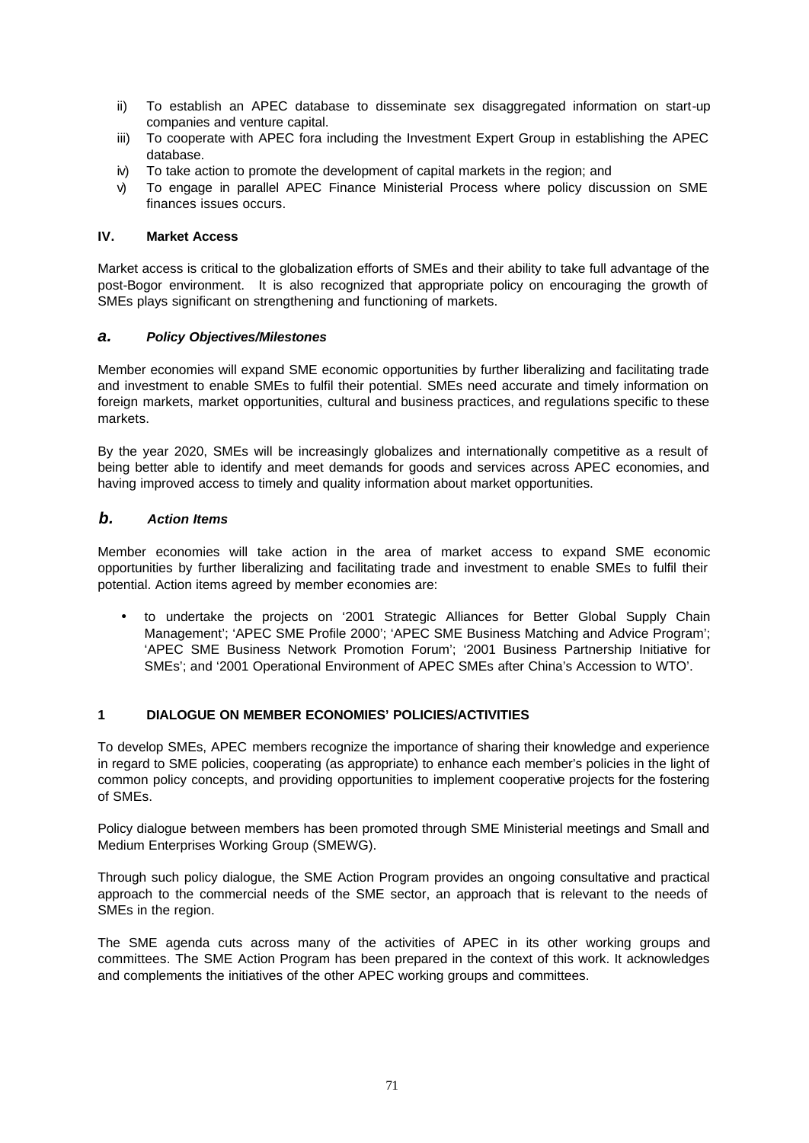- ii) To establish an APEC database to disseminate sex disaggregated information on start-up companies and venture capital.
- iii) To cooperate with APEC fora including the Investment Expert Group in establishing the APEC database.
- iv) To take action to promote the development of capital markets in the region; and
- v) To engage in parallel APEC Finance Ministerial Process where policy discussion on SME finances issues occurs.

#### **IV. Market Access**

Market access is critical to the globalization efforts of SMEs and their ability to take full advantage of the post-Bogor environment. It is also recognized that appropriate policy on encouraging the growth of SMEs plays significant on strengthening and functioning of markets.

# *a. Policy Objectives/Milestones*

Member economies will expand SME economic opportunities by further liberalizing and facilitating trade and investment to enable SMEs to fulfil their potential. SMEs need accurate and timely information on foreign markets, market opportunities, cultural and business practices, and regulations specific to these markets.

By the year 2020, SMEs will be increasingly globalizes and internationally competitive as a result of being better able to identify and meet demands for goods and services across APEC economies, and having improved access to timely and quality information about market opportunities.

### *b. Action Items*

Member economies will take action in the area of market access to expand SME economic opportunities by further liberalizing and facilitating trade and investment to enable SMEs to fulfil their potential. Action items agreed by member economies are:

• to undertake the projects on '2001 Strategic Alliances for Better Global Supply Chain Management'; 'APEC SME Profile 2000'; 'APEC SME Business Matching and Advice Program'; 'APEC SME Business Network Promotion Forum'; '2001 Business Partnership Initiative for SMEs'; and '2001 Operational Environment of APEC SMEs after China's Accession to WTO'.

# **1 DIALOGUE ON MEMBER ECONOMIES' POLICIES/ACTIVITIES**

To develop SMEs, APEC members recognize the importance of sharing their knowledge and experience in regard to SME policies, cooperating (as appropriate) to enhance each member's policies in the light of common policy concepts, and providing opportunities to implement cooperative projects for the fostering of SMEs.

Policy dialogue between members has been promoted through SME Ministerial meetings and Small and Medium Enterprises Working Group (SMEWG).

Through such policy dialogue, the SME Action Program provides an ongoing consultative and practical approach to the commercial needs of the SME sector, an approach that is relevant to the needs of SMEs in the region.

The SME agenda cuts across many of the activities of APEC in its other working groups and committees. The SME Action Program has been prepared in the context of this work. It acknowledges and complements the initiatives of the other APEC working groups and committees.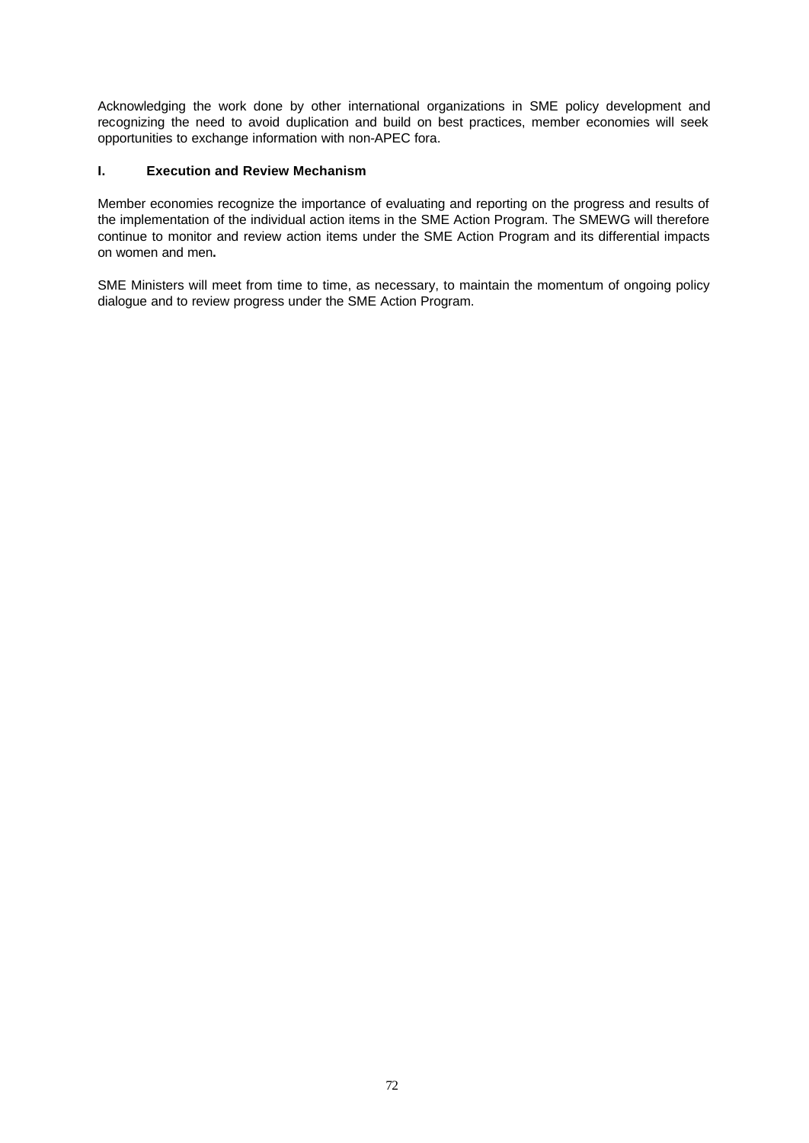Acknowledging the work done by other international organizations in SME policy development and recognizing the need to avoid duplication and build on best practices, member economies will seek opportunities to exchange information with non-APEC fora.

# **I. Execution and Review Mechanism**

Member economies recognize the importance of evaluating and reporting on the progress and results of the implementation of the individual action items in the SME Action Program. The SMEWG will therefore continue to monitor and review action items under the SME Action Program and its differential impacts on women and men**.**

SME Ministers will meet from time to time, as necessary, to maintain the momentum of ongoing policy dialogue and to review progress under the SME Action Program.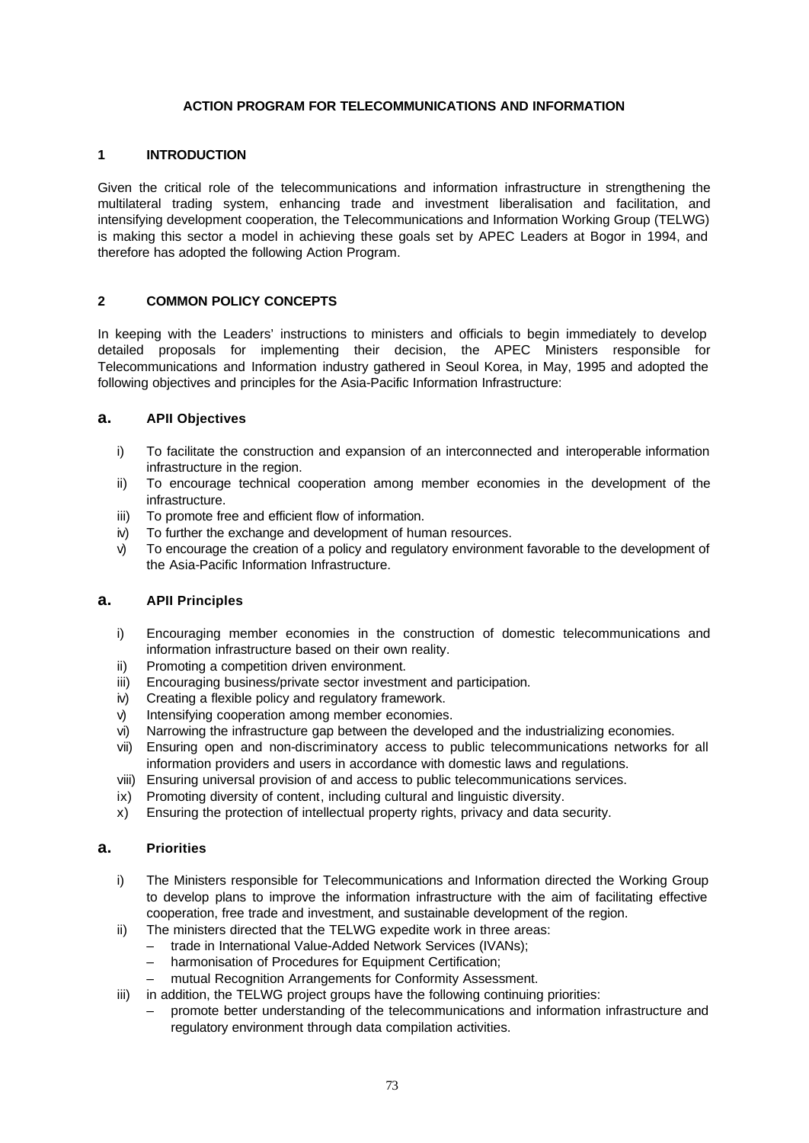# **ACTION PROGRAM FOR TELECOMMUNICATIONS AND INFORMATION**

### **1 INTRODUCTION**

Given the critical role of the telecommunications and information infrastructure in strengthening the multilateral trading system, enhancing trade and investment liberalisation and facilitation, and intensifying development cooperation, the Telecommunications and Information Working Group (TELWG) is making this sector a model in achieving these goals set by APEC Leaders at Bogor in 1994, and therefore has adopted the following Action Program.

### **2 COMMON POLICY CONCEPTS**

In keeping with the Leaders' instructions to ministers and officials to begin immediately to develop detailed proposals for implementing their decision, the APEC Ministers responsible for Telecommunications and Information industry gathered in Seoul Korea, in May, 1995 and adopted the following objectives and principles for the Asia-Pacific Information Infrastructure:

### **a. APII Objectives**

- i) To facilitate the construction and expansion of an interconnected and interoperable information infrastructure in the region.
- ii) To encourage technical cooperation among member economies in the development of the infrastructure.
- iii) To promote free and efficient flow of information.
- iv) To further the exchange and development of human resources.
- v) To encourage the creation of a policy and regulatory environment favorable to the development of the Asia-Pacific Information Infrastructure.

# **a. APII Principles**

- i) Encouraging member economies in the construction of domestic telecommunications and information infrastructure based on their own reality.
- ii) Promoting a competition driven environment.
- iii) Encouraging business/private sector investment and participation.
- iv) Creating a flexible policy and regulatory framework.
- v) Intensifying cooperation among member economies.
- vi) Narrowing the infrastructure gap between the developed and the industrializing economies.
- vii) Ensuring open and non-discriminatory access to public telecommunications networks for all information providers and users in accordance with domestic laws and regulations.
- viii) Ensuring universal provision of and access to public telecommunications services.
- ix) Promoting diversity of content, including cultural and linguistic diversity.
- x) Ensuring the protection of intellectual property rights, privacy and data security.

#### **a. Priorities**

- i) The Ministers responsible for Telecommunications and Information directed the Working Group to develop plans to improve the information infrastructure with the aim of facilitating effective cooperation, free trade and investment, and sustainable development of the region.
- ii) The ministers directed that the TELWG expedite work in three areas:
	- trade in International Value-Added Network Services (IVANs);
		- harmonisation of Procedures for Equipment Certification;
	- mutual Recognition Arrangements for Conformity Assessment.
- iii) in addition, the TELWG project groups have the following continuing priorities:
	- promote better understanding of the telecommunications and information infrastructure and regulatory environment through data compilation activities.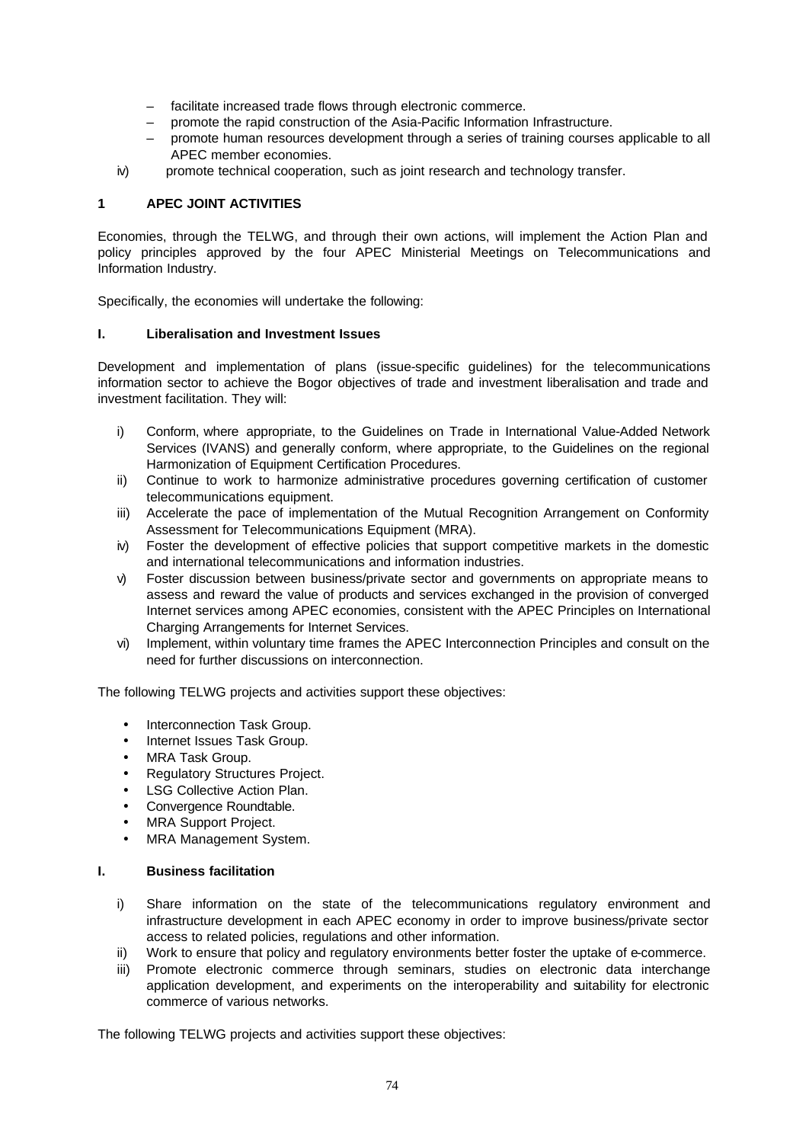- facilitate increased trade flows through electronic commerce.
- promote the rapid construction of the Asia-Pacific Information Infrastructure.
- promote human resources development through a series of training courses applicable to all APEC member economies.
- iv) promote technical cooperation, such as joint research and technology transfer.

# **1 APEC JOINT ACTIVITIES**

Economies, through the TELWG, and through their own actions, will implement the Action Plan and policy principles approved by the four APEC Ministerial Meetings on Telecommunications and Information Industry.

Specifically, the economies will undertake the following:

# **I. Liberalisation and Investment Issues**

Development and implementation of plans (issue-specific guidelines) for the telecommunications information sector to achieve the Bogor objectives of trade and investment liberalisation and trade and investment facilitation. They will:

- i) Conform, where appropriate, to the Guidelines on Trade in International Value-Added Network Services (IVANS) and generally conform, where appropriate, to the Guidelines on the regional Harmonization of Equipment Certification Procedures.
- ii) Continue to work to harmonize administrative procedures governing certification of customer telecommunications equipment.
- iii) Accelerate the pace of implementation of the Mutual Recognition Arrangement on Conformity Assessment for Telecommunications Equipment (MRA).
- iv) Foster the development of effective policies that support competitive markets in the domestic and international telecommunications and information industries.
- v) Foster discussion between business/private sector and governments on appropriate means to assess and reward the value of products and services exchanged in the provision of converged Internet services among APEC economies, consistent with the APEC Principles on International Charging Arrangements for Internet Services.
- vi) Implement, within voluntary time frames the APEC Interconnection Principles and consult on the need for further discussions on interconnection.

The following TELWG projects and activities support these objectives:

- Interconnection Task Group.
- Internet Issues Task Group.
- MRA Task Group.
- Regulatory Structures Project.
- LSG Collective Action Plan.
- Convergence Roundtable.
- MRA Support Project.
- MRA Management System.

#### **I. Business facilitation**

- i) Share information on the state of the telecommunications regulatory environment and infrastructure development in each APEC economy in order to improve business/private sector access to related policies, regulations and other information.
- ii) Work to ensure that policy and regulatory environments better foster the uptake of e-commerce.
- iii) Promote electronic commerce through seminars, studies on electronic data interchange application development, and experiments on the interoperability and suitability for electronic commerce of various networks.

The following TELWG projects and activities support these objectives: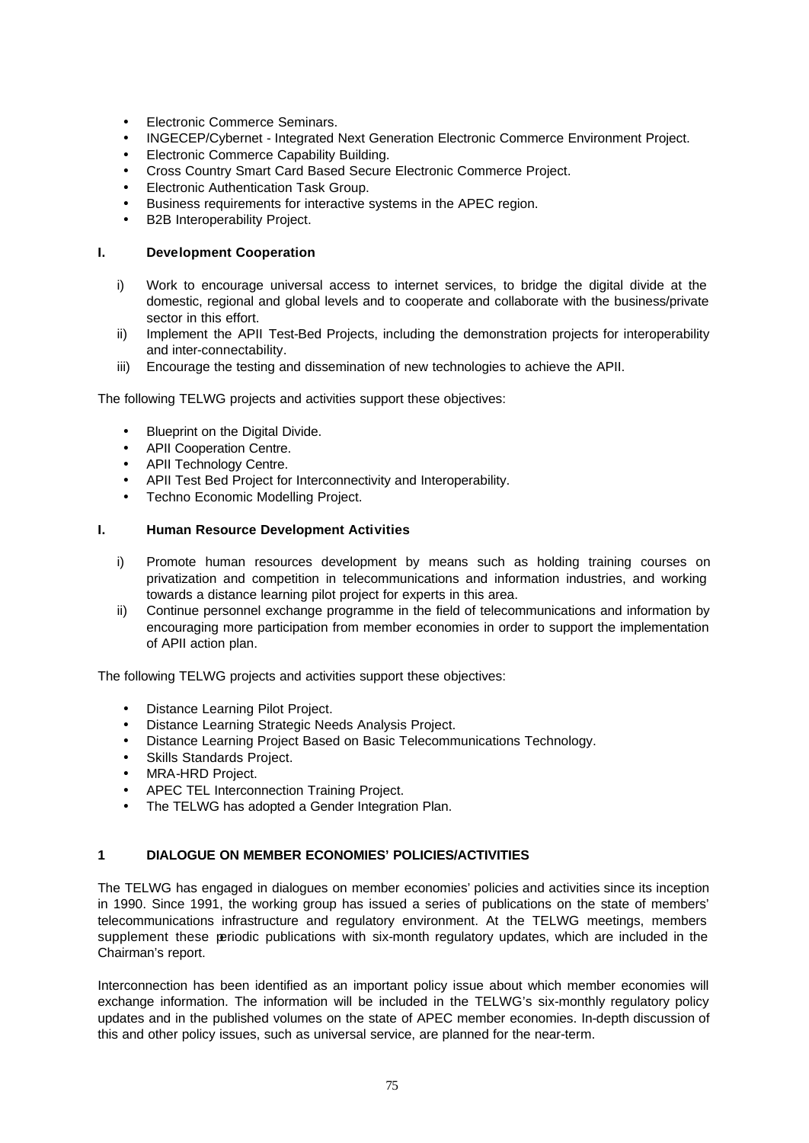- Electronic Commerce Seminars.
- INGECEP/Cybernet Integrated Next Generation Electronic Commerce Environment Project.
- Electronic Commerce Capability Building.
- Cross Country Smart Card Based Secure Electronic Commerce Project.
- Electronic Authentication Task Group.
- Business requirements for interactive systems in the APEC region.
- B2B Interoperability Project.

# **I. Development Cooperation**

- i) Work to encourage universal access to internet services, to bridge the digital divide at the domestic, regional and global levels and to cooperate and collaborate with the business/private sector in this effort.
- ii) Implement the APII Test-Bed Projects, including the demonstration projects for interoperability and inter-connectability.
- iii) Encourage the testing and dissemination of new technologies to achieve the APII.

The following TELWG projects and activities support these objectives:

- Blueprint on the Digital Divide.
- APII Cooperation Centre.
- APII Technology Centre.
- APII Test Bed Project for Interconnectivity and Interoperability.
- Techno Economic Modelling Project.

### **I. Human Resource Development Activities**

- i) Promote human resources development by means such as holding training courses on privatization and competition in telecommunications and information industries, and working towards a distance learning pilot project for experts in this area.
- ii) Continue personnel exchange programme in the field of telecommunications and information by encouraging more participation from member economies in order to support the implementation of APII action plan.

The following TELWG projects and activities support these objectives:

- Distance Learning Pilot Project.
- Distance Learning Strategic Needs Analysis Project.
- Distance Learning Project Based on Basic Telecommunications Technology.
- Skills Standards Project.
- MRA-HRD Project.
- APEC TEL Interconnection Training Project.
- The TELWG has adopted a Gender Integration Plan.

# **1 DIALOGUE ON MEMBER ECONOMIES' POLICIES/ACTIVITIES**

The TELWG has engaged in dialogues on member economies' policies and activities since its inception in 1990. Since 1991, the working group has issued a series of publications on the state of members' telecommunications infrastructure and regulatory environment. At the TELWG meetings, members supplement these periodic publications with six-month regulatory updates, which are included in the Chairman's report.

Interconnection has been identified as an important policy issue about which member economies will exchange information. The information will be included in the TELWG's six-monthly regulatory policy updates and in the published volumes on the state of APEC member economies. In-depth discussion of this and other policy issues, such as universal service, are planned for the near-term.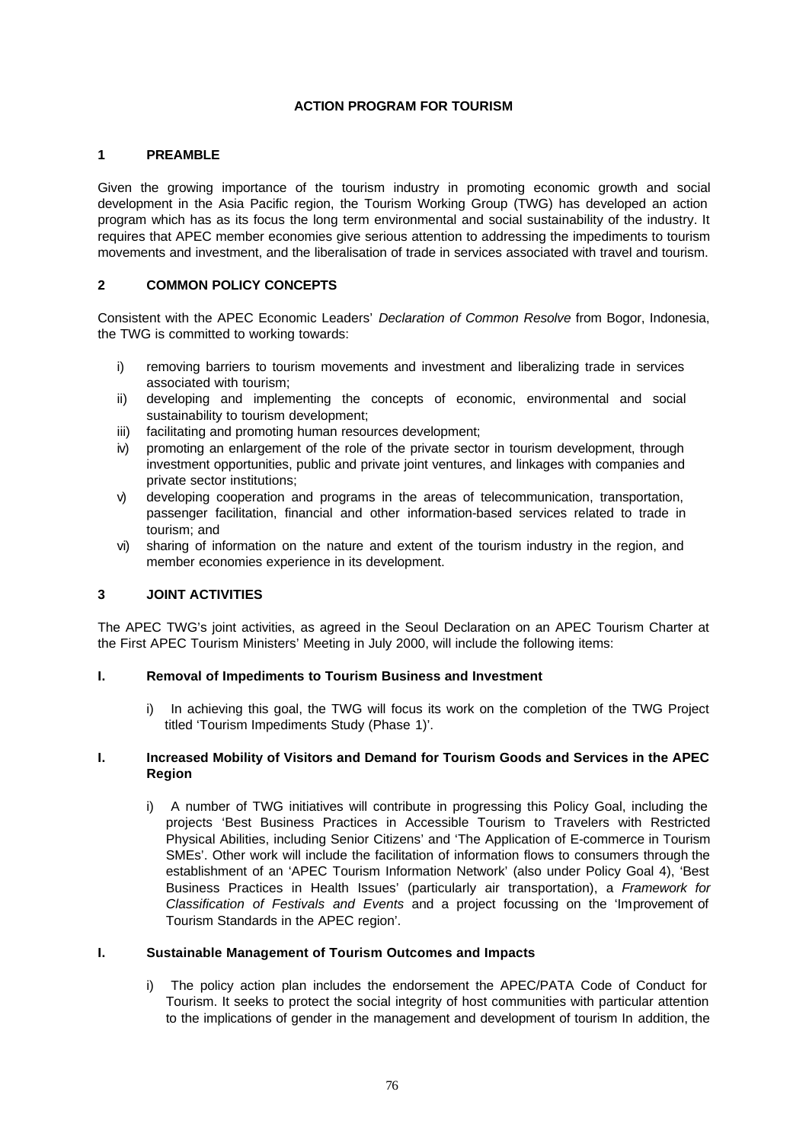# **ACTION PROGRAM FOR TOURISM**

#### **1 PREAMBLE**

Given the growing importance of the tourism industry in promoting economic growth and social development in the Asia Pacific region, the Tourism Working Group (TWG) has developed an action program which has as its focus the long term environmental and social sustainability of the industry. It requires that APEC member economies give serious attention to addressing the impediments to tourism movements and investment, and the liberalisation of trade in services associated with travel and tourism.

### **2 COMMON POLICY CONCEPTS**

Consistent with the APEC Economic Leaders' *Declaration of Common Resolve* from Bogor, Indonesia, the TWG is committed to working towards:

- i) removing barriers to tourism movements and investment and liberalizing trade in services associated with tourism;
- ii) developing and implementing the concepts of economic, environmental and social sustainability to tourism development;
- iii) facilitating and promoting human resources development;
- iv) promoting an enlargement of the role of the private sector in tourism development, through investment opportunities, public and private joint ventures, and linkages with companies and private sector institutions;
- v) developing cooperation and programs in the areas of telecommunication, transportation, passenger facilitation, financial and other information-based services related to trade in tourism; and
- vi) sharing of information on the nature and extent of the tourism industry in the region, and member economies experience in its development.

#### **3 JOINT ACTIVITIES**

The APEC TWG's joint activities, as agreed in the Seoul Declaration on an APEC Tourism Charter at the First APEC Tourism Ministers' Meeting in July 2000, will include the following items:

#### **I. Removal of Impediments to Tourism Business and Investment**

i) In achieving this goal, the TWG will focus its work on the completion of the TWG Project titled 'Tourism Impediments Study (Phase 1)'.

#### **I. Increased Mobility of Visitors and Demand for Tourism Goods and Services in the APEC Region**

i) A number of TWG initiatives will contribute in progressing this Policy Goal, including the projects 'Best Business Practices in Accessible Tourism to Travelers with Restricted Physical Abilities, including Senior Citizens' and 'The Application of E-commerce in Tourism SMEs'. Other work will include the facilitation of information flows to consumers through the establishment of an 'APEC Tourism Information Network' (also under Policy Goal 4), 'Best Business Practices in Health Issues' (particularly air transportation), a *Framework for Classification of Festivals and Events* and a project focussing on the 'Improvement of Tourism Standards in the APEC region'.

#### **I. Sustainable Management of Tourism Outcomes and Impacts**

i) The policy action plan includes the endorsement the APEC/PATA Code of Conduct for Tourism. It seeks to protect the social integrity of host communities with particular attention to the implications of gender in the management and development of tourism In addition, the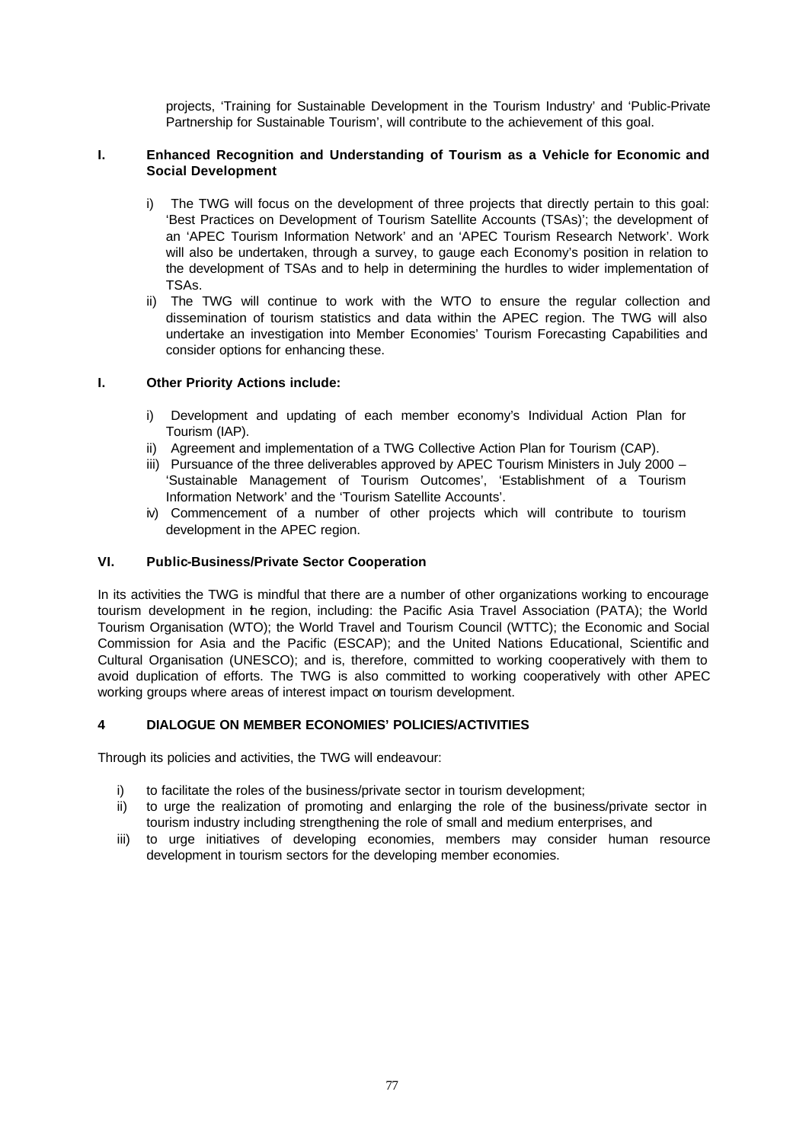projects, 'Training for Sustainable Development in the Tourism Industry' and 'Public-Private Partnership for Sustainable Tourism', will contribute to the achievement of this goal.

# **I. Enhanced Recognition and Understanding of Tourism as a Vehicle for Economic and Social Development**

- i) The TWG will focus on the development of three projects that directly pertain to this goal: 'Best Practices on Development of Tourism Satellite Accounts (TSAs)'; the development of an 'APEC Tourism Information Network' and an 'APEC Tourism Research Network'. Work will also be undertaken, through a survey, to gauge each Economy's position in relation to the development of TSAs and to help in determining the hurdles to wider implementation of TSAs.
- ii) The TWG will continue to work with the WTO to ensure the regular collection and dissemination of tourism statistics and data within the APEC region. The TWG will also undertake an investigation into Member Economies' Tourism Forecasting Capabilities and consider options for enhancing these.

# **I. Other Priority Actions include:**

- i) Development and updating of each member economy's Individual Action Plan for Tourism (IAP).
- ii) Agreement and implementation of a TWG Collective Action Plan for Tourism (CAP).
- iii) Pursuance of the three deliverables approved by APEC Tourism Ministers in July 2000 'Sustainable Management of Tourism Outcomes', 'Establishment of a Tourism Information Network' and the 'Tourism Satellite Accounts'.
- iv) Commencement of a number of other projects which will contribute to tourism development in the APEC region.

# **VI. Public-Business/Private Sector Cooperation**

In its activities the TWG is mindful that there are a number of other organizations working to encourage tourism development in the region, including: the Pacific Asia Travel Association (PATA); the World Tourism Organisation (WTO); the World Travel and Tourism Council (WTTC); the Economic and Social Commission for Asia and the Pacific (ESCAP); and the United Nations Educational, Scientific and Cultural Organisation (UNESCO); and is, therefore, committed to working cooperatively with them to avoid duplication of efforts. The TWG is also committed to working cooperatively with other APEC working groups where areas of interest impact on tourism development.

# **4 DIALOGUE ON MEMBER ECONOMIES' POLICIES/ACTIVITIES**

Through its policies and activities, the TWG will endeavour:

- i) to facilitate the roles of the business/private sector in tourism development;
- ii) to urge the realization of promoting and enlarging the role of the business/private sector in tourism industry including strengthening the role of small and medium enterprises, and
- iii) to urge initiatives of developing economies, members may consider human resource development in tourism sectors for the developing member economies.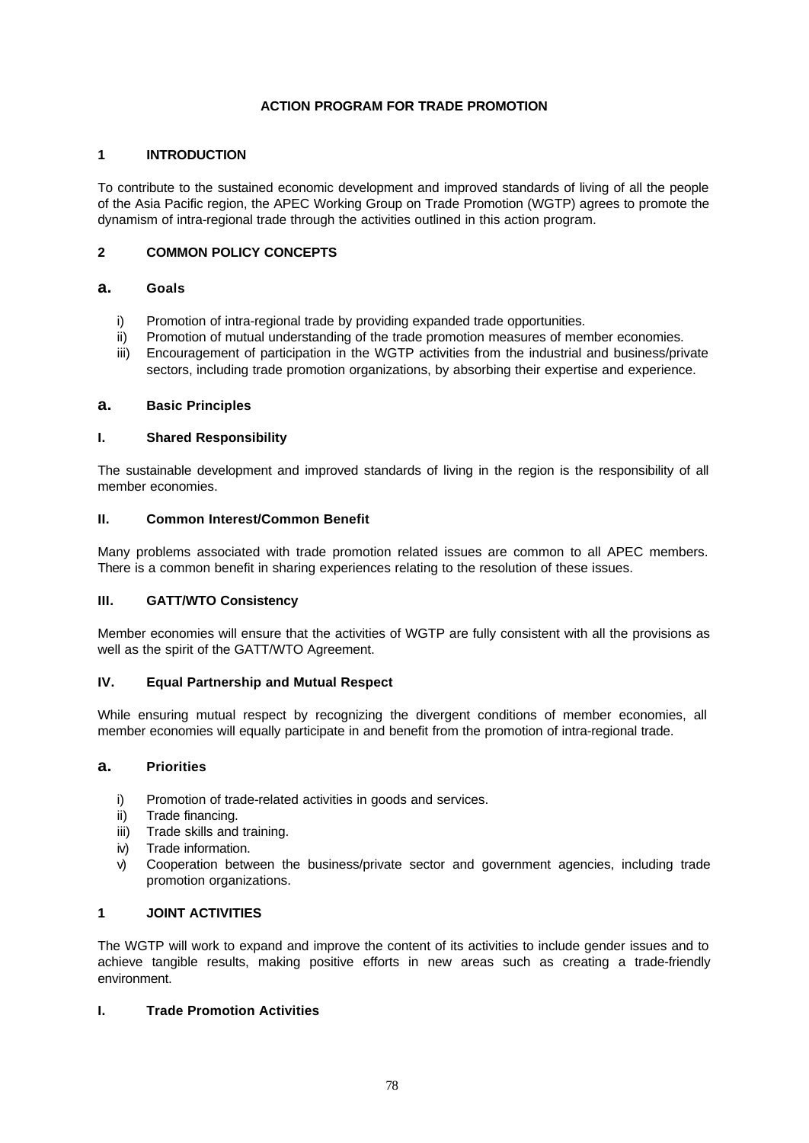# **ACTION PROGRAM FOR TRADE PROMOTION**

# **1 INTRODUCTION**

To contribute to the sustained economic development and improved standards of living of all the people of the Asia Pacific region, the APEC Working Group on Trade Promotion (WGTP) agrees to promote the dynamism of intra-regional trade through the activities outlined in this action program.

# **2 COMMON POLICY CONCEPTS**

# **a. Goals**

- i) Promotion of intra-regional trade by providing expanded trade opportunities.
- ii) Promotion of mutual understanding of the trade promotion measures of member economies.
- iii) Encouragement of participation in the WGTP activities from the industrial and business/private sectors, including trade promotion organizations, by absorbing their expertise and experience.

### **a. Basic Principles**

### **I. Shared Responsibility**

The sustainable development and improved standards of living in the region is the responsibility of all member economies.

#### **II. Common Interest/Common Benefit**

Many problems associated with trade promotion related issues are common to all APEC members. There is a common benefit in sharing experiences relating to the resolution of these issues.

# **III. GATT/WTO Consistency**

Member economies will ensure that the activities of WGTP are fully consistent with all the provisions as well as the spirit of the GATT/WTO Agreement.

# **IV. Equal Partnership and Mutual Respect**

While ensuring mutual respect by recognizing the divergent conditions of member economies, all member economies will equally participate in and benefit from the promotion of intra-regional trade.

#### **a. Priorities**

- i) Promotion of trade-related activities in goods and services.
- ii) Trade financing.
- iii) Trade skills and training.
- iv) Trade information.
- v) Cooperation between the business/private sector and government agencies, including trade promotion organizations.

# **1 JOINT ACTIVITIES**

The WGTP will work to expand and improve the content of its activities to include gender issues and to achieve tangible results, making positive efforts in new areas such as creating a trade-friendly environment.

# **I. Trade Promotion Activities**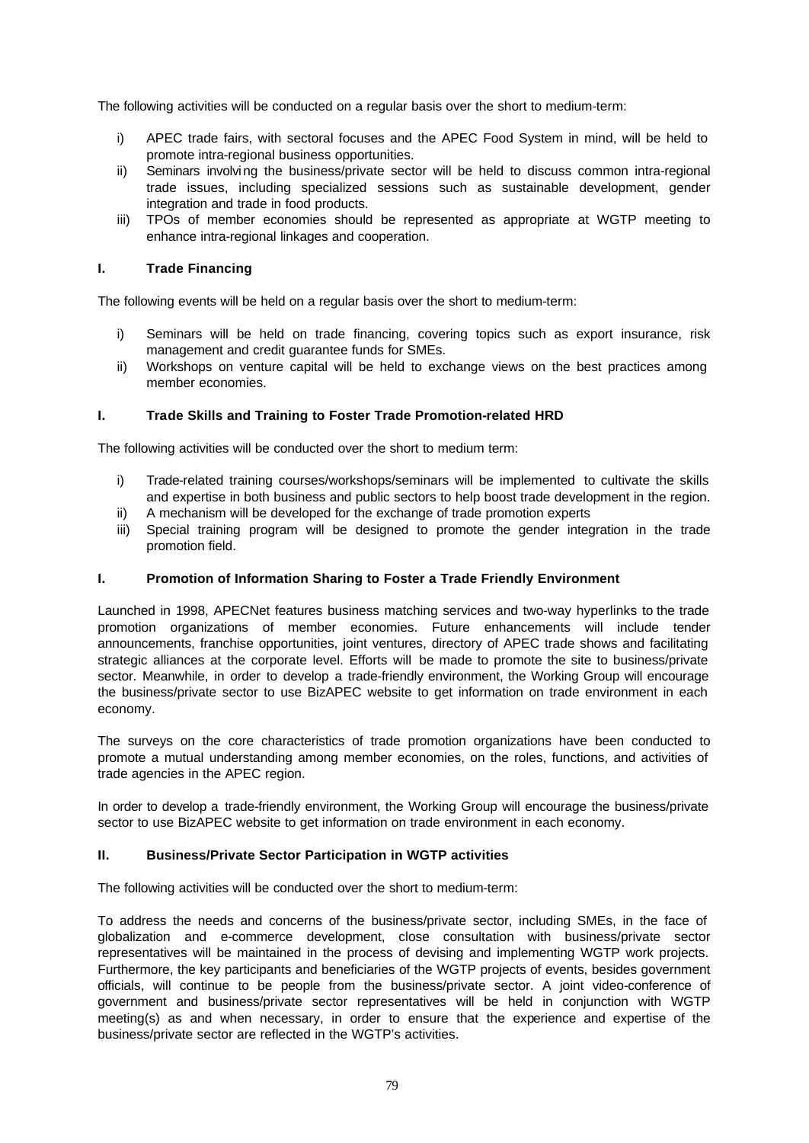The following activities will be conducted on a regular basis over the short to medium-term:

- i) APEC trade fairs, with sectoral focuses and the APEC Food System in mind, will be held to promote intra-regional business opportunities.
- ii) Seminars involving the business/private sector will be held to discuss common intra-regional trade issues, including specialized sessions such as sustainable development, gender integration and trade in food products.
- iii) TPOs of member economies should be represented as appropriate at WGTP meeting to enhance intra-regional linkages and cooperation.

### **I. Trade Financing**

The following events will be held on a regular basis over the short to medium-term:

- i) Seminars will be held on trade financing, covering topics such as export insurance, risk management and credit guarantee funds for SMEs.
- ii) Workshops on venture capital will be held to exchange views on the best practices among member economies.

### **I. Trade Skills and Training to Foster Trade Promotion-related HRD**

The following activities will be conducted over the short to medium term:

- i) Trade-related training courses/workshops/seminars will be implemented to cultivate the skills and expertise in both business and public sectors to help boost trade development in the region.
- ii) A mechanism will be developed for the exchange of trade promotion experts
- iii) Special training program will be designed to promote the gender integration in the trade promotion field.

#### **I. Promotion of Information Sharing to Foster a Trade Friendly Environment**

Launched in 1998, APECNet features business matching services and two-way hyperlinks to the trade promotion organizations of member economies. Future enhancements will include tender announcements, franchise opportunities, joint ventures, directory of APEC trade shows and facilitating strategic alliances at the corporate level. Efforts will be made to promote the site to business/private sector. Meanwhile, in order to develop a trade-friendly environment, the Working Group will encourage the business/private sector to use BizAPEC website to get information on trade environment in each economy.

The surveys on the core characteristics of trade promotion organizations have been conducted to promote a mutual understanding among member economies, on the roles, functions, and activities of trade agencies in the APEC region.

In order to develop a trade-friendly environment, the Working Group will encourage the business/private sector to use BizAPEC website to get information on trade environment in each economy.

#### **II. Business/Private Sector Participation in WGTP activities**

The following activities will be conducted over the short to medium-term:

To address the needs and concerns of the business/private sector, including SMEs, in the face of globalization and e-commerce development, close consultation with business/private sector representatives will be maintained in the process of devising and implementing WGTP work projects. Furthermore, the key participants and beneficiaries of the WGTP projects of events, besides government officials, will continue to be people from the business/private sector. A joint video-conference of government and business/private sector representatives will be held in conjunction with WGTP meeting(s) as and when necessary, in order to ensure that the experience and expertise of the business/private sector are reflected in the WGTP's activities.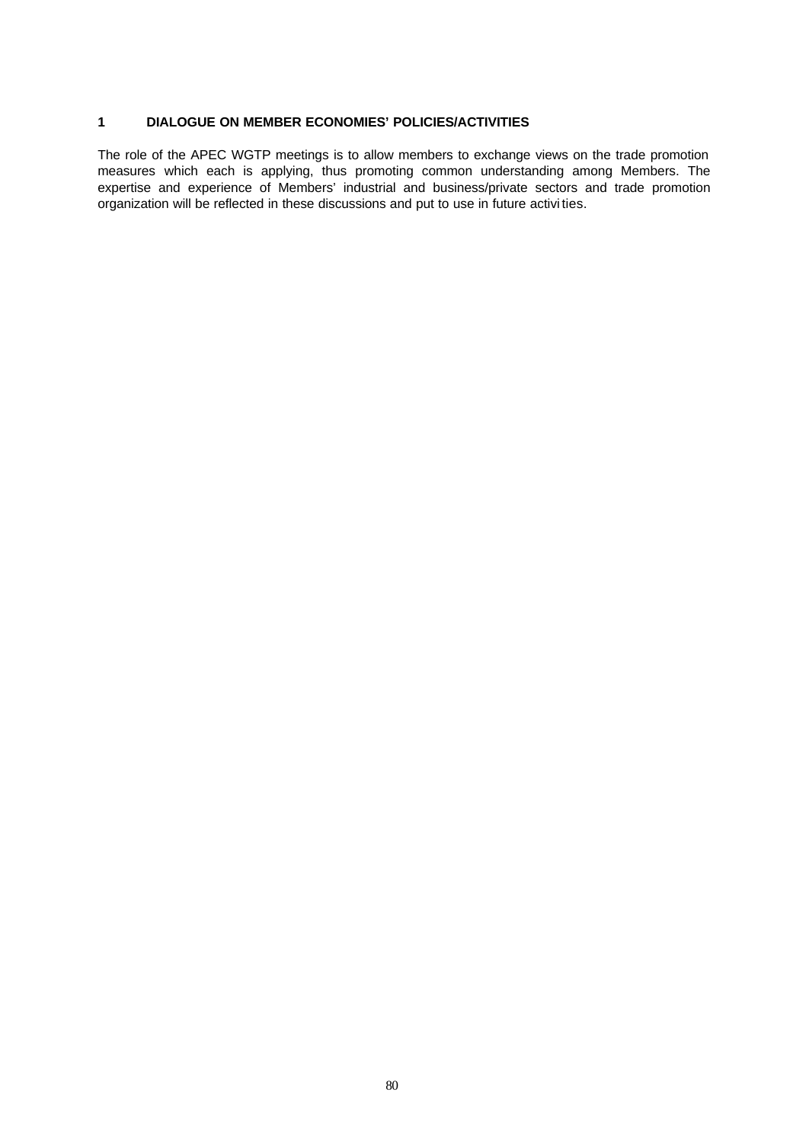# **1 DIALOGUE ON MEMBER ECONOMIES' POLICIES/ACTIVITIES**

The role of the APEC WGTP meetings is to allow members to exchange views on the trade promotion measures which each is applying, thus promoting common understanding among Members. The expertise and experience of Members' industrial and business/private sectors and trade promotion organization will be reflected in these discussions and put to use in future activi ties.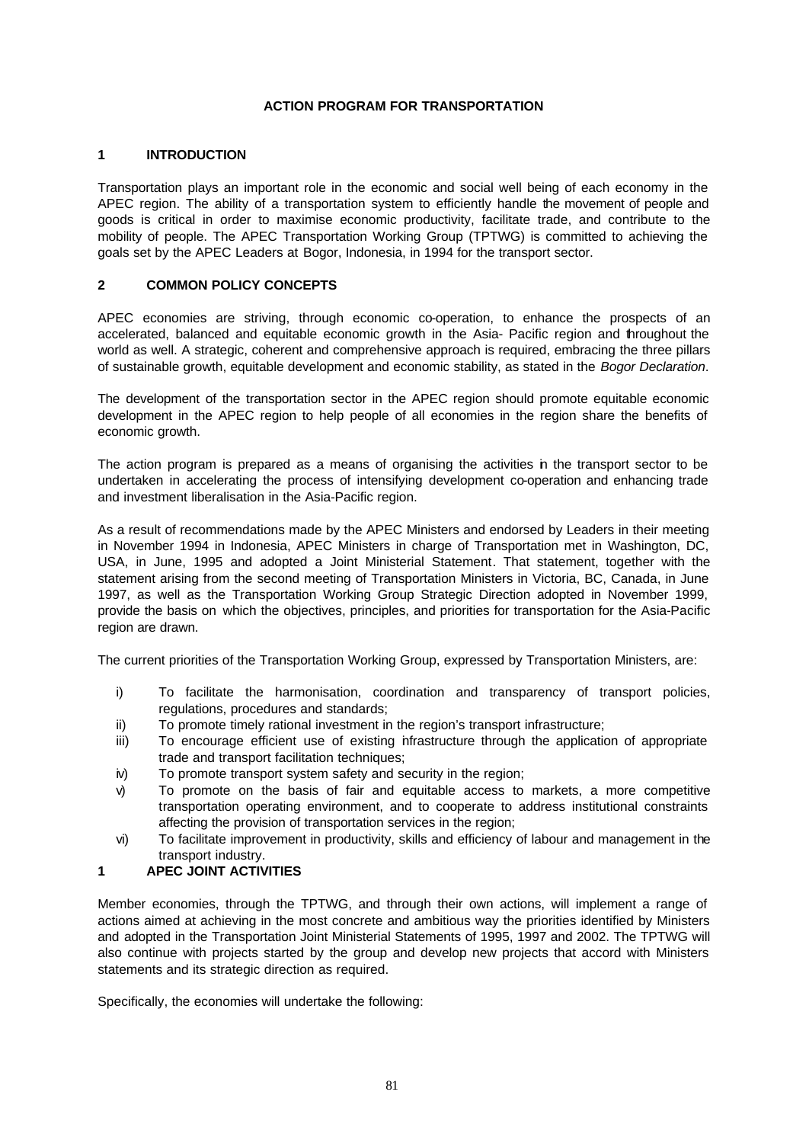# **ACTION PROGRAM FOR TRANSPORTATION**

# **1 INTRODUCTION**

Transportation plays an important role in the economic and social well being of each economy in the APEC region. The ability of a transportation system to efficiently handle the movement of people and goods is critical in order to maximise economic productivity, facilitate trade, and contribute to the mobility of people. The APEC Transportation Working Group (TPTWG) is committed to achieving the goals set by the APEC Leaders at Bogor, Indonesia, in 1994 for the transport sector.

# **2 COMMON POLICY CONCEPTS**

APEC economies are striving, through economic co-operation, to enhance the prospects of an accelerated, balanced and equitable economic growth in the Asia- Pacific region and throughout the world as well. A strategic, coherent and comprehensive approach is required, embracing the three pillars of sustainable growth, equitable development and economic stability, as stated in the *Bogor Declaration*.

The development of the transportation sector in the APEC region should promote equitable economic development in the APEC region to help people of all economies in the region share the benefits of economic growth.

The action program is prepared as a means of organising the activities in the transport sector to be undertaken in accelerating the process of intensifying development co-operation and enhancing trade and investment liberalisation in the Asia-Pacific region.

As a result of recommendations made by the APEC Ministers and endorsed by Leaders in their meeting in November 1994 in Indonesia, APEC Ministers in charge of Transportation met in Washington, DC, USA, in June, 1995 and adopted a Joint Ministerial Statement. That statement, together with the statement arising from the second meeting of Transportation Ministers in Victoria, BC, Canada, in June 1997, as well as the Transportation Working Group Strategic Direction adopted in November 1999, provide the basis on which the objectives, principles, and priorities for transportation for the Asia-Pacific region are drawn.

The current priorities of the Transportation Working Group, expressed by Transportation Ministers, are:

- i) To facilitate the harmonisation, coordination and transparency of transport policies, regulations, procedures and standards;
- ii) To promote timely rational investment in the region's transport infrastructure;
- iii) To encourage efficient use of existing infrastructure through the application of appropriate trade and transport facilitation techniques;
- iv) To promote transport system safety and security in the region;
- v) To promote on the basis of fair and equitable access to markets, a more competitive transportation operating environment, and to cooperate to address institutional constraints affecting the provision of transportation services in the region;
- vi) To facilitate improvement in productivity, skills and efficiency of labour and management in the transport industry.

# **1 APEC JOINT ACTIVITIES**

Member economies, through the TPTWG, and through their own actions, will implement a range of actions aimed at achieving in the most concrete and ambitious way the priorities identified by Ministers and adopted in the Transportation Joint Ministerial Statements of 1995, 1997 and 2002. The TPTWG will also continue with projects started by the group and develop new projects that accord with Ministers statements and its strategic direction as required.

Specifically, the economies will undertake the following: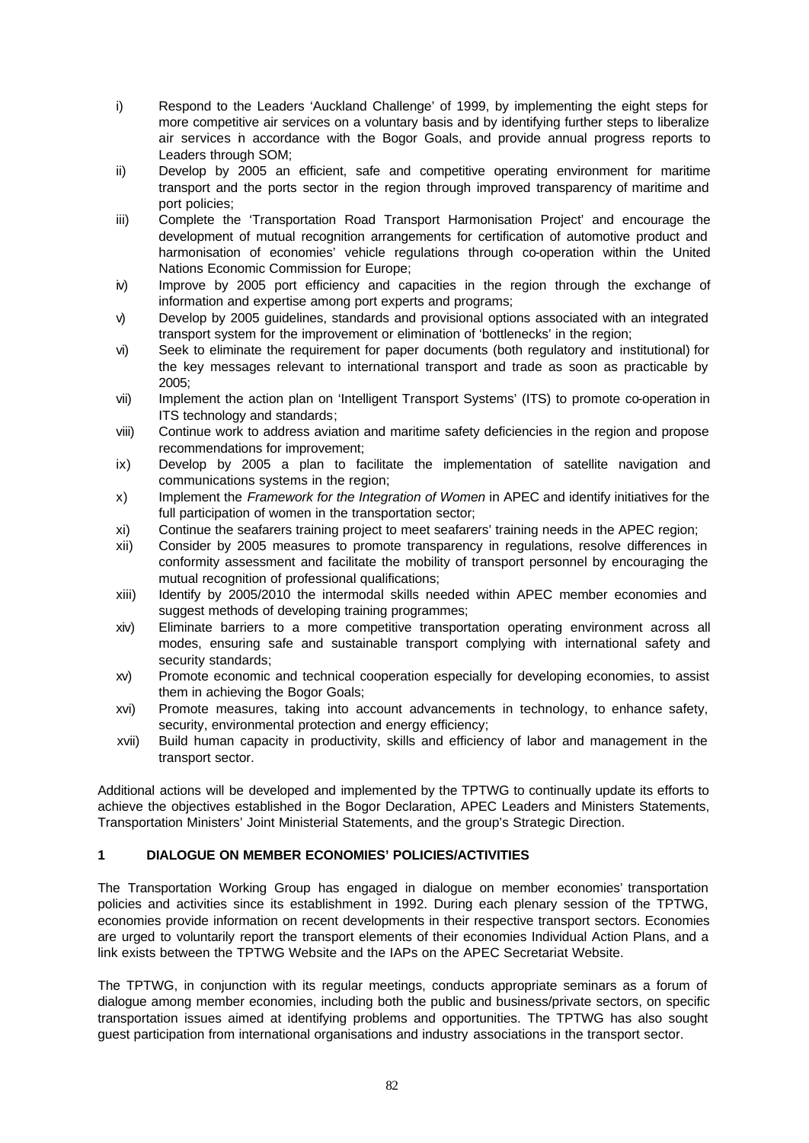- i) Respond to the Leaders 'Auckland Challenge' of 1999, by implementing the eight steps for more competitive air services on a voluntary basis and by identifying further steps to liberalize air services in accordance with the Bogor Goals, and provide annual progress reports to Leaders through SOM;
- ii) Develop by 2005 an efficient, safe and competitive operating environment for maritime transport and the ports sector in the region through improved transparency of maritime and port policies;
- iii) Complete the 'Transportation Road Transport Harmonisation Project' and encourage the development of mutual recognition arrangements for certification of automotive product and harmonisation of economies' vehicle regulations through co-operation within the United Nations Economic Commission for Europe;
- iv) Improve by 2005 port efficiency and capacities in the region through the exchange of information and expertise among port experts and programs;
- v) Develop by 2005 guidelines, standards and provisional options associated with an integrated transport system for the improvement or elimination of 'bottlenecks' in the region;
- vi) Seek to eliminate the requirement for paper documents (both regulatory and institutional) for the key messages relevant to international transport and trade as soon as practicable by 2005;
- vii) Implement the action plan on 'Intelligent Transport Systems' (ITS) to promote co-operation in ITS technology and standards;
- viii) Continue work to address aviation and maritime safety deficiencies in the region and propose recommendations for improvement;
- ix) Develop by 2005 a plan to facilitate the implementation of satellite navigation and communications systems in the region;
- x) Implement the *Framework for the Integration of Women* in APEC and identify initiatives for the full participation of women in the transportation sector;
- xi) Continue the seafarers training project to meet seafarers' training needs in the APEC region;
- xii) Consider by 2005 measures to promote transparency in regulations, resolve differences in conformity assessment and facilitate the mobility of transport personnel by encouraging the mutual recognition of professional qualifications;
- xiii) Identify by 2005/2010 the intermodal skills needed within APEC member economies and suggest methods of developing training programmes;
- xiv) Eliminate barriers to a more competitive transportation operating environment across all modes, ensuring safe and sustainable transport complying with international safety and security standards;
- xv) Promote economic and technical cooperation especially for developing economies, to assist them in achieving the Bogor Goals;
- xvi) Promote measures, taking into account advancements in technology, to enhance safety, security, environmental protection and energy efficiency;
- xvii) Build human capacity in productivity, skills and efficiency of labor and management in the transport sector.

Additional actions will be developed and implemented by the TPTWG to continually update its efforts to achieve the objectives established in the Bogor Declaration, APEC Leaders and Ministers Statements, Transportation Ministers' Joint Ministerial Statements, and the group's Strategic Direction.

# **1 DIALOGUE ON MEMBER ECONOMIES' POLICIES/ACTIVITIES**

The Transportation Working Group has engaged in dialogue on member economies' transportation policies and activities since its establishment in 1992. During each plenary session of the TPTWG, economies provide information on recent developments in their respective transport sectors. Economies are urged to voluntarily report the transport elements of their economies Individual Action Plans, and a link exists between the TPTWG Website and the IAPs on the APEC Secretariat Website.

The TPTWG, in conjunction with its regular meetings, conducts appropriate seminars as a forum of dialogue among member economies, including both the public and business/private sectors, on specific transportation issues aimed at identifying problems and opportunities. The TPTWG has also sought guest participation from international organisations and industry associations in the transport sector.